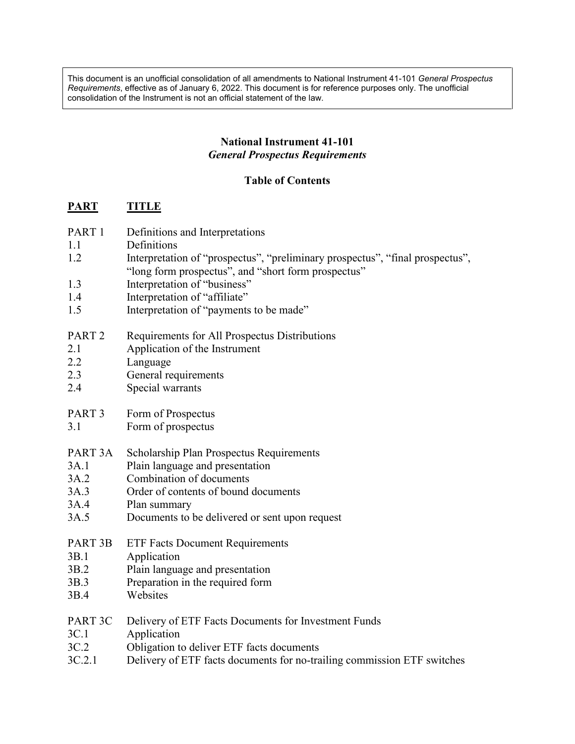This document is an unofficial consolidation of all amendments to National Instrument 41-101 *General Prospectus Requirements*, effective as of January 6, 2022. This document is for reference purposes only. The unofficial consolidation of the Instrument is not an official statement of the law.

#### **National Instrument 41-101** *General Prospectus Requirements*

#### **Table of Contents**

# **PART TITLE**

- PART 1 Definitions and Interpretations
- 1.1 Definitions
- 1.2 Interpretation of "prospectus", "preliminary prospectus", "final prospectus", "long form prospectus", and "short form prospectus"
- 1.3 Interpretation of "business"
- 1.4 Interpretation of "affiliate"
- 1.5 Interpretation of "payments to be made"
- PART 2 Requirements for All Prospectus Distributions
- 2.1 Application of the Instrument
- 2.2 Language
- 2.3 General requirements
- 2.4 Special warrants

#### PART 3 Form of Prospectus

- 3.1 Form of prospectus
- PART 3A Scholarship Plan Prospectus Requirements
- 3A.1 Plain language and presentation
- 3A.2 Combination of documents
- 3A.3 Order of contents of bound documents
- 3A.4 Plan summary
- 3A.5 Documents to be delivered or sent upon request
- PART 3B ETF Facts Document Requirements
- 3B.1 Application
- 3B.2 Plain language and presentation
- 3B.3 Preparation in the required form
- 3B.4 Websites
- PART 3C Delivery of ETF Facts Documents for Investment Funds
- 3C.1 Application
- 3C.2 Obligation to deliver ETF facts documents
- 3C.2.1 Delivery of ETF facts documents for no-trailing commission ETF switches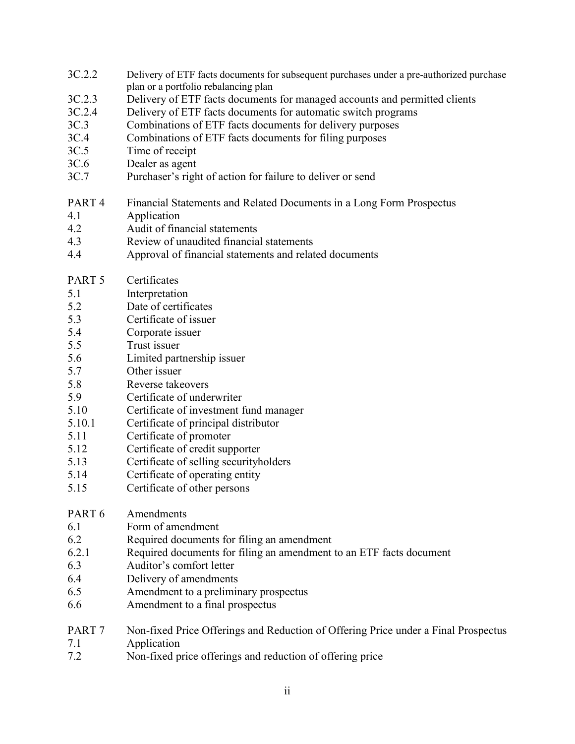| 3C.2.2            | Delivery of ETF facts documents for subsequent purchases under a pre-authorized purchase |
|-------------------|------------------------------------------------------------------------------------------|
|                   | plan or a portfolio rebalancing plan                                                     |
| 3C.2.3            | Delivery of ETF facts documents for managed accounts and permitted clients               |
| 3C.2.4            | Delivery of ETF facts documents for automatic switch programs                            |
| 3C.3              | Combinations of ETF facts documents for delivery purposes                                |
| 3C.4              | Combinations of ETF facts documents for filing purposes                                  |
| 3C.5              | Time of receipt                                                                          |
| 3C.6              | Dealer as agent                                                                          |
| 3C.7              | Purchaser's right of action for failure to deliver or send                               |
| PART <sub>4</sub> | Financial Statements and Related Documents in a Long Form Prospectus                     |
| 4.1               | Application                                                                              |
| 4.2               | Audit of financial statements                                                            |
| 4.3               | Review of unaudited financial statements                                                 |
| 4.4               | Approval of financial statements and related documents                                   |
| PART <sub>5</sub> | Certificates                                                                             |
| 5.1               | Interpretation                                                                           |
| 5.2               | Date of certificates                                                                     |
| 5.3               | Certificate of issuer                                                                    |
| 5.4               | Corporate issuer                                                                         |
| 5.5               | Trust issuer                                                                             |
| 5.6               | Limited partnership issuer                                                               |
| 5.7               | Other issuer                                                                             |
| 5.8               | Reverse takeovers                                                                        |
| 5.9               | Certificate of underwriter                                                               |
| 5.10              | Certificate of investment fund manager                                                   |
| 5.10.1            | Certificate of principal distributor                                                     |
| 5.11              | Certificate of promoter                                                                  |
| 5.12              | Certificate of credit supporter                                                          |
| 5.13              | Certificate of selling securityholders                                                   |
| 5.14              | Certificate of operating entity                                                          |
| 5.15              | Certificate of other persons                                                             |
| PART <sub>6</sub> | Amendments                                                                               |
| 6.1               | Form of amendment                                                                        |
| 6.2               | Required documents for filing an amendment                                               |
| 6.2.1             | Required documents for filing an amendment to an ETF facts document                      |
| 6.3               | Auditor's comfort letter                                                                 |
| 6.4               | Delivery of amendments                                                                   |
| 6.5               | Amendment to a preliminary prospectus                                                    |
| 6.6               | Amendment to a final prospectus                                                          |
|                   |                                                                                          |
| PART <sub>7</sub> | Non-fixed Price Offerings and Reduction of Offering Price under a Final Prospectus       |
| 7.1               | Application                                                                              |

7.2 Non-fixed price offerings and reduction of offering price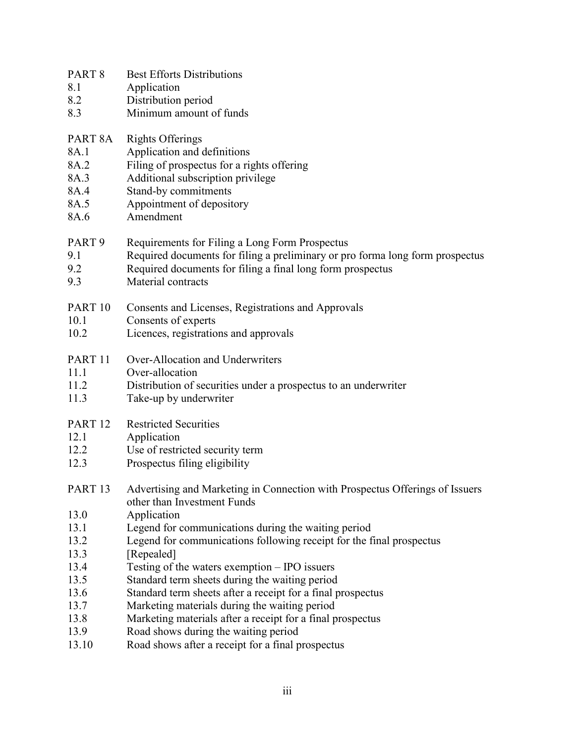| PART <sub>8</sub><br>8.1<br>8.2<br>8.3                             | <b>Best Efforts Distributions</b><br>Application<br>Distribution period<br>Minimum amount of funds                                                                                                                  |
|--------------------------------------------------------------------|---------------------------------------------------------------------------------------------------------------------------------------------------------------------------------------------------------------------|
| PART <sub>8A</sub><br>8A.1<br>8A.2<br>8A.3<br>8A.4<br>8A.5<br>8A.6 | <b>Rights Offerings</b><br>Application and definitions<br>Filing of prospectus for a rights offering<br>Additional subscription privilege<br>Stand-by commitments<br>Appointment of depository<br>Amendment         |
| PART <sub>9</sub><br>9.1<br>9.2<br>9.3                             | Requirements for Filing a Long Form Prospectus<br>Required documents for filing a preliminary or pro forma long form prospectus<br>Required documents for filing a final long form prospectus<br>Material contracts |
| PART <sub>10</sub><br>10.1<br>10.2                                 | Consents and Licenses, Registrations and Approvals<br>Consents of experts<br>Licences, registrations and approvals                                                                                                  |
| PART <sub>11</sub><br>11.1<br>11.2<br>11.3                         | Over-Allocation and Underwriters<br>Over-allocation<br>Distribution of securities under a prospectus to an underwriter<br>Take-up by underwriter                                                                    |
| PART <sub>12</sub><br>12.1<br>12.2<br>12.3                         | <b>Restricted Securities</b><br>Application<br>Use of restricted security term<br>Prospectus filing eligibility                                                                                                     |
|                                                                    | PART 13 Advertising and Marketing in Connection with Prospectus Offerings of Issuers<br>other than Investment Funds                                                                                                 |
| 13.0                                                               | Application                                                                                                                                                                                                         |
| 13.1                                                               | Legend for communications during the waiting period                                                                                                                                                                 |
| 13.2                                                               | Legend for communications following receipt for the final prospectus                                                                                                                                                |
| 13.3                                                               | [Repealed]                                                                                                                                                                                                          |
| 13.4<br>13.5                                                       | Testing of the waters exemption $-$ IPO issuers<br>Standard term sheets during the waiting period                                                                                                                   |
| 13.6                                                               | Standard term sheets after a receipt for a final prospectus                                                                                                                                                         |
| 13.7                                                               | Marketing materials during the waiting period                                                                                                                                                                       |
| 13.8                                                               | Marketing materials after a receipt for a final prospectus                                                                                                                                                          |
| 13.9                                                               | Road shows during the waiting period                                                                                                                                                                                |
| 13.10                                                              | Road shows after a receipt for a final prospectus                                                                                                                                                                   |
|                                                                    |                                                                                                                                                                                                                     |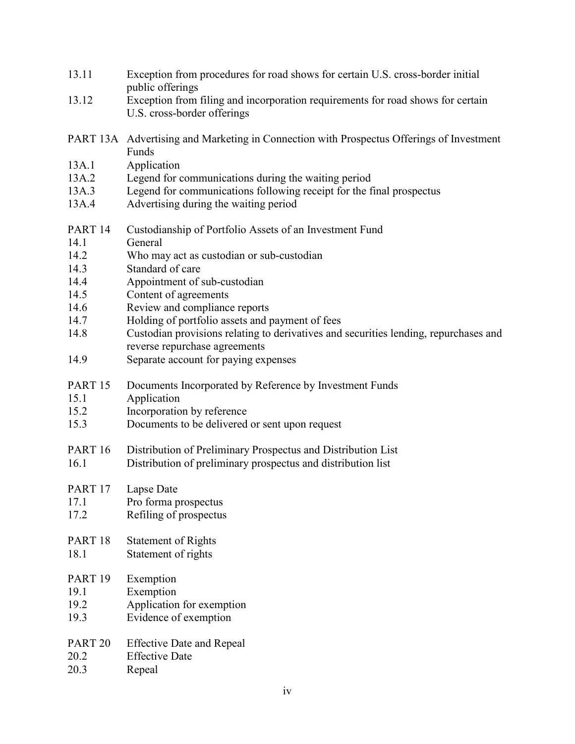| 13.11              | Exception from procedures for road shows for certain U.S. cross-border initial<br>public offerings             |
|--------------------|----------------------------------------------------------------------------------------------------------------|
| 13.12              | Exception from filing and incorporation requirements for road shows for certain<br>U.S. cross-border offerings |
|                    |                                                                                                                |
|                    | PART 13A Advertising and Marketing in Connection with Prospectus Offerings of Investment<br>Funds              |
| 13A.1              | Application                                                                                                    |
| 13A.2              | Legend for communications during the waiting period                                                            |
| 13A.3              | Legend for communications following receipt for the final prospectus                                           |
| 13A.4              | Advertising during the waiting period                                                                          |
|                    |                                                                                                                |
| PART <sub>14</sub> | Custodianship of Portfolio Assets of an Investment Fund                                                        |
| 14.1               | General                                                                                                        |
| 14.2               | Who may act as custodian or sub-custodian                                                                      |
| 14.3               | Standard of care                                                                                               |
| 14.4               | Appointment of sub-custodian                                                                                   |
| 14.5               | Content of agreements                                                                                          |
| 14.6               | Review and compliance reports                                                                                  |
| 14.7               | Holding of portfolio assets and payment of fees                                                                |
| 14.8               | Custodian provisions relating to derivatives and securities lending, repurchases and                           |
|                    | reverse repurchase agreements                                                                                  |
| 14.9               | Separate account for paying expenses                                                                           |
| PART <sub>15</sub> | Documents Incorporated by Reference by Investment Funds                                                        |
| 15.1               | Application                                                                                                    |
| 15.2               | Incorporation by reference                                                                                     |
| 15.3               | Documents to be delivered or sent upon request                                                                 |
|                    |                                                                                                                |
| <b>PART 16</b>     | Distribution of Preliminary Prospectus and Distribution List                                                   |
| 16.1               | Distribution of preliminary prospectus and distribution list                                                   |
|                    | PART 17 Lapse Date                                                                                             |
| 17.1               | Pro forma prospectus                                                                                           |
| 17.2               | Refiling of prospectus                                                                                         |
|                    |                                                                                                                |
| PART <sub>18</sub> | <b>Statement of Rights</b>                                                                                     |
| 18.1               | Statement of rights                                                                                            |
|                    |                                                                                                                |
| PART <sub>19</sub> | Exemption                                                                                                      |
| 19.1               | Exemption                                                                                                      |
| 19.2               | Application for exemption                                                                                      |
| 19.3               | Evidence of exemption                                                                                          |
| PART <sub>20</sub> | <b>Effective Date and Repeal</b>                                                                               |

- 20.2 Effective Date<br>20.3 Repeal
- Repeal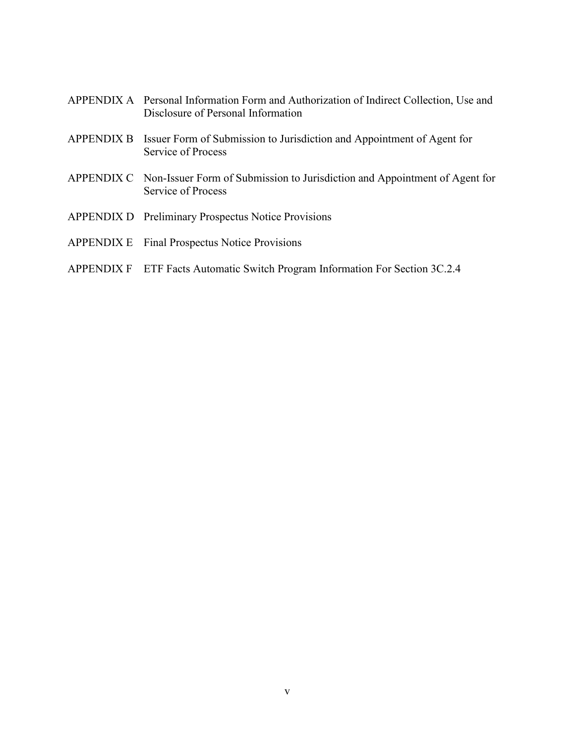| APPENDIX A Personal Information Form and Authorization of Indirect Collection, Use and<br>Disclosure of Personal Information |
|------------------------------------------------------------------------------------------------------------------------------|
| APPENDIX B Issuer Form of Submission to Jurisdiction and Appointment of Agent for<br>Service of Process                      |
| APPENDIX C Non-Issuer Form of Submission to Jurisdiction and Appointment of Agent for<br>Service of Process                  |
| <b>APPENDIX D</b> Preliminary Prospectus Notice Provisions                                                                   |
| APPENDIX E Final Prospectus Notice Provisions                                                                                |
|                                                                                                                              |

# APPENDIX F ETF Facts Automatic Switch Program Information For Section 3C.2.4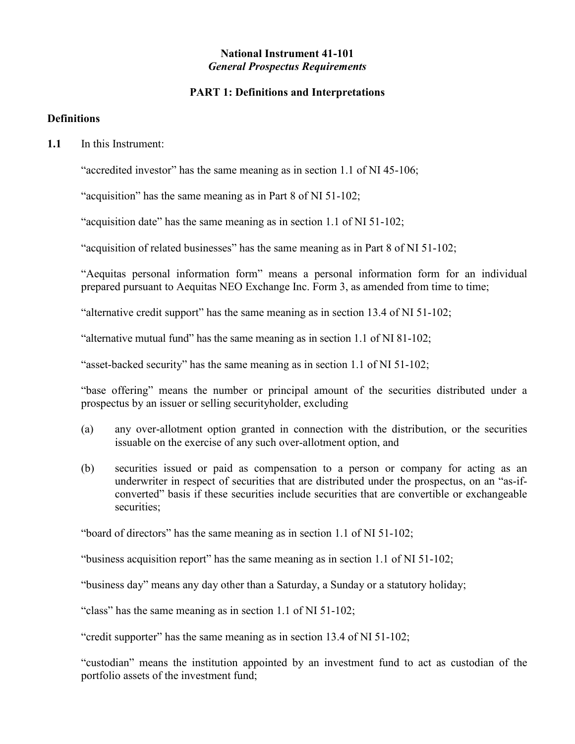## **National Instrument 41-101** *General Prospectus Requirements*

## **PART 1: Definitions and Interpretations**

#### **Definitions**

**1.1** In this Instrument:

"accredited investor" has the same meaning as in section 1.1 of NI 45-106;

"acquisition" has the same meaning as in Part 8 of NI 51-102;

"acquisition date" has the same meaning as in section 1.1 of NI 51-102;

"acquisition of related businesses" has the same meaning as in Part 8 of NI 51-102;

"Aequitas personal information form" means a personal information form for an individual prepared pursuant to Aequitas NEO Exchange Inc. Form 3, as amended from time to time;

"alternative credit support" has the same meaning as in section 13.4 of NI 51-102;

"alternative mutual fund" has the same meaning as in section 1.1 of NI 81-102;

"asset-backed security" has the same meaning as in section 1.1 of NI 51-102;

"base offering" means the number or principal amount of the securities distributed under a prospectus by an issuer or selling securityholder, excluding

- (a) any over-allotment option granted in connection with the distribution, or the securities issuable on the exercise of any such over-allotment option, and
- (b) securities issued or paid as compensation to a person or company for acting as an underwriter in respect of securities that are distributed under the prospectus, on an "as-ifconverted" basis if these securities include securities that are convertible or exchangeable securities;

"board of directors" has the same meaning as in section 1.1 of NI 51-102;

"business acquisition report" has the same meaning as in section 1.1 of NI 51-102;

"business day" means any day other than a Saturday, a Sunday or a statutory holiday;

"class" has the same meaning as in section 1.1 of NI 51-102;

"credit supporter" has the same meaning as in section 13.4 of NI 51-102;

"custodian" means the institution appointed by an investment fund to act as custodian of the portfolio assets of the investment fund;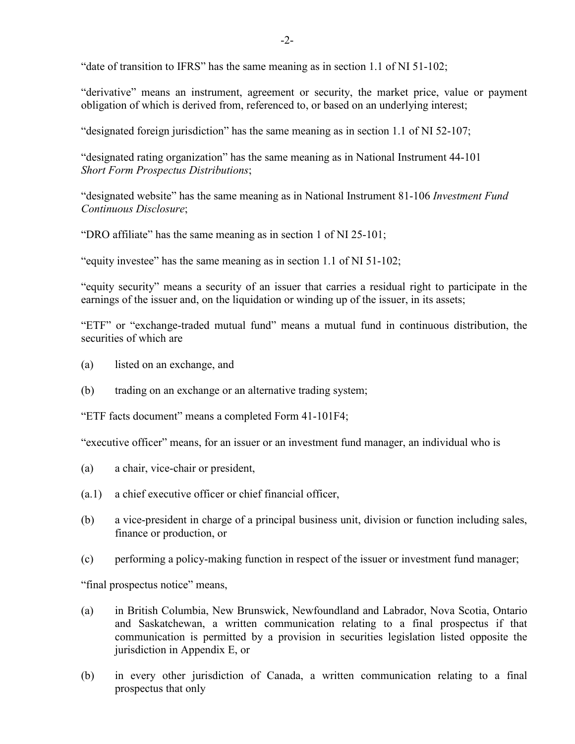"date of transition to IFRS" has the same meaning as in section 1.1 of NI 51-102;

"derivative" means an instrument, agreement or security, the market price, value or payment obligation of which is derived from, referenced to, or based on an underlying interest;

"designated foreign jurisdiction" has the same meaning as in section 1.1 of NI 52-107;

"designated rating organization" has the same meaning as in National Instrument 44-101 *Short Form Prospectus Distributions*;

"designated website" has the same meaning as in National Instrument 81-106 *Investment Fund Continuous Disclosure*;

"DRO affiliate" has the same meaning as in section 1 of NI 25-101;

"equity investee" has the same meaning as in section 1.1 of NI 51-102;

"equity security" means a security of an issuer that carries a residual right to participate in the earnings of the issuer and, on the liquidation or winding up of the issuer, in its assets;

"ETF" or "exchange-traded mutual fund" means a mutual fund in continuous distribution, the securities of which are

- (a) listed on an exchange, and
- (b) trading on an exchange or an alternative trading system;

"ETF facts document" means a completed Form 41-101F4;

"executive officer" means, for an issuer or an investment fund manager, an individual who is

- (a) a chair, vice-chair or president,
- (a.1) a chief executive officer or chief financial officer,
- (b) a vice-president in charge of a principal business unit, division or function including sales, finance or production, or
- (c) performing a policy-making function in respect of the issuer or investment fund manager;

"final prospectus notice" means,

- (a) in British Columbia, New Brunswick, Newfoundland and Labrador, Nova Scotia, Ontario and Saskatchewan, a written communication relating to a final prospectus if that communication is permitted by a provision in securities legislation listed opposite the jurisdiction in Appendix E, or
- (b) in every other jurisdiction of Canada, a written communication relating to a final prospectus that only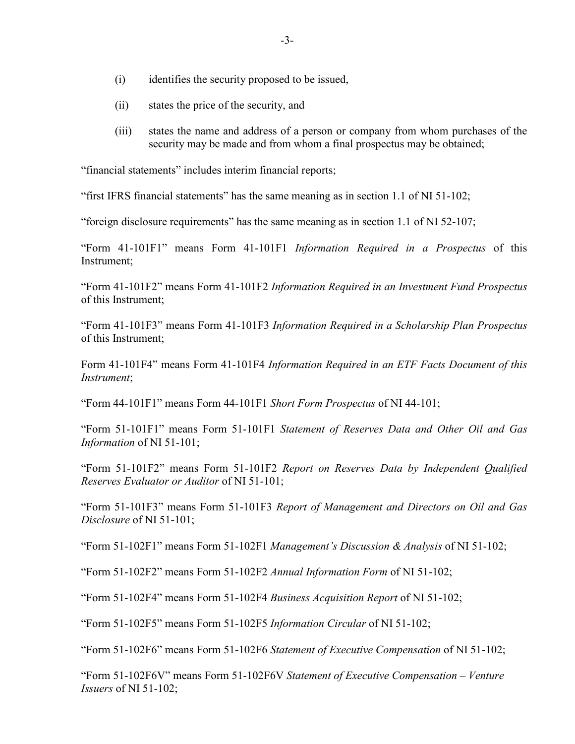- (i) identifies the security proposed to be issued,
- (ii) states the price of the security, and
- (iii) states the name and address of a person or company from whom purchases of the security may be made and from whom a final prospectus may be obtained;

"financial statements" includes interim financial reports;

"first IFRS financial statements" has the same meaning as in section 1.1 of NI 51-102;

"foreign disclosure requirements" has the same meaning as in section 1.1 of NI 52-107;

"Form 41-101F1" means Form 41-101F1 *Information Required in a Prospectus* of this Instrument;

"Form 41-101F2" means Form 41-101F2 *Information Required in an Investment Fund Prospectus*  of this Instrument;

"Form 41-101F3" means Form 41-101F3 *Information Required in a Scholarship Plan Prospectus*  of this Instrument;

Form 41-101F4" means Form 41-101F4 *Information Required in an ETF Facts Document of this Instrument*;

"Form 44-101F1" means Form 44-101F1 *Short Form Prospectus* of NI 44-101;

"Form 51-101F1" means Form 51-101F1 *Statement of Reserves Data and Other Oil and Gas Information* of NI 51-101;

"Form 51-101F2" means Form 51-101F2 *Report on Reserves Data by Independent Qualified Reserves Evaluator or Auditor* of NI 51-101;

"Form 51-101F3" means Form 51-101F3 *Report of Management and Directors on Oil and Gas Disclosure* of NI 51-101;

"Form 51-102F1" means Form 51-102F1 *Management's Discussion & Analysis* of NI 51-102;

"Form 51-102F2" means Form 51-102F2 *Annual Information Form* of NI 51-102;

"Form 51-102F4" means Form 51-102F4 *Business Acquisition Report* of NI 51-102;

"Form 51-102F5" means Form 51-102F5 *Information Circular* of NI 51-102;

"Form 51-102F6" means Form 51-102F6 *Statement of Executive Compensation* of NI 51-102;

"Form 51-102F6V" means Form 51-102F6V *Statement of Executive Compensation – Venture Issuers* of NI 51-102;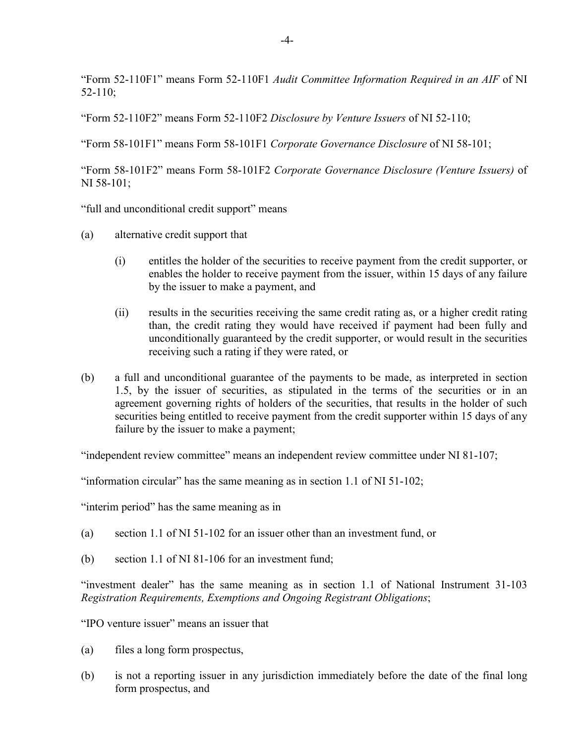"Form 52-110F1" means Form 52-110F1 *Audit Committee Information Required in an AIF* of NI 52-110;

"Form 52-110F2" means Form 52-110F2 *Disclosure by Venture Issuers* of NI 52-110;

"Form 58-101F1" means Form 58-101F1 *Corporate Governance Disclosure* of NI 58-101;

"Form 58-101F2" means Form 58-101F2 *Corporate Governance Disclosure (Venture Issuers)* of NI 58-101;

"full and unconditional credit support" means

- (a) alternative credit support that
	- (i) entitles the holder of the securities to receive payment from the credit supporter, or enables the holder to receive payment from the issuer, within 15 days of any failure by the issuer to make a payment, and
	- (ii) results in the securities receiving the same credit rating as, or a higher credit rating than, the credit rating they would have received if payment had been fully and unconditionally guaranteed by the credit supporter, or would result in the securities receiving such a rating if they were rated, or
- (b) a full and unconditional guarantee of the payments to be made, as interpreted in section 1.5, by the issuer of securities, as stipulated in the terms of the securities or in an agreement governing rights of holders of the securities, that results in the holder of such securities being entitled to receive payment from the credit supporter within 15 days of any failure by the issuer to make a payment;

"independent review committee" means an independent review committee under NI 81-107;

"information circular" has the same meaning as in section 1.1 of NI 51-102;

"interim period" has the same meaning as in

- (a) section 1.1 of NI 51-102 for an issuer other than an investment fund, or
- (b) section 1.1 of NI 81-106 for an investment fund;

"investment dealer" has the same meaning as in section 1.1 of National Instrument 31-103 *Registration Requirements, Exemptions and Ongoing Registrant Obligations*;

"IPO venture issuer" means an issuer that

- (a) files a long form prospectus,
- (b) is not a reporting issuer in any jurisdiction immediately before the date of the final long form prospectus, and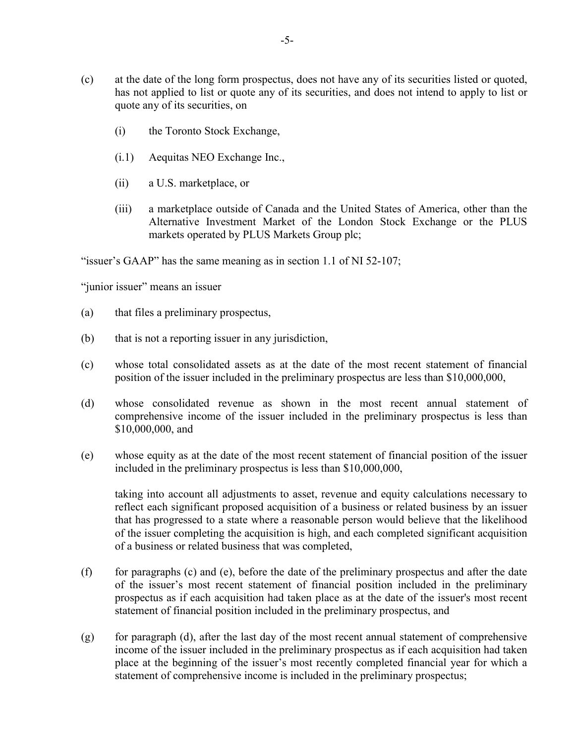- (c) at the date of the long form prospectus, does not have any of its securities listed or quoted, has not applied to list or quote any of its securities, and does not intend to apply to list or quote any of its securities, on
	- (i) the Toronto Stock Exchange,
	- (i.1) Aequitas NEO Exchange Inc.,
	- (ii) a U.S. marketplace, or
	- (iii) a marketplace outside of Canada and the United States of America, other than the Alternative Investment Market of the London Stock Exchange or the PLUS markets operated by PLUS Markets Group plc;

"issuer's GAAP" has the same meaning as in section 1.1 of NI 52-107;

"junior issuer" means an issuer

- (a) that files a preliminary prospectus,
- (b) that is not a reporting issuer in any jurisdiction,
- (c) whose total consolidated assets as at the date of the most recent statement of financial position of the issuer included in the preliminary prospectus are less than \$10,000,000,
- (d) whose consolidated revenue as shown in the most recent annual statement of comprehensive income of the issuer included in the preliminary prospectus is less than \$10,000,000, and
- (e) whose equity as at the date of the most recent statement of financial position of the issuer included in the preliminary prospectus is less than \$10,000,000,

taking into account all adjustments to asset, revenue and equity calculations necessary to reflect each significant proposed acquisition of a business or related business by an issuer that has progressed to a state where a reasonable person would believe that the likelihood of the issuer completing the acquisition is high, and each completed significant acquisition of a business or related business that was completed,

- $(f)$  for paragraphs  $(c)$  and  $(e)$ , before the date of the preliminary prospectus and after the date of the issuer's most recent statement of financial position included in the preliminary prospectus as if each acquisition had taken place as at the date of the issuer's most recent statement of financial position included in the preliminary prospectus, and
- $(g)$  for paragraph (d), after the last day of the most recent annual statement of comprehensive income of the issuer included in the preliminary prospectus as if each acquisition had taken place at the beginning of the issuer's most recently completed financial year for which a statement of comprehensive income is included in the preliminary prospectus;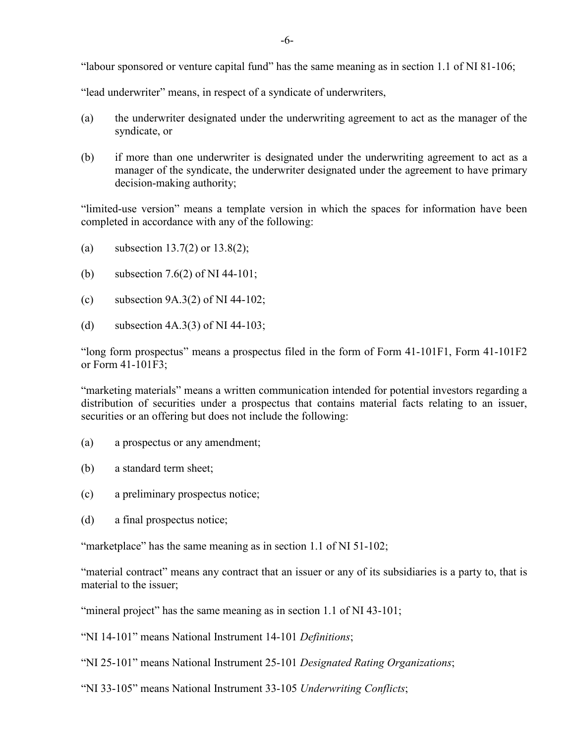"labour sponsored or venture capital fund" has the same meaning as in section 1.1 of NI 81-106;

"lead underwriter" means, in respect of a syndicate of underwriters,

- (a) the underwriter designated under the underwriting agreement to act as the manager of the syndicate, or
- (b) if more than one underwriter is designated under the underwriting agreement to act as a manager of the syndicate, the underwriter designated under the agreement to have primary decision-making authority;

"limited-use version" means a template version in which the spaces for information have been completed in accordance with any of the following:

- (a) subsection 13.7(2) or 13.8(2);
- (b) subsection 7.6(2) of NI 44-101;
- (c) subsection  $9A.3(2)$  of NI 44-102;
- (d) subsection 4A.3(3) of NI 44-103;

"long form prospectus" means a prospectus filed in the form of Form 41-101F1, Form 41-101F2 or Form 41-101F3;

"marketing materials" means a written communication intended for potential investors regarding a distribution of securities under a prospectus that contains material facts relating to an issuer, securities or an offering but does not include the following:

- (a) a prospectus or any amendment;
- (b) a standard term sheet;
- (c) a preliminary prospectus notice;
- (d) a final prospectus notice;

"marketplace" has the same meaning as in section 1.1 of NI 51-102;

"material contract" means any contract that an issuer or any of its subsidiaries is a party to, that is material to the issuer;

"mineral project" has the same meaning as in section 1.1 of NI 43-101;

"NI 14-101" means National Instrument 14-101 *Definitions*;

"NI 25-101" means National Instrument 25-101 *Designated Rating Organizations*;

"NI 33-105" means National Instrument 33-105 *Underwriting Conflicts*;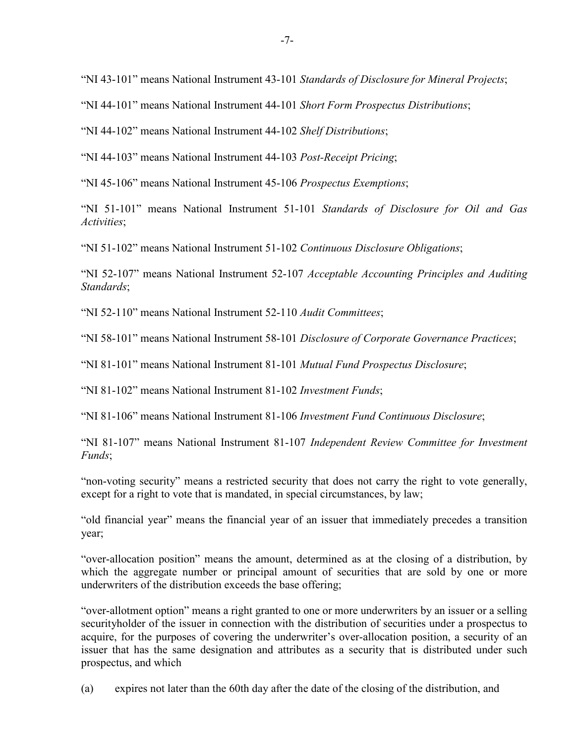"NI 43-101" means National Instrument 43-101 *Standards of Disclosure for Mineral Projects*;

"NI 44-101" means National Instrument 44-101 *Short Form Prospectus Distributions*;

"NI 44-102" means National Instrument 44-102 *Shelf Distributions*;

"NI 44-103" means National Instrument 44-103 *Post-Receipt Pricing*;

"NI 45-106" means National Instrument 45-106 *Prospectus Exemptions*;

"NI 51-101" means National Instrument 51-101 *Standards of Disclosure for Oil and Gas Activities*;

"NI 51-102" means National Instrument 51-102 *Continuous Disclosure Obligations*;

"NI 52-107" means National Instrument 52-107 *Acceptable Accounting Principles and Auditing Standards*;

"NI 52-110" means National Instrument 52-110 *Audit Committees*;

"NI 58-101" means National Instrument 58-101 *Disclosure of Corporate Governance Practices*;

"NI 81-101" means National Instrument 81-101 *Mutual Fund Prospectus Disclosure*;

"NI 81-102" means National Instrument 81-102 *Investment Funds*;

"NI 81-106" means National Instrument 81-106 *Investment Fund Continuous Disclosure*;

"NI 81-107" means National Instrument 81-107 *Independent Review Committee for Investment Funds*;

"non-voting security" means a restricted security that does not carry the right to vote generally, except for a right to vote that is mandated, in special circumstances, by law;

"old financial year" means the financial year of an issuer that immediately precedes a transition year;

"over-allocation position" means the amount, determined as at the closing of a distribution, by which the aggregate number or principal amount of securities that are sold by one or more underwriters of the distribution exceeds the base offering;

"over-allotment option" means a right granted to one or more underwriters by an issuer or a selling securityholder of the issuer in connection with the distribution of securities under a prospectus to acquire, for the purposes of covering the underwriter's over-allocation position, a security of an issuer that has the same designation and attributes as a security that is distributed under such prospectus, and which

(a) expires not later than the 60th day after the date of the closing of the distribution, and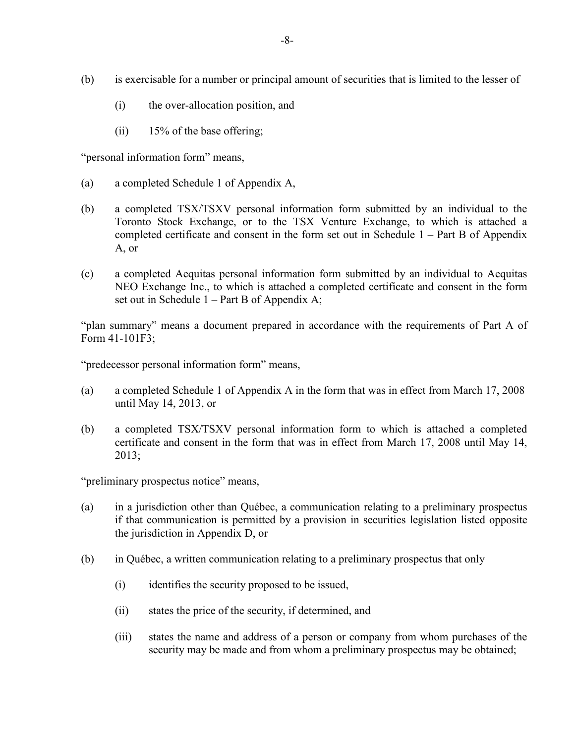- (b) is exercisable for a number or principal amount of securities that is limited to the lesser of
	- (i) the over-allocation position, and
	- (ii) 15% of the base offering;

"personal information form" means,

- (a) a completed Schedule 1 of Appendix A,
- (b) a completed TSX/TSXV personal information form submitted by an individual to the Toronto Stock Exchange, or to the TSX Venture Exchange, to which is attached a completed certificate and consent in the form set out in Schedule 1 – Part B of Appendix A, or
- (c) a completed Aequitas personal information form submitted by an individual to Aequitas NEO Exchange Inc., to which is attached a completed certificate and consent in the form set out in Schedule 1 – Part B of Appendix A;

"plan summary" means a document prepared in accordance with the requirements of Part A of Form 41-101F3;

"predecessor personal information form" means,

- (a) a completed Schedule 1 of Appendix A in the form that was in effect from March 17, 2008 until May 14, 2013, or
- (b) a completed TSX/TSXV personal information form to which is attached a completed certificate and consent in the form that was in effect from March 17, 2008 until May 14, 2013;

"preliminary prospectus notice" means,

- (a) in a jurisdiction other than Québec, a communication relating to a preliminary prospectus if that communication is permitted by a provision in securities legislation listed opposite the jurisdiction in Appendix D, or
- (b) in Québec, a written communication relating to a preliminary prospectus that only
	- (i) identifies the security proposed to be issued,
	- (ii) states the price of the security, if determined, and
	- (iii) states the name and address of a person or company from whom purchases of the security may be made and from whom a preliminary prospectus may be obtained;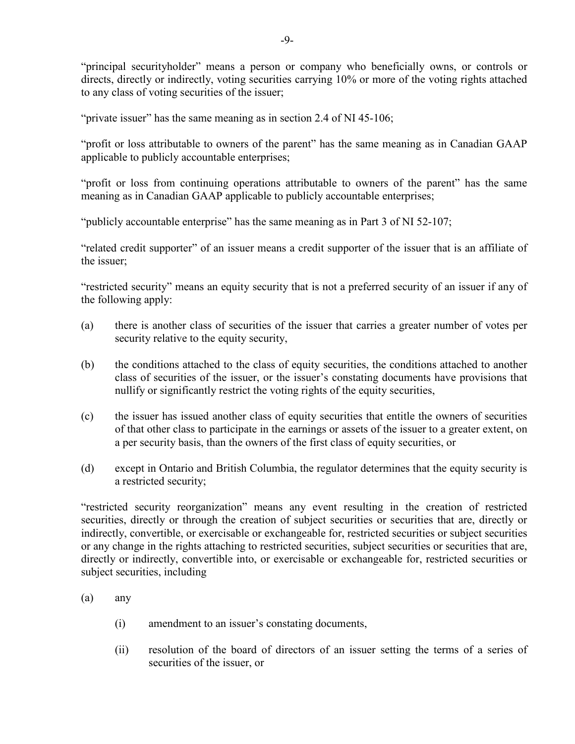"principal securityholder" means a person or company who beneficially owns, or controls or directs, directly or indirectly, voting securities carrying 10% or more of the voting rights attached to any class of voting securities of the issuer;

"private issuer" has the same meaning as in section 2.4 of NI 45-106;

"profit or loss attributable to owners of the parent" has the same meaning as in Canadian GAAP applicable to publicly accountable enterprises;

"profit or loss from continuing operations attributable to owners of the parent" has the same meaning as in Canadian GAAP applicable to publicly accountable enterprises;

"publicly accountable enterprise" has the same meaning as in Part 3 of NI 52-107;

"related credit supporter" of an issuer means a credit supporter of the issuer that is an affiliate of the issuer;

"restricted security" means an equity security that is not a preferred security of an issuer if any of the following apply:

- (a) there is another class of securities of the issuer that carries a greater number of votes per security relative to the equity security,
- (b) the conditions attached to the class of equity securities, the conditions attached to another class of securities of the issuer, or the issuer's constating documents have provisions that nullify or significantly restrict the voting rights of the equity securities,
- (c) the issuer has issued another class of equity securities that entitle the owners of securities of that other class to participate in the earnings or assets of the issuer to a greater extent, on a per security basis, than the owners of the first class of equity securities, or
- (d) except in Ontario and British Columbia, the regulator determines that the equity security is a restricted security;

"restricted security reorganization" means any event resulting in the creation of restricted securities, directly or through the creation of subject securities or securities that are, directly or indirectly, convertible, or exercisable or exchangeable for, restricted securities or subject securities or any change in the rights attaching to restricted securities, subject securities or securities that are, directly or indirectly, convertible into, or exercisable or exchangeable for, restricted securities or subject securities, including

- (a) any
	- (i) amendment to an issuer's constating documents,
	- (ii) resolution of the board of directors of an issuer setting the terms of a series of securities of the issuer, or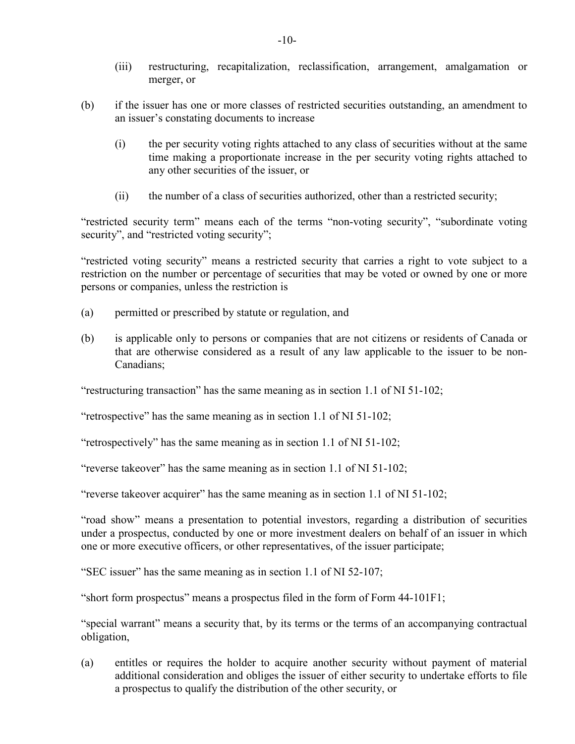- (iii) restructuring, recapitalization, reclassification, arrangement, amalgamation or merger, or
- (b) if the issuer has one or more classes of restricted securities outstanding, an amendment to an issuer's constating documents to increase
	- (i) the per security voting rights attached to any class of securities without at the same time making a proportionate increase in the per security voting rights attached to any other securities of the issuer, or
	- (ii) the number of a class of securities authorized, other than a restricted security;

"restricted security term" means each of the terms "non-voting security", "subordinate voting security", and "restricted voting security";

"restricted voting security" means a restricted security that carries a right to vote subject to a restriction on the number or percentage of securities that may be voted or owned by one or more persons or companies, unless the restriction is

- (a) permitted or prescribed by statute or regulation, and
- (b) is applicable only to persons or companies that are not citizens or residents of Canada or that are otherwise considered as a result of any law applicable to the issuer to be non-Canadians;

"restructuring transaction" has the same meaning as in section 1.1 of NI 51-102;

"retrospective" has the same meaning as in section 1.1 of NI 51-102;

"retrospectively" has the same meaning as in section 1.1 of NI 51-102;

"reverse takeover" has the same meaning as in section 1.1 of NI 51-102;

"reverse takeover acquirer" has the same meaning as in section 1.1 of NI 51-102;

"road show" means a presentation to potential investors, regarding a distribution of securities under a prospectus, conducted by one or more investment dealers on behalf of an issuer in which one or more executive officers, or other representatives, of the issuer participate;

"SEC issuer" has the same meaning as in section 1.1 of NI 52-107;

"short form prospectus" means a prospectus filed in the form of Form 44-101F1;

"special warrant" means a security that, by its terms or the terms of an accompanying contractual obligation,

(a) entitles or requires the holder to acquire another security without payment of material additional consideration and obliges the issuer of either security to undertake efforts to file a prospectus to qualify the distribution of the other security, or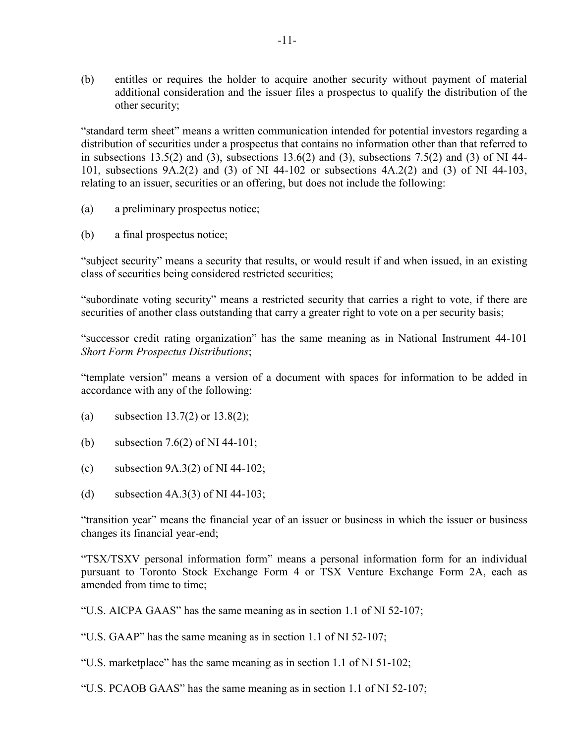(b) entitles or requires the holder to acquire another security without payment of material additional consideration and the issuer files a prospectus to qualify the distribution of the other security;

"standard term sheet" means a written communication intended for potential investors regarding a distribution of securities under a prospectus that contains no information other than that referred to in subsections 13.5(2) and (3), subsections 13.6(2) and (3), subsections 7.5(2) and (3) of NI 44-101, subsections 9A.2(2) and (3) of NI 44-102 or subsections 4A.2(2) and (3) of NI 44-103, relating to an issuer, securities or an offering, but does not include the following:

- (a) a preliminary prospectus notice;
- (b) a final prospectus notice;

"subject security" means a security that results, or would result if and when issued, in an existing class of securities being considered restricted securities;

"subordinate voting security" means a restricted security that carries a right to vote, if there are securities of another class outstanding that carry a greater right to vote on a per security basis;

"successor credit rating organization" has the same meaning as in National Instrument 44-101 *Short Form Prospectus Distributions*;

"template version" means a version of a document with spaces for information to be added in accordance with any of the following:

- (a) subsection  $13.7(2)$  or  $13.8(2)$ ;
- (b) subsection 7.6(2) of NI 44-101;
- (c) subsection  $9A.3(2)$  of NI 44-102;
- (d) subsection  $4A.3(3)$  of NI  $44-103$ ;

"transition year" means the financial year of an issuer or business in which the issuer or business changes its financial year-end;

"TSX/TSXV personal information form" means a personal information form for an individual pursuant to Toronto Stock Exchange Form 4 or TSX Venture Exchange Form 2A, each as amended from time to time;

"U.S. AICPA GAAS" has the same meaning as in section 1.1 of NI 52-107;

"U.S. GAAP" has the same meaning as in section 1.1 of NI 52-107;

"U.S. marketplace" has the same meaning as in section 1.1 of NI 51-102;

"U.S. PCAOB GAAS" has the same meaning as in section 1.1 of NI 52-107;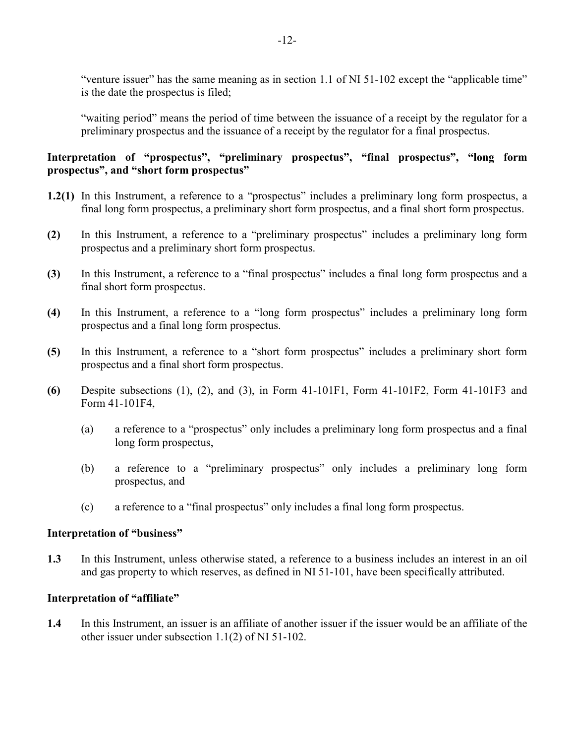"venture issuer" has the same meaning as in section 1.1 of NI 51-102 except the "applicable time" is the date the prospectus is filed;

"waiting period" means the period of time between the issuance of a receipt by the regulator for a preliminary prospectus and the issuance of a receipt by the regulator for a final prospectus.

# **Interpretation of "prospectus", "preliminary prospectus", "final prospectus", "long form prospectus", and "short form prospectus"**

- **1.2(1)** In this Instrument, a reference to a "prospectus" includes a preliminary long form prospectus, a final long form prospectus, a preliminary short form prospectus, and a final short form prospectus.
- **(2)** In this Instrument, a reference to a "preliminary prospectus" includes a preliminary long form prospectus and a preliminary short form prospectus.
- **(3)** In this Instrument, a reference to a "final prospectus" includes a final long form prospectus and a final short form prospectus.
- **(4)** In this Instrument, a reference to a "long form prospectus" includes a preliminary long form prospectus and a final long form prospectus.
- **(5)** In this Instrument, a reference to a "short form prospectus" includes a preliminary short form prospectus and a final short form prospectus.
- **(6)** Despite subsections (1), (2), and (3), in Form 41-101F1, Form 41-101F2, Form 41-101F3 and Form 41-101F4,
	- (a) a reference to a "prospectus" only includes a preliminary long form prospectus and a final long form prospectus,
	- (b) a reference to a "preliminary prospectus" only includes a preliminary long form prospectus, and
	- (c) a reference to a "final prospectus" only includes a final long form prospectus.

#### **Interpretation of "business"**

**1.3** In this Instrument, unless otherwise stated, a reference to a business includes an interest in an oil and gas property to which reserves, as defined in NI 51-101, have been specifically attributed.

#### **Interpretation of "affiliate"**

**1.4** In this Instrument, an issuer is an affiliate of another issuer if the issuer would be an affiliate of the other issuer under subsection 1.1(2) of NI 51-102.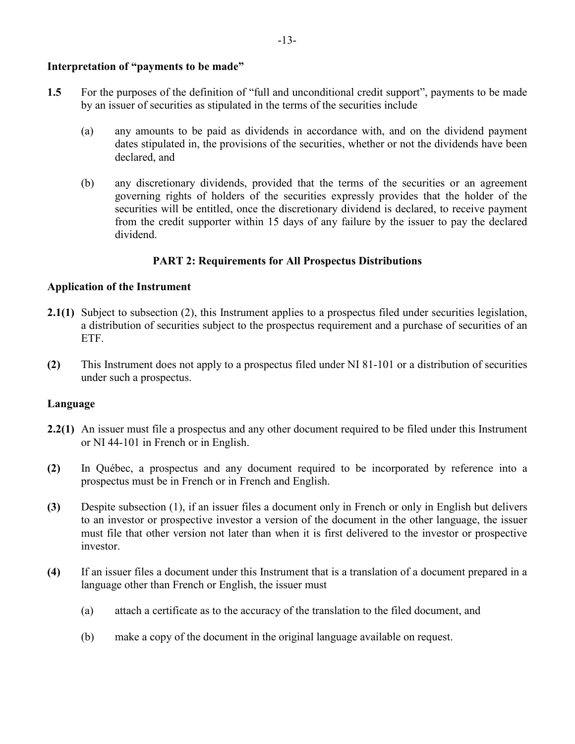#### **Interpretation of "payments to be made"**

- **1.5** For the purposes of the definition of "full and unconditional credit support", payments to be made by an issuer of securities as stipulated in the terms of the securities include
	- (a) any amounts to be paid as dividends in accordance with, and on the dividend payment dates stipulated in, the provisions of the securities, whether or not the dividends have been declared, and
	- (b) any discretionary dividends, provided that the terms of the securities or an agreement governing rights of holders of the securities expressly provides that the holder of the securities will be entitled, once the discretionary dividend is declared, to receive payment from the credit supporter within 15 days of any failure by the issuer to pay the declared dividend.

## **PART 2: Requirements for All Prospectus Distributions**

#### **Application of the Instrument**

- **2.1(1)** Subject to subsection (2), this Instrument applies to a prospectus filed under securities legislation, a distribution of securities subject to the prospectus requirement and a purchase of securities of an ETF.
- **(2)** This Instrument does not apply to a prospectus filed under NI 81-101 or a distribution of securities under such a prospectus.

#### **Language**

- **2.2(1)** An issuer must file a prospectus and any other document required to be filed under this Instrument or NI 44-101 in French or in English.
- **(2)** In Québec, a prospectus and any document required to be incorporated by reference into a prospectus must be in French or in French and English.
- **(3)** Despite subsection (1), if an issuer files a document only in French or only in English but delivers to an investor or prospective investor a version of the document in the other language, the issuer must file that other version not later than when it is first delivered to the investor or prospective investor.
- **(4)** If an issuer files a document under this Instrument that is a translation of a document prepared in a language other than French or English, the issuer must
	- (a) attach a certificate as to the accuracy of the translation to the filed document, and
	- (b) make a copy of the document in the original language available on request.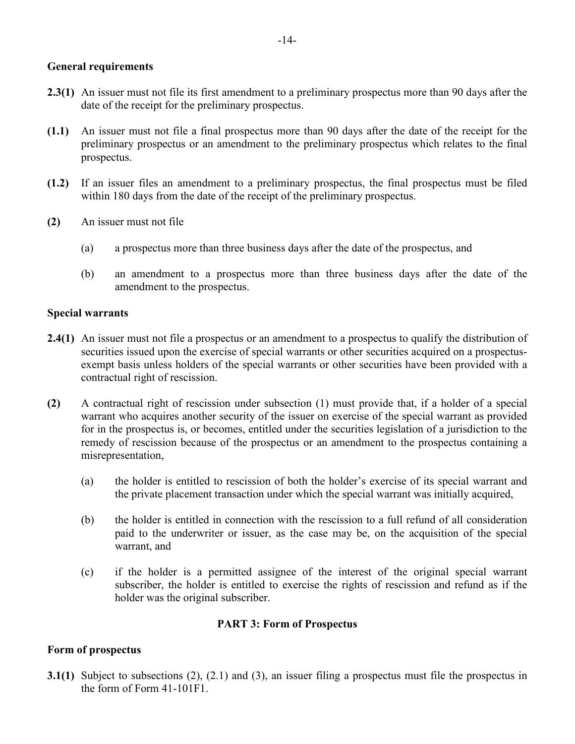#### **General requirements**

- **2.3(1)** An issuer must not file its first amendment to a preliminary prospectus more than 90 days after the date of the receipt for the preliminary prospectus.
- **(1.1)** An issuer must not file a final prospectus more than 90 days after the date of the receipt for the preliminary prospectus or an amendment to the preliminary prospectus which relates to the final prospectus.
- **(1.2)** If an issuer files an amendment to a preliminary prospectus, the final prospectus must be filed within 180 days from the date of the receipt of the preliminary prospectus.
- **(2)** An issuer must not file
	- (a) a prospectus more than three business days after the date of the prospectus, and
	- (b) an amendment to a prospectus more than three business days after the date of the amendment to the prospectus.

#### **Special warrants**

- **2.4(1)** An issuer must not file a prospectus or an amendment to a prospectus to qualify the distribution of securities issued upon the exercise of special warrants or other securities acquired on a prospectusexempt basis unless holders of the special warrants or other securities have been provided with a contractual right of rescission.
- **(2)** A contractual right of rescission under subsection (1) must provide that, if a holder of a special warrant who acquires another security of the issuer on exercise of the special warrant as provided for in the prospectus is, or becomes, entitled under the securities legislation of a jurisdiction to the remedy of rescission because of the prospectus or an amendment to the prospectus containing a misrepresentation,
	- (a) the holder is entitled to rescission of both the holder's exercise of its special warrant and the private placement transaction under which the special warrant was initially acquired,
	- (b) the holder is entitled in connection with the rescission to a full refund of all consideration paid to the underwriter or issuer, as the case may be, on the acquisition of the special warrant, and
	- (c) if the holder is a permitted assignee of the interest of the original special warrant subscriber, the holder is entitled to exercise the rights of rescission and refund as if the holder was the original subscriber.

#### **PART 3: Form of Prospectus**

# **Form of prospectus**

**3.1(1)** Subject to subsections (2), (2.1) and (3), an issuer filing a prospectus must file the prospectus in the form of Form 41-101F1.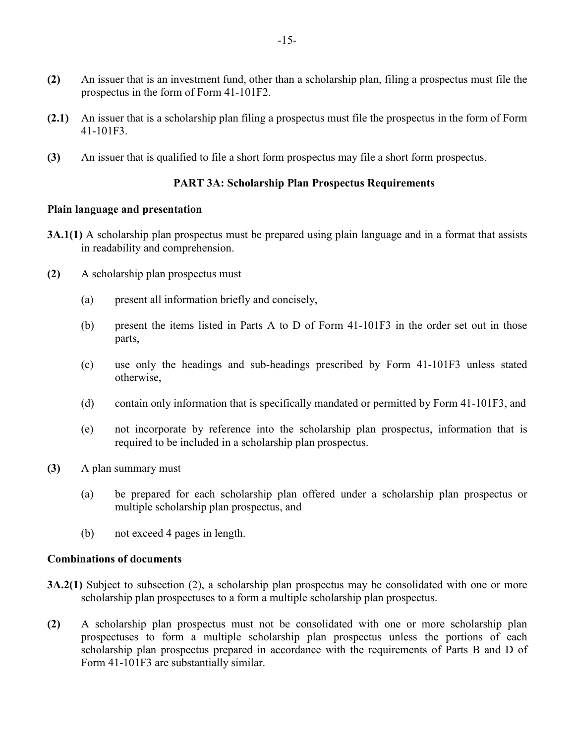- **(2)** An issuer that is an investment fund, other than a scholarship plan, filing a prospectus must file the prospectus in the form of Form 41-101F2.
- **(2.1)** An issuer that is a scholarship plan filing a prospectus must file the prospectus in the form of Form 41-101F3.
- **(3)** An issuer that is qualified to file a short form prospectus may file a short form prospectus.

#### **PART 3A: Scholarship Plan Prospectus Requirements**

#### **Plain language and presentation**

- **3A.1(1)** A scholarship plan prospectus must be prepared using plain language and in a format that assists in readability and comprehension.
- **(2)** A scholarship plan prospectus must
	- (a) present all information briefly and concisely,
	- (b) present the items listed in Parts A to D of Form 41-101F3 in the order set out in those parts,
	- (c) use only the headings and sub-headings prescribed by Form 41-101F3 unless stated otherwise,
	- (d) contain only information that is specifically mandated or permitted by Form 41-101F3, and
	- (e) not incorporate by reference into the scholarship plan prospectus, information that is required to be included in a scholarship plan prospectus.
- **(3)** A plan summary must
	- (a) be prepared for each scholarship plan offered under a scholarship plan prospectus or multiple scholarship plan prospectus, and
	- (b) not exceed 4 pages in length.

#### **Combinations of documents**

- **3A.2(1)** Subject to subsection (2), a scholarship plan prospectus may be consolidated with one or more scholarship plan prospectuses to a form a multiple scholarship plan prospectus.
- **(2)** A scholarship plan prospectus must not be consolidated with one or more scholarship plan prospectuses to form a multiple scholarship plan prospectus unless the portions of each scholarship plan prospectus prepared in accordance with the requirements of Parts B and D of Form 41-101F3 are substantially similar.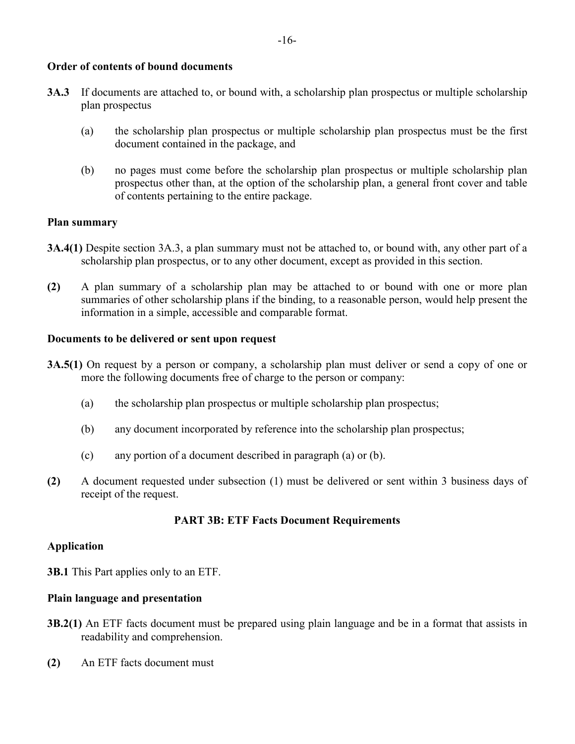#### **Order of contents of bound documents**

- **3A.3** If documents are attached to, or bound with, a scholarship plan prospectus or multiple scholarship plan prospectus
	- (a) the scholarship plan prospectus or multiple scholarship plan prospectus must be the first document contained in the package, and
	- (b) no pages must come before the scholarship plan prospectus or multiple scholarship plan prospectus other than, at the option of the scholarship plan, a general front cover and table of contents pertaining to the entire package.

# **Plan summary**

- **3A.4(1)** Despite section 3A.3, a plan summary must not be attached to, or bound with, any other part of a scholarship plan prospectus, or to any other document, except as provided in this section.
- **(2)** A plan summary of a scholarship plan may be attached to or bound with one or more plan summaries of other scholarship plans if the binding, to a reasonable person, would help present the information in a simple, accessible and comparable format.

## **Documents to be delivered or sent upon request**

- **3A.5(1)** On request by a person or company, a scholarship plan must deliver or send a copy of one or more the following documents free of charge to the person or company:
	- (a) the scholarship plan prospectus or multiple scholarship plan prospectus;
	- (b) any document incorporated by reference into the scholarship plan prospectus;
	- (c) any portion of a document described in paragraph (a) or (b).
- **(2)** A document requested under subsection (1) must be delivered or sent within 3 business days of receipt of the request.

#### **PART 3B: ETF Facts Document Requirements**

#### **Application**

**3B.1** This Part applies only to an ETF.

#### **Plain language and presentation**

- **3B.2(1)** An ETF facts document must be prepared using plain language and be in a format that assists in readability and comprehension.
- **(2)** An ETF facts document must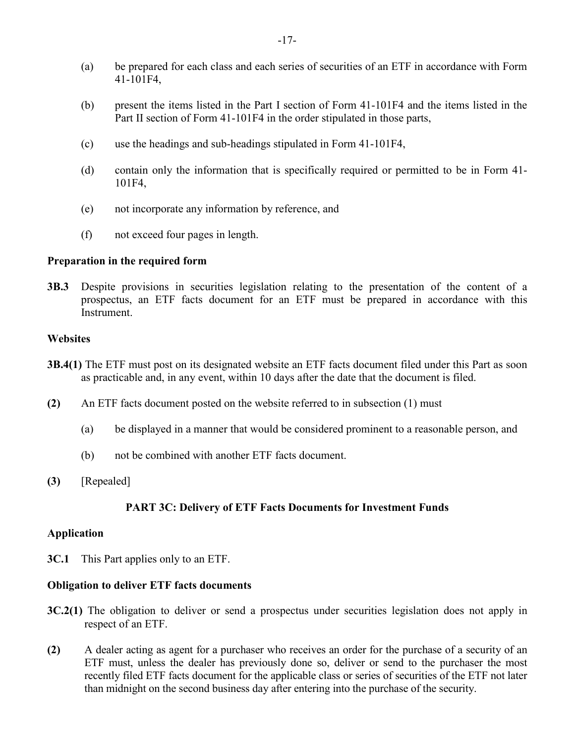- (a) be prepared for each class and each series of securities of an ETF in accordance with Form 41-101F4,
- (b) present the items listed in the Part I section of Form 41-101F4 and the items listed in the Part II section of Form 41-101F4 in the order stipulated in those parts,
- (c) use the headings and sub-headings stipulated in Form 41-101F4,
- (d) contain only the information that is specifically required or permitted to be in Form 41- 101F4,
- (e) not incorporate any information by reference, and
- (f) not exceed four pages in length.

#### **Preparation in the required form**

**3B.3** Despite provisions in securities legislation relating to the presentation of the content of a prospectus, an ETF facts document for an ETF must be prepared in accordance with this Instrument.

#### **Websites**

- **3B.4(1)** The ETF must post on its designated website an ETF facts document filed under this Part as soon as practicable and, in any event, within 10 days after the date that the document is filed.
- **(2)** An ETF facts document posted on the website referred to in subsection (1) must
	- (a) be displayed in a manner that would be considered prominent to a reasonable person, and
	- (b) not be combined with another ETF facts document.
- **(3)** [Repealed]

# **PART 3C: Delivery of ETF Facts Documents for Investment Funds**

#### **Application**

**3C.1** This Part applies only to an ETF.

#### **Obligation to deliver ETF facts documents**

- **3C.2(1)** The obligation to deliver or send a prospectus under securities legislation does not apply in respect of an ETF.
- **(2)** A dealer acting as agent for a purchaser who receives an order for the purchase of a security of an ETF must, unless the dealer has previously done so, deliver or send to the purchaser the most recently filed ETF facts document for the applicable class or series of securities of the ETF not later than midnight on the second business day after entering into the purchase of the security.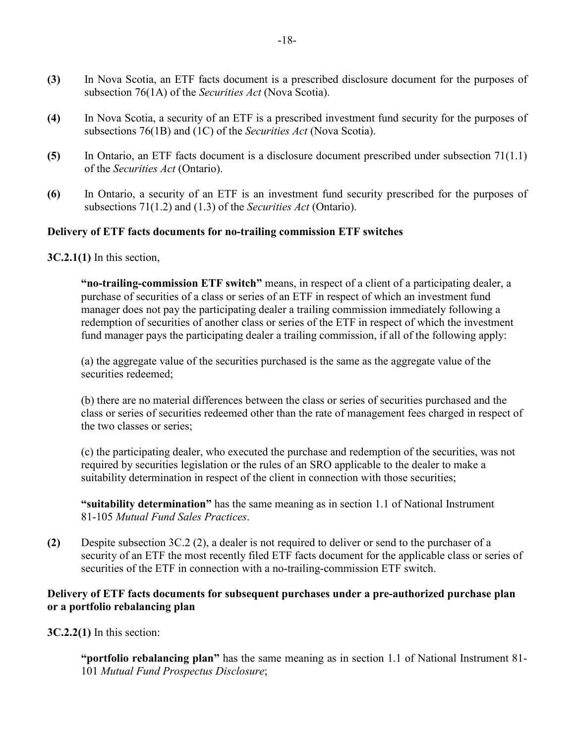- **(3)** In Nova Scotia, an ETF facts document is a prescribed disclosure document for the purposes of subsection 76(1A) of the *Securities Act* (Nova Scotia).
- **(4)** In Nova Scotia, a security of an ETF is a prescribed investment fund security for the purposes of subsections 76(1B) and (1C) of the *Securities Act* (Nova Scotia).
- **(5)** In Ontario, an ETF facts document is a disclosure document prescribed under subsection 71(1.1) of the *Securities Act* (Ontario).
- **(6)** In Ontario, a security of an ETF is an investment fund security prescribed for the purposes of subsections 71(1.2) and (1.3) of the *Securities Act* (Ontario).

## **Delivery of ETF facts documents for no-trailing commission ETF switches**

**3C.2.1(1)** In this section,

**"no-trailing-commission ETF switch"** means, in respect of a client of a participating dealer, a purchase of securities of a class or series of an ETF in respect of which an investment fund manager does not pay the participating dealer a trailing commission immediately following a redemption of securities of another class or series of the ETF in respect of which the investment fund manager pays the participating dealer a trailing commission, if all of the following apply:

(a) the aggregate value of the securities purchased is the same as the aggregate value of the securities redeemed;

(b) there are no material differences between the class or series of securities purchased and the class or series of securities redeemed other than the rate of management fees charged in respect of the two classes or series;

(c) the participating dealer, who executed the purchase and redemption of the securities, was not required by securities legislation or the rules of an SRO applicable to the dealer to make a suitability determination in respect of the client in connection with those securities;

**"suitability determination"** has the same meaning as in section 1.1 of National Instrument 81-105 *Mutual Fund Sales Practices*.

**(2)** Despite subsection 3C.2 (2), a dealer is not required to deliver or send to the purchaser of a security of an ETF the most recently filed ETF facts document for the applicable class or series of securities of the ETF in connection with a no-trailing-commission ETF switch.

## **Delivery of ETF facts documents for subsequent purchases under a pre-authorized purchase plan or a portfolio rebalancing plan**

**3C.2.2(1)** In this section:

**"portfolio rebalancing plan"** has the same meaning as in section 1.1 of National Instrument 81- 101 *Mutual Fund Prospectus Disclosure*;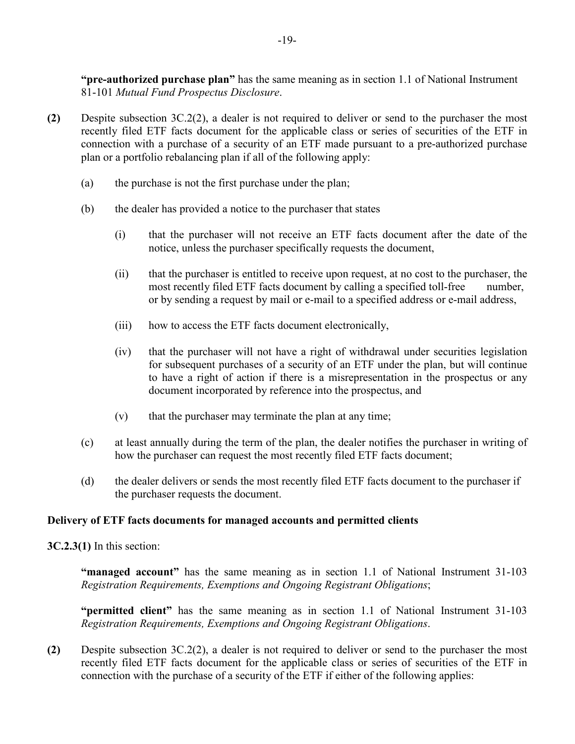**"pre-authorized purchase plan"** has the same meaning as in section 1.1 of National Instrument 81-101 *Mutual Fund Prospectus Disclosure*.

- **(2)** Despite subsection 3C.2(2), a dealer is not required to deliver or send to the purchaser the most recently filed ETF facts document for the applicable class or series of securities of the ETF in connection with a purchase of a security of an ETF made pursuant to a pre-authorized purchase plan or a portfolio rebalancing plan if all of the following apply:
	- (a) the purchase is not the first purchase under the plan;
	- (b) the dealer has provided a notice to the purchaser that states
		- (i) that the purchaser will not receive an ETF facts document after the date of the notice, unless the purchaser specifically requests the document,
		- (ii) that the purchaser is entitled to receive upon request, at no cost to the purchaser, the most recently filed ETF facts document by calling a specified toll-free number, or by sending a request by mail or e-mail to a specified address or e-mail address,
		- (iii) how to access the ETF facts document electronically,
		- (iv) that the purchaser will not have a right of withdrawal under securities legislation for subsequent purchases of a security of an ETF under the plan, but will continue to have a right of action if there is a misrepresentation in the prospectus or any document incorporated by reference into the prospectus, and
		- (v) that the purchaser may terminate the plan at any time;
	- (c) at least annually during the term of the plan, the dealer notifies the purchaser in writing of how the purchaser can request the most recently filed ETF facts document;
	- (d) the dealer delivers or sends the most recently filed ETF facts document to the purchaser if the purchaser requests the document.

#### **Delivery of ETF facts documents for managed accounts and permitted clients**

**3C.2.3(1)** In this section:

**"managed account"** has the same meaning as in section 1.1 of National Instrument 31-103 *Registration Requirements, Exemptions and Ongoing Registrant Obligations*;

**"permitted client"** has the same meaning as in section 1.1 of National Instrument 31-103 *Registration Requirements, Exemptions and Ongoing Registrant Obligations*.

**(2)** Despite subsection 3C.2(2), a dealer is not required to deliver or send to the purchaser the most recently filed ETF facts document for the applicable class or series of securities of the ETF in connection with the purchase of a security of the ETF if either of the following applies: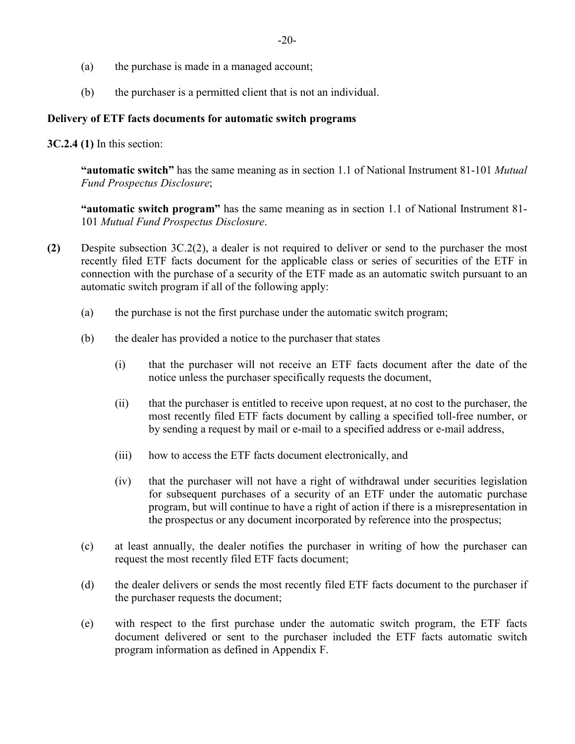- (a) the purchase is made in a managed account;
- (b) the purchaser is a permitted client that is not an individual.

#### **Delivery of ETF facts documents for automatic switch programs**

**3C.2.4 (1)** In this section:

**"automatic switch"** has the same meaning as in section 1.1 of National Instrument 81-101 *Mutual Fund Prospectus Disclosure*;

**"automatic switch program"** has the same meaning as in section 1.1 of National Instrument 81- 101 *Mutual Fund Prospectus Disclosure*.

- **(2)** Despite subsection 3C.2(2), a dealer is not required to deliver or send to the purchaser the most recently filed ETF facts document for the applicable class or series of securities of the ETF in connection with the purchase of a security of the ETF made as an automatic switch pursuant to an automatic switch program if all of the following apply:
	- (a) the purchase is not the first purchase under the automatic switch program;
	- (b) the dealer has provided a notice to the purchaser that states
		- (i) that the purchaser will not receive an ETF facts document after the date of the notice unless the purchaser specifically requests the document,
		- (ii) that the purchaser is entitled to receive upon request, at no cost to the purchaser, the most recently filed ETF facts document by calling a specified toll-free number, or by sending a request by mail or e-mail to a specified address or e-mail address,
		- (iii) how to access the ETF facts document electronically, and
		- (iv) that the purchaser will not have a right of withdrawal under securities legislation for subsequent purchases of a security of an ETF under the automatic purchase program, but will continue to have a right of action if there is a misrepresentation in the prospectus or any document incorporated by reference into the prospectus;
	- (c) at least annually, the dealer notifies the purchaser in writing of how the purchaser can request the most recently filed ETF facts document;
	- (d) the dealer delivers or sends the most recently filed ETF facts document to the purchaser if the purchaser requests the document;
	- (e) with respect to the first purchase under the automatic switch program, the ETF facts document delivered or sent to the purchaser included the ETF facts automatic switch program information as defined in Appendix F.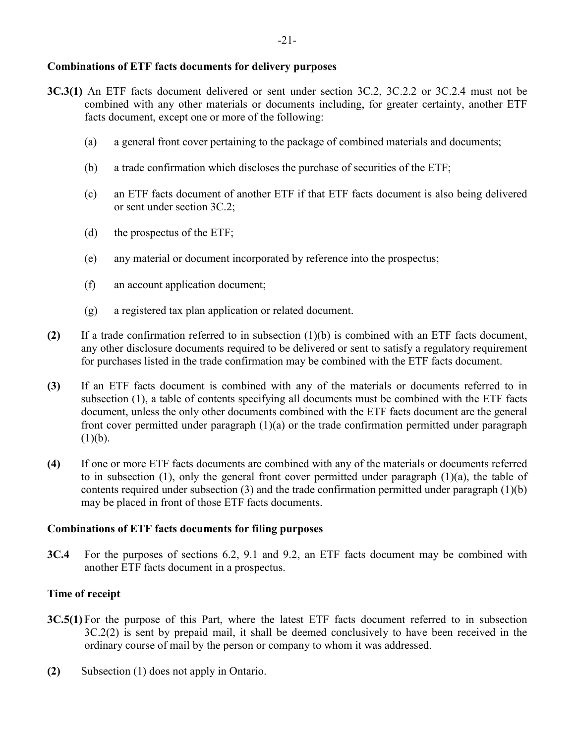#### **Combinations of ETF facts documents for delivery purposes**

- **3C.3(1)** An ETF facts document delivered or sent under section 3C.2, 3C.2.2 or 3C.2.4 must not be combined with any other materials or documents including, for greater certainty, another ETF facts document, except one or more of the following:
	- (a) a general front cover pertaining to the package of combined materials and documents;
	- (b) a trade confirmation which discloses the purchase of securities of the ETF;
	- (c) an ETF facts document of another ETF if that ETF facts document is also being delivered or sent under section 3C.2;
	- (d) the prospectus of the ETF;
	- (e) any material or document incorporated by reference into the prospectus;
	- (f) an account application document;
	- (g) a registered tax plan application or related document.
- **(2)** If a trade confirmation referred to in subsection (1)(b) is combined with an ETF facts document, any other disclosure documents required to be delivered or sent to satisfy a regulatory requirement for purchases listed in the trade confirmation may be combined with the ETF facts document.
- **(3)** If an ETF facts document is combined with any of the materials or documents referred to in subsection (1), a table of contents specifying all documents must be combined with the ETF facts document, unless the only other documents combined with the ETF facts document are the general front cover permitted under paragraph  $(1)(a)$  or the trade confirmation permitted under paragraph  $(1)(b)$ .
- **(4)** If one or more ETF facts documents are combined with any of the materials or documents referred to in subsection (1), only the general front cover permitted under paragraph (1)(a), the table of contents required under subsection (3) and the trade confirmation permitted under paragraph (1)(b) may be placed in front of those ETF facts documents.

#### **Combinations of ETF facts documents for filing purposes**

**3C.4** For the purposes of sections 6.2, 9.1 and 9.2, an ETF facts document may be combined with another ETF facts document in a prospectus.

#### **Time of receipt**

- **3C.5(1)** For the purpose of this Part, where the latest ETF facts document referred to in subsection 3C.2(2) is sent by prepaid mail, it shall be deemed conclusively to have been received in the ordinary course of mail by the person or company to whom it was addressed.
- **(2)** Subsection (1) does not apply in Ontario.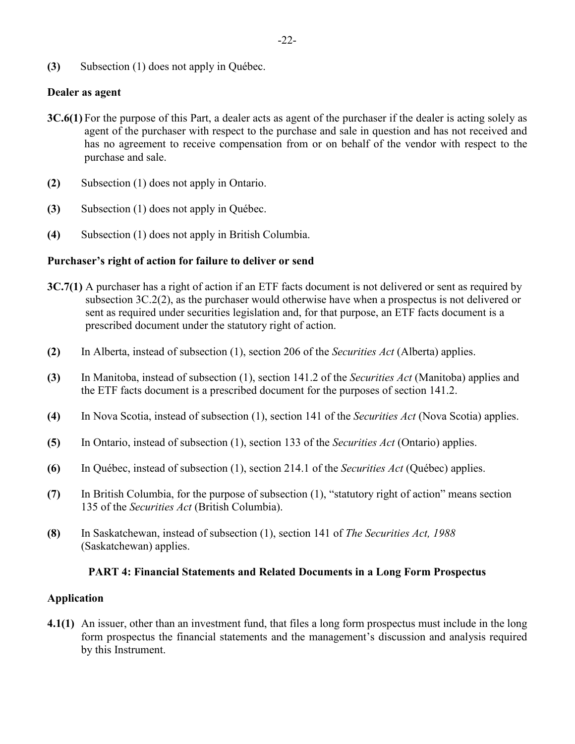**(3)** Subsection (1) does not apply in Québec.

#### **Dealer as agent**

- **3C.6(1)** For the purpose of this Part, a dealer acts as agent of the purchaser if the dealer is acting solely as agent of the purchaser with respect to the purchase and sale in question and has not received and has no agreement to receive compensation from or on behalf of the vendor with respect to the purchase and sale.
- **(2)** Subsection (1) does not apply in Ontario.
- **(3)** Subsection (1) does not apply in Québec.
- **(4)** Subsection (1) does not apply in British Columbia.

#### **Purchaser's right of action for failure to deliver or send**

- **3C.7(1)** A purchaser has a right of action if an ETF facts document is not delivered or sent as required by subsection 3C.2(2), as the purchaser would otherwise have when a prospectus is not delivered or sent as required under securities legislation and, for that purpose, an ETF facts document is a prescribed document under the statutory right of action.
- **(2)** In Alberta, instead of subsection (1), section 206 of the *Securities Act* (Alberta) applies.
- **(3)** In Manitoba, instead of subsection (1), section 141.2 of the *Securities Act* (Manitoba) applies and the ETF facts document is a prescribed document for the purposes of section 141.2.
- **(4)** In Nova Scotia, instead of subsection (1), section 141 of the *Securities Act* (Nova Scotia) applies.
- **(5)** In Ontario, instead of subsection (1), section 133 of the *Securities Act* (Ontario) applies.
- **(6)** In Québec, instead of subsection (1), section 214.1 of the *Securities Act* (Québec) applies.
- **(7)** In British Columbia, for the purpose of subsection (1), "statutory right of action" means section 135 of the *Securities Act* (British Columbia).
- **(8)** In Saskatchewan, instead of subsection (1), section 141 of *The Securities Act, 1988* (Saskatchewan) applies.

#### **PART 4: Financial Statements and Related Documents in a Long Form Prospectus**

#### **Application**

**4.1(1)** An issuer, other than an investment fund, that files a long form prospectus must include in the long form prospectus the financial statements and the management's discussion and analysis required by this Instrument.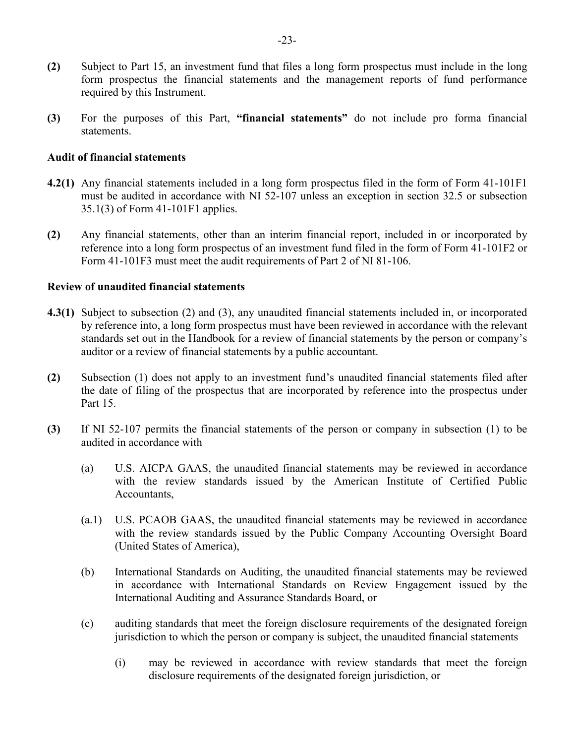- **(2)** Subject to Part 15, an investment fund that files a long form prospectus must include in the long form prospectus the financial statements and the management reports of fund performance required by this Instrument.
- **(3)** For the purposes of this Part, **"financial statements"** do not include pro forma financial statements.

#### **Audit of financial statements**

- **4.2(1)** Any financial statements included in a long form prospectus filed in the form of Form 41-101F1 must be audited in accordance with NI 52-107 unless an exception in section 32.5 or subsection 35.1(3) of Form 41-101F1 applies.
- **(2)** Any financial statements, other than an interim financial report, included in or incorporated by reference into a long form prospectus of an investment fund filed in the form of Form 41-101F2 or Form 41-101F3 must meet the audit requirements of Part 2 of NI 81-106.

#### **Review of unaudited financial statements**

- **4.3(1)** Subject to subsection (2) and (3), any unaudited financial statements included in, or incorporated by reference into, a long form prospectus must have been reviewed in accordance with the relevant standards set out in the Handbook for a review of financial statements by the person or company's auditor or a review of financial statements by a public accountant.
- **(2)** Subsection (1) does not apply to an investment fund's unaudited financial statements filed after the date of filing of the prospectus that are incorporated by reference into the prospectus under Part 15.
- **(3)** If NI 52-107 permits the financial statements of the person or company in subsection (1) to be audited in accordance with
	- (a) U.S. AICPA GAAS, the unaudited financial statements may be reviewed in accordance with the review standards issued by the American Institute of Certified Public Accountants,
	- (a.1) U.S. PCAOB GAAS, the unaudited financial statements may be reviewed in accordance with the review standards issued by the Public Company Accounting Oversight Board (United States of America),
	- (b) International Standards on Auditing, the unaudited financial statements may be reviewed in accordance with International Standards on Review Engagement issued by the International Auditing and Assurance Standards Board, or
	- (c) auditing standards that meet the foreign disclosure requirements of the designated foreign jurisdiction to which the person or company is subject, the unaudited financial statements
		- (i) may be reviewed in accordance with review standards that meet the foreign disclosure requirements of the designated foreign jurisdiction, or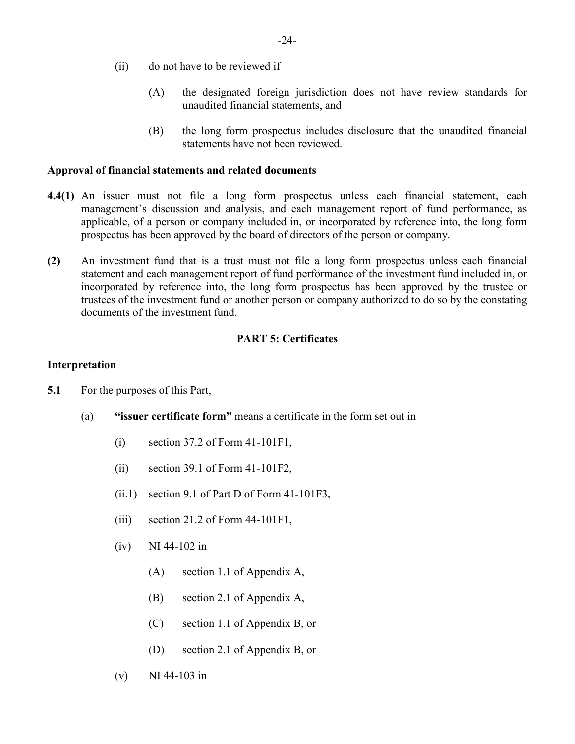- (ii) do not have to be reviewed if
	- (A) the designated foreign jurisdiction does not have review standards for unaudited financial statements, and
	- (B) the long form prospectus includes disclosure that the unaudited financial statements have not been reviewed.

#### **Approval of financial statements and related documents**

- **4.4(1)** An issuer must not file a long form prospectus unless each financial statement, each management's discussion and analysis, and each management report of fund performance, as applicable, of a person or company included in, or incorporated by reference into, the long form prospectus has been approved by the board of directors of the person or company.
- **(2)** An investment fund that is a trust must not file a long form prospectus unless each financial statement and each management report of fund performance of the investment fund included in, or incorporated by reference into, the long form prospectus has been approved by the trustee or trustees of the investment fund or another person or company authorized to do so by the constating documents of the investment fund.

# **PART 5: Certificates**

## **Interpretation**

- **5.1** For the purposes of this Part,
	- (a) **"issuer certificate form"** means a certificate in the form set out in
		- (i) section 37.2 of Form 41-101F1,
		- (ii) section 39.1 of Form 41-101F2,
		- (ii.1) section 9.1 of Part D of Form 41-101F3,
		- (iii) section 21.2 of Form  $44-101F1$ ,
		- $(iv)$  NI 44-102 in
			- (A) section 1.1 of Appendix A,
			- (B) section 2.1 of Appendix A,
			- (C) section 1.1 of Appendix B, or
			- (D) section 2.1 of Appendix B, or
		- (v) NI 44-103 in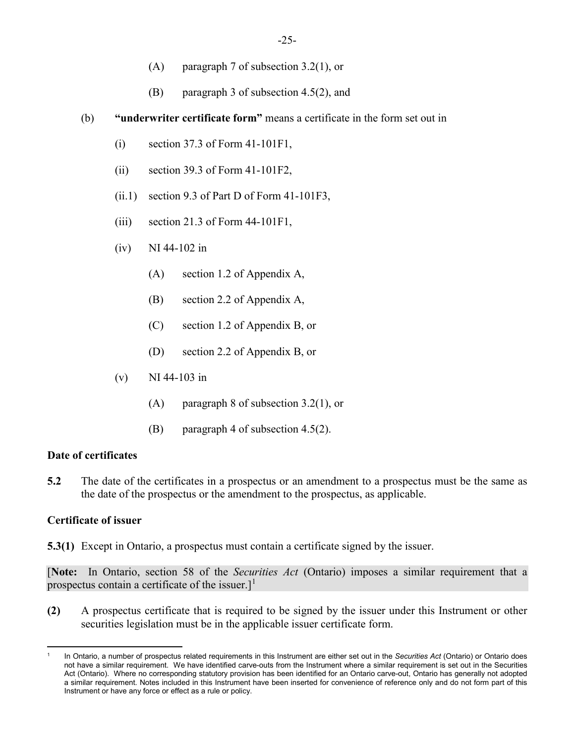- (A) paragraph 7 of subsection 3.2(1), or
- (B) paragraph 3 of subsection 4.5(2), and

#### (b) **"underwriter certificate form"** means a certificate in the form set out in

- (i) section 37.3 of Form 41-101F1,
- (ii) section 39.3 of Form 41-101F2,
- (ii.1) section 9.3 of Part D of Form 41-101F3,
- (iii) section 21.3 of Form 44-101F1,
- (iv) NI 44-102 in
	- (A) section 1.2 of Appendix A,
	- (B) section 2.2 of Appendix A,
	- (C) section 1.2 of Appendix B, or
	- (D) section 2.2 of Appendix B, or
- $(v)$  NI 44-103 in
	- (A) paragraph 8 of subsection 3.2(1), or
	- (B) paragraph 4 of subsection 4.5(2).

#### **Date of certificates**

**5.2** The date of the certificates in a prospectus or an amendment to a prospectus must be the same as the date of the prospectus or the amendment to the prospectus, as applicable.

#### **Certificate of issuer**

 $\overline{a}$ 

**5.3(1)** Except in Ontario, a prospectus must contain a certificate signed by the issuer.

[**Note:** In Ontario, section 58 of the *Securities Act* (Ontario) imposes a similar requirement that a prospectus contain a certificate of the issuer. $]$ <sup>[1](#page-29-0)</sup>

**(2)** A prospectus certificate that is required to be signed by the issuer under this Instrument or other securities legislation must be in the applicable issuer certificate form.

<span id="page-29-0"></span><sup>1</sup> In Ontario, a number of prospectus related requirements in this Instrument are either set out in the *Securities Act* (Ontario) or Ontario does not have a similar requirement. We have identified carve-outs from the Instrument where a similar requirement is set out in the Securities Act (Ontario). Where no corresponding statutory provision has been identified for an Ontario carve-out, Ontario has generally not adopted a similar requirement. Notes included in this Instrument have been inserted for convenience of reference only and do not form part of this Instrument or have any force or effect as a rule or policy.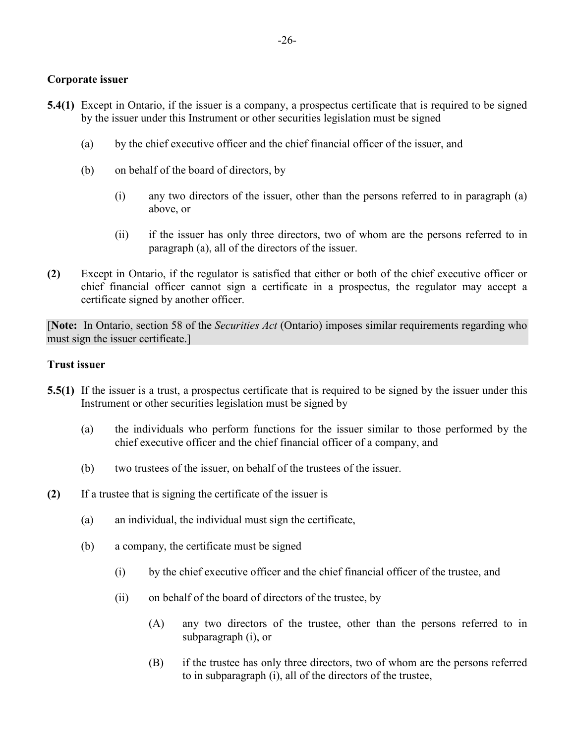#### **Corporate issuer**

- **5.4(1)** Except in Ontario, if the issuer is a company, a prospectus certificate that is required to be signed by the issuer under this Instrument or other securities legislation must be signed
	- (a) by the chief executive officer and the chief financial officer of the issuer, and
	- (b) on behalf of the board of directors, by
		- (i) any two directors of the issuer, other than the persons referred to in paragraph (a) above, or
		- (ii) if the issuer has only three directors, two of whom are the persons referred to in paragraph (a), all of the directors of the issuer.
- **(2)** Except in Ontario, if the regulator is satisfied that either or both of the chief executive officer or chief financial officer cannot sign a certificate in a prospectus, the regulator may accept a certificate signed by another officer.

[**Note:** In Ontario, section 58 of the *Securities Act* (Ontario) imposes similar requirements regarding who must sign the issuer certificate.]

#### **Trust issuer**

- **5.5(1)** If the issuer is a trust, a prospectus certificate that is required to be signed by the issuer under this Instrument or other securities legislation must be signed by
	- (a) the individuals who perform functions for the issuer similar to those performed by the chief executive officer and the chief financial officer of a company, and
	- (b) two trustees of the issuer, on behalf of the trustees of the issuer.
- **(2)** If a trustee that is signing the certificate of the issuer is
	- (a) an individual, the individual must sign the certificate,
	- (b) a company, the certificate must be signed
		- (i) by the chief executive officer and the chief financial officer of the trustee, and
		- (ii) on behalf of the board of directors of the trustee, by
			- (A) any two directors of the trustee, other than the persons referred to in subparagraph (i), or
			- (B) if the trustee has only three directors, two of whom are the persons referred to in subparagraph (i), all of the directors of the trustee,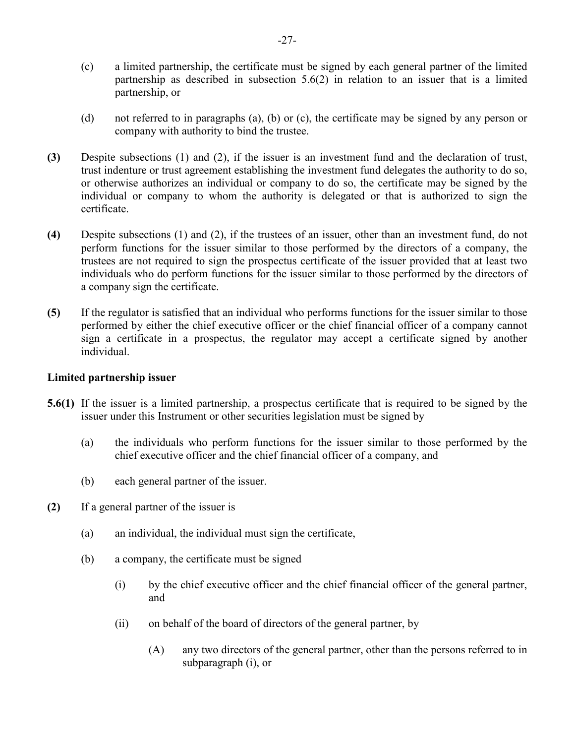- (c) a limited partnership, the certificate must be signed by each general partner of the limited partnership as described in subsection 5.6(2) in relation to an issuer that is a limited partnership, or
- (d) not referred to in paragraphs (a), (b) or (c), the certificate may be signed by any person or company with authority to bind the trustee.
- **(3)** Despite subsections (1) and (2), if the issuer is an investment fund and the declaration of trust, trust indenture or trust agreement establishing the investment fund delegates the authority to do so, or otherwise authorizes an individual or company to do so, the certificate may be signed by the individual or company to whom the authority is delegated or that is authorized to sign the certificate.
- **(4)** Despite subsections (1) and (2), if the trustees of an issuer, other than an investment fund, do not perform functions for the issuer similar to those performed by the directors of a company, the trustees are not required to sign the prospectus certificate of the issuer provided that at least two individuals who do perform functions for the issuer similar to those performed by the directors of a company sign the certificate.
- **(5)** If the regulator is satisfied that an individual who performs functions for the issuer similar to those performed by either the chief executive officer or the chief financial officer of a company cannot sign a certificate in a prospectus, the regulator may accept a certificate signed by another individual.

#### **Limited partnership issuer**

- **5.6(1)** If the issuer is a limited partnership, a prospectus certificate that is required to be signed by the issuer under this Instrument or other securities legislation must be signed by
	- (a) the individuals who perform functions for the issuer similar to those performed by the chief executive officer and the chief financial officer of a company, and
	- (b) each general partner of the issuer.
- **(2)** If a general partner of the issuer is
	- (a) an individual, the individual must sign the certificate,
	- (b) a company, the certificate must be signed
		- (i) by the chief executive officer and the chief financial officer of the general partner, and
		- (ii) on behalf of the board of directors of the general partner, by
			- (A) any two directors of the general partner, other than the persons referred to in subparagraph (i), or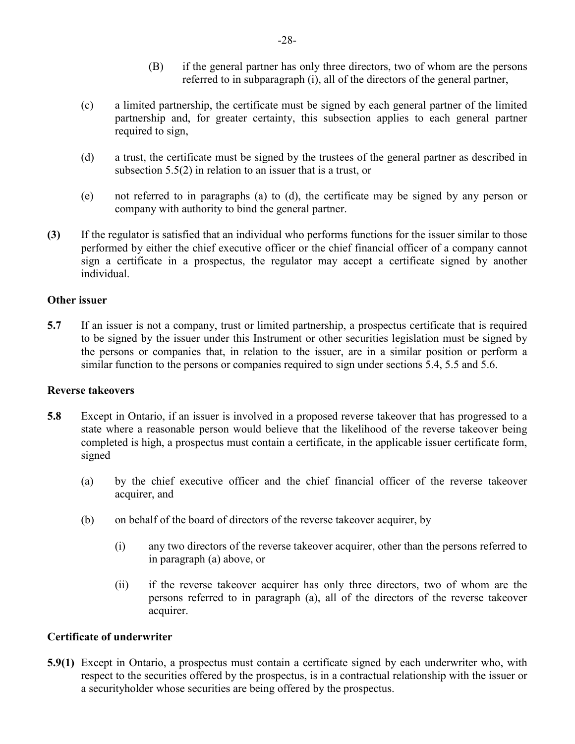- (B) if the general partner has only three directors, two of whom are the persons referred to in subparagraph (i), all of the directors of the general partner,
- (c) a limited partnership, the certificate must be signed by each general partner of the limited partnership and, for greater certainty, this subsection applies to each general partner required to sign,
- (d) a trust, the certificate must be signed by the trustees of the general partner as described in subsection 5.5(2) in relation to an issuer that is a trust, or
- (e) not referred to in paragraphs (a) to (d), the certificate may be signed by any person or company with authority to bind the general partner.
- **(3)** If the regulator is satisfied that an individual who performs functions for the issuer similar to those performed by either the chief executive officer or the chief financial officer of a company cannot sign a certificate in a prospectus, the regulator may accept a certificate signed by another individual.

#### **Other issuer**

**5.7** If an issuer is not a company, trust or limited partnership, a prospectus certificate that is required to be signed by the issuer under this Instrument or other securities legislation must be signed by the persons or companies that, in relation to the issuer, are in a similar position or perform a similar function to the persons or companies required to sign under sections 5.4, 5.5 and 5.6.

#### **Reverse takeovers**

- **5.8** Except in Ontario, if an issuer is involved in a proposed reverse takeover that has progressed to a state where a reasonable person would believe that the likelihood of the reverse takeover being completed is high, a prospectus must contain a certificate, in the applicable issuer certificate form, signed
	- (a) by the chief executive officer and the chief financial officer of the reverse takeover acquirer, and
	- (b) on behalf of the board of directors of the reverse takeover acquirer, by
		- (i) any two directors of the reverse takeover acquirer, other than the persons referred to in paragraph (a) above, or
		- (ii) if the reverse takeover acquirer has only three directors, two of whom are the persons referred to in paragraph (a), all of the directors of the reverse takeover acquirer.

#### **Certificate of underwriter**

**5.9(1)** Except in Ontario, a prospectus must contain a certificate signed by each underwriter who, with respect to the securities offered by the prospectus, is in a contractual relationship with the issuer or a securityholder whose securities are being offered by the prospectus.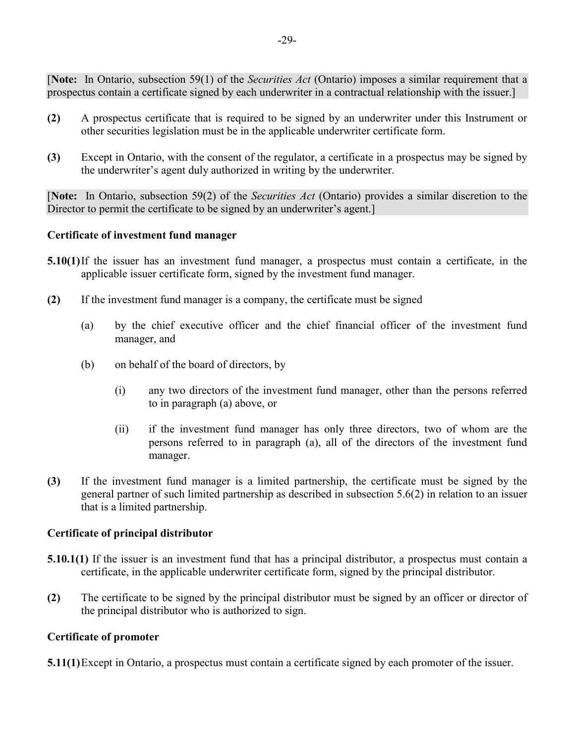[**Note:** In Ontario, subsection 59(1) of the *Securities Act* (Ontario) imposes a similar requirement that a prospectus contain a certificate signed by each underwriter in a contractual relationship with the issuer.]

- **(2)** A prospectus certificate that is required to be signed by an underwriter under this Instrument or other securities legislation must be in the applicable underwriter certificate form.
- **(3)** Except in Ontario, with the consent of the regulator, a certificate in a prospectus may be signed by the underwriter's agent duly authorized in writing by the underwriter.

[**Note:** In Ontario, subsection 59(2) of the *Securities Act* (Ontario) provides a similar discretion to the Director to permit the certificate to be signed by an underwriter's agent.

## **Certificate of investment fund manager**

- **5.10(1)**If the issuer has an investment fund manager, a prospectus must contain a certificate, in the applicable issuer certificate form, signed by the investment fund manager.
- **(2)** If the investment fund manager is a company, the certificate must be signed
	- (a) by the chief executive officer and the chief financial officer of the investment fund manager, and
	- (b) on behalf of the board of directors, by
		- (i) any two directors of the investment fund manager, other than the persons referred to in paragraph (a) above, or
		- (ii) if the investment fund manager has only three directors, two of whom are the persons referred to in paragraph (a), all of the directors of the investment fund manager.
- **(3)** If the investment fund manager is a limited partnership, the certificate must be signed by the general partner of such limited partnership as described in subsection 5.6(2) in relation to an issuer that is a limited partnership.

#### **Certificate of principal distributor**

- **5.10.1(1)** If the issuer is an investment fund that has a principal distributor, a prospectus must contain a certificate, in the applicable underwriter certificate form, signed by the principal distributor.
- **(2)** The certificate to be signed by the principal distributor must be signed by an officer or director of the principal distributor who is authorized to sign.

#### **Certificate of promoter**

**5.11(1)**Except in Ontario, a prospectus must contain a certificate signed by each promoter of the issuer.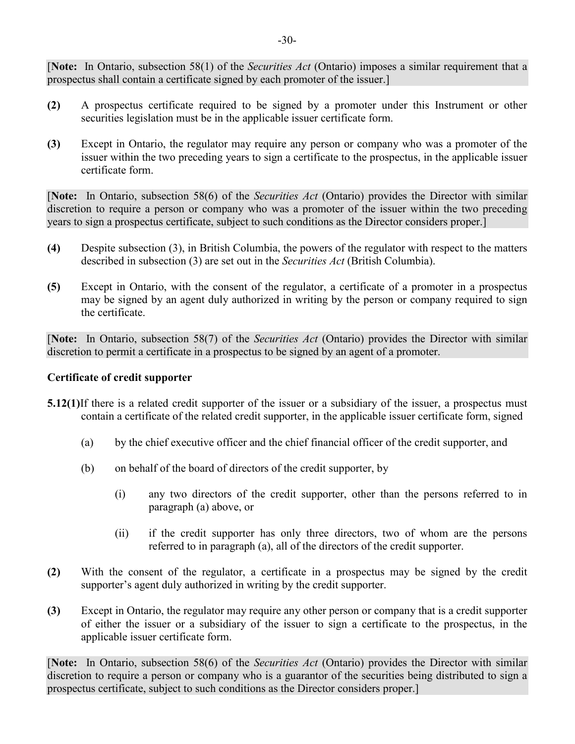[**Note:** In Ontario, subsection 58(1) of the *Securities Act* (Ontario) imposes a similar requirement that a prospectus shall contain a certificate signed by each promoter of the issuer.]

- **(2)** A prospectus certificate required to be signed by a promoter under this Instrument or other securities legislation must be in the applicable issuer certificate form.
- **(3)** Except in Ontario, the regulator may require any person or company who was a promoter of the issuer within the two preceding years to sign a certificate to the prospectus, in the applicable issuer certificate form.

[**Note:** In Ontario, subsection 58(6) of the *Securities Act* (Ontario) provides the Director with similar discretion to require a person or company who was a promoter of the issuer within the two preceding years to sign a prospectus certificate, subject to such conditions as the Director considers proper.]

- **(4)** Despite subsection (3), in British Columbia, the powers of the regulator with respect to the matters described in subsection (3) are set out in the *Securities Act* (British Columbia).
- **(5)** Except in Ontario, with the consent of the regulator, a certificate of a promoter in a prospectus may be signed by an agent duly authorized in writing by the person or company required to sign the certificate.

[**Note:** In Ontario, subsection 58(7) of the *Securities Act* (Ontario) provides the Director with similar discretion to permit a certificate in a prospectus to be signed by an agent of a promoter.

#### **Certificate of credit supporter**

- **5.12(1)**If there is a related credit supporter of the issuer or a subsidiary of the issuer, a prospectus must contain a certificate of the related credit supporter, in the applicable issuer certificate form, signed
	- (a) by the chief executive officer and the chief financial officer of the credit supporter, and
	- (b) on behalf of the board of directors of the credit supporter, by
		- (i) any two directors of the credit supporter, other than the persons referred to in paragraph (a) above, or
		- (ii) if the credit supporter has only three directors, two of whom are the persons referred to in paragraph (a), all of the directors of the credit supporter.
- **(2)** With the consent of the regulator, a certificate in a prospectus may be signed by the credit supporter's agent duly authorized in writing by the credit supporter.
- **(3)** Except in Ontario, the regulator may require any other person or company that is a credit supporter of either the issuer or a subsidiary of the issuer to sign a certificate to the prospectus, in the applicable issuer certificate form.

[**Note:** In Ontario, subsection 58(6) of the *Securities Act* (Ontario) provides the Director with similar discretion to require a person or company who is a guarantor of the securities being distributed to sign a prospectus certificate, subject to such conditions as the Director considers proper.]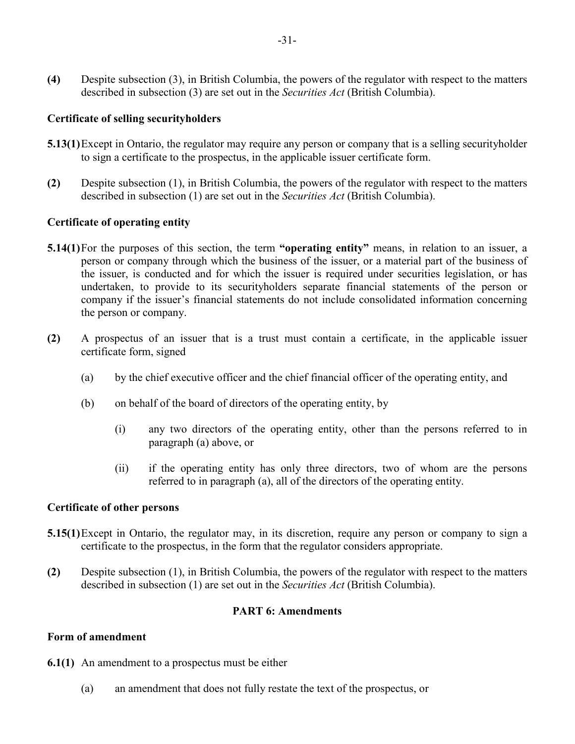**(4)** Despite subsection (3), in British Columbia, the powers of the regulator with respect to the matters described in subsection (3) are set out in the *Securities Act* (British Columbia).

#### **Certificate of selling securityholders**

- **5.13(1)**Except in Ontario, the regulator may require any person or company that is a selling securityholder to sign a certificate to the prospectus, in the applicable issuer certificate form.
- **(2)** Despite subsection (1), in British Columbia, the powers of the regulator with respect to the matters described in subsection (1) are set out in the *Securities Act* (British Columbia).

## **Certificate of operating entity**

- **5.14(1)**For the purposes of this section, the term **"operating entity"** means, in relation to an issuer, a person or company through which the business of the issuer, or a material part of the business of the issuer, is conducted and for which the issuer is required under securities legislation, or has undertaken, to provide to its securityholders separate financial statements of the person or company if the issuer's financial statements do not include consolidated information concerning the person or company.
- **(2)** A prospectus of an issuer that is a trust must contain a certificate, in the applicable issuer certificate form, signed
	- (a) by the chief executive officer and the chief financial officer of the operating entity, and
	- (b) on behalf of the board of directors of the operating entity, by
		- (i) any two directors of the operating entity, other than the persons referred to in paragraph (a) above, or
		- (ii) if the operating entity has only three directors, two of whom are the persons referred to in paragraph (a), all of the directors of the operating entity.

#### **Certificate of other persons**

- **5.15(1)**Except in Ontario, the regulator may, in its discretion, require any person or company to sign a certificate to the prospectus, in the form that the regulator considers appropriate.
- **(2)** Despite subsection (1), in British Columbia, the powers of the regulator with respect to the matters described in subsection (1) are set out in the *Securities Act* (British Columbia).

## **PART 6: Amendments**

#### **Form of amendment**

- **6.1(1)** An amendment to a prospectus must be either
	- (a) an amendment that does not fully restate the text of the prospectus, or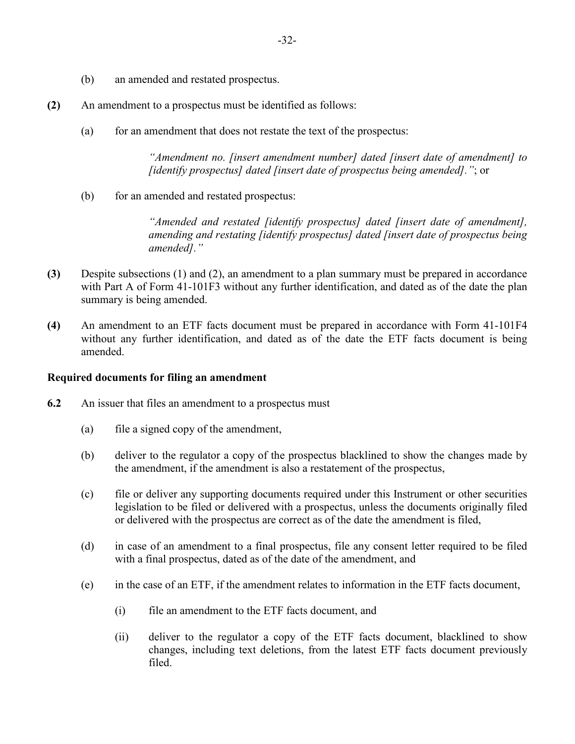- (b) an amended and restated prospectus.
- **(2)** An amendment to a prospectus must be identified as follows:
	- (a) for an amendment that does not restate the text of the prospectus:

*"Amendment no. [insert amendment number] dated [insert date of amendment] to [identify prospectus] dated [insert date of prospectus being amended]."*; or

(b) for an amended and restated prospectus:

*"Amended and restated [identify prospectus] dated [insert date of amendment], amending and restating [identify prospectus] dated [insert date of prospectus being amended]."*

- **(3)** Despite subsections (1) and (2), an amendment to a plan summary must be prepared in accordance with Part A of Form 41-101F3 without any further identification, and dated as of the date the plan summary is being amended.
- **(4)** An amendment to an ETF facts document must be prepared in accordance with Form 41-101F4 without any further identification, and dated as of the date the ETF facts document is being amended.

#### **Required documents for filing an amendment**

- **6.2** An issuer that files an amendment to a prospectus must
	- (a) file a signed copy of the amendment,
	- (b) deliver to the regulator a copy of the prospectus blacklined to show the changes made by the amendment, if the amendment is also a restatement of the prospectus,
	- (c) file or deliver any supporting documents required under this Instrument or other securities legislation to be filed or delivered with a prospectus, unless the documents originally filed or delivered with the prospectus are correct as of the date the amendment is filed,
	- (d) in case of an amendment to a final prospectus, file any consent letter required to be filed with a final prospectus, dated as of the date of the amendment, and
	- (e) in the case of an ETF, if the amendment relates to information in the ETF facts document,
		- (i) file an amendment to the ETF facts document, and
		- (ii) deliver to the regulator a copy of the ETF facts document, blacklined to show changes, including text deletions, from the latest ETF facts document previously filed.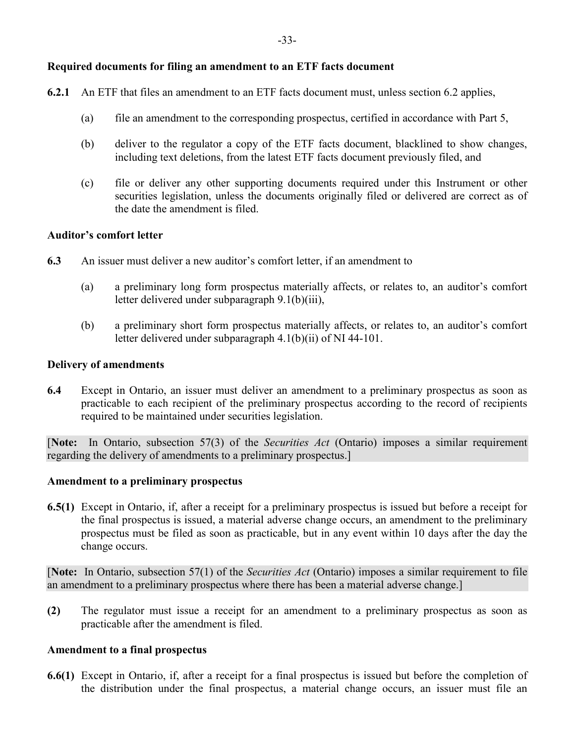-33-

#### **Required documents for filing an amendment to an ETF facts document**

- **6.2.1** An ETF that files an amendment to an ETF facts document must, unless section 6.2 applies,
	- (a) file an amendment to the corresponding prospectus, certified in accordance with Part 5,
	- (b) deliver to the regulator a copy of the ETF facts document, blacklined to show changes, including text deletions, from the latest ETF facts document previously filed, and
	- (c) file or deliver any other supporting documents required under this Instrument or other securities legislation, unless the documents originally filed or delivered are correct as of the date the amendment is filed.

#### **Auditor's comfort letter**

- **6.3** An issuer must deliver a new auditor's comfort letter, if an amendment to
	- (a) a preliminary long form prospectus materially affects, or relates to, an auditor's comfort letter delivered under subparagraph 9.1(b)(iii),
	- (b) a preliminary short form prospectus materially affects, or relates to, an auditor's comfort letter delivered under subparagraph 4.1(b)(ii) of NI 44-101.

#### **Delivery of amendments**

**6.4** Except in Ontario, an issuer must deliver an amendment to a preliminary prospectus as soon as practicable to each recipient of the preliminary prospectus according to the record of recipients required to be maintained under securities legislation.

[**Note:** In Ontario, subsection 57(3) of the *Securities Act* (Ontario) imposes a similar requirement regarding the delivery of amendments to a preliminary prospectus.]

#### **Amendment to a preliminary prospectus**

**6.5(1)** Except in Ontario, if, after a receipt for a preliminary prospectus is issued but before a receipt for the final prospectus is issued, a material adverse change occurs, an amendment to the preliminary prospectus must be filed as soon as practicable, but in any event within 10 days after the day the change occurs.

[**Note:** In Ontario, subsection 57(1) of the *Securities Act* (Ontario) imposes a similar requirement to file an amendment to a preliminary prospectus where there has been a material adverse change.]

**(2)** The regulator must issue a receipt for an amendment to a preliminary prospectus as soon as practicable after the amendment is filed.

#### **Amendment to a final prospectus**

**6.6(1)** Except in Ontario, if, after a receipt for a final prospectus is issued but before the completion of the distribution under the final prospectus, a material change occurs, an issuer must file an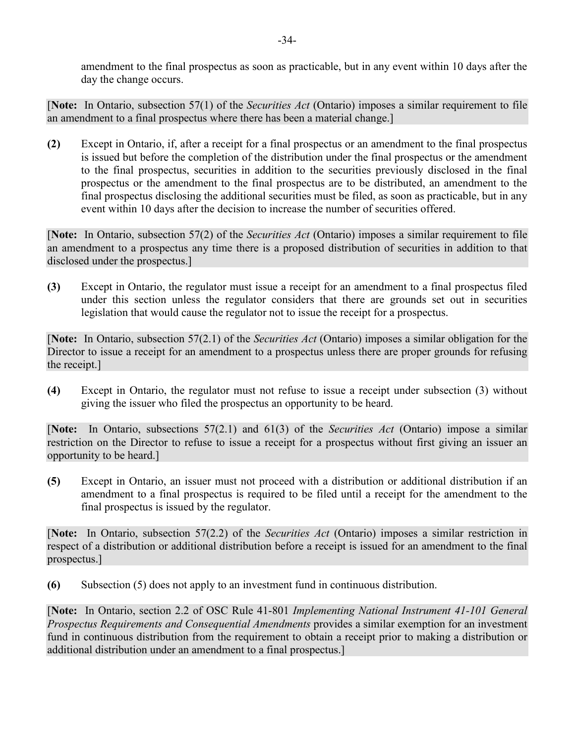amendment to the final prospectus as soon as practicable, but in any event within 10 days after the day the change occurs.

[**Note:** In Ontario, subsection 57(1) of the *Securities Act* (Ontario) imposes a similar requirement to file an amendment to a final prospectus where there has been a material change.]

**(2)** Except in Ontario, if, after a receipt for a final prospectus or an amendment to the final prospectus is issued but before the completion of the distribution under the final prospectus or the amendment to the final prospectus, securities in addition to the securities previously disclosed in the final prospectus or the amendment to the final prospectus are to be distributed, an amendment to the final prospectus disclosing the additional securities must be filed, as soon as practicable, but in any event within 10 days after the decision to increase the number of securities offered.

[**Note:** In Ontario, subsection 57(2) of the *Securities Act* (Ontario) imposes a similar requirement to file an amendment to a prospectus any time there is a proposed distribution of securities in addition to that disclosed under the prospectus.]

**(3)** Except in Ontario, the regulator must issue a receipt for an amendment to a final prospectus filed under this section unless the regulator considers that there are grounds set out in securities legislation that would cause the regulator not to issue the receipt for a prospectus.

[**Note:** In Ontario, subsection 57(2.1) of the *Securities Act* (Ontario) imposes a similar obligation for the Director to issue a receipt for an amendment to a prospectus unless there are proper grounds for refusing the receipt.]

**(4)** Except in Ontario, the regulator must not refuse to issue a receipt under subsection (3) without giving the issuer who filed the prospectus an opportunity to be heard.

[**Note:** In Ontario, subsections 57(2.1) and 61(3) of the *Securities Act* (Ontario) impose a similar restriction on the Director to refuse to issue a receipt for a prospectus without first giving an issuer an opportunity to be heard.]

**(5)** Except in Ontario, an issuer must not proceed with a distribution or additional distribution if an amendment to a final prospectus is required to be filed until a receipt for the amendment to the final prospectus is issued by the regulator.

[**Note:** In Ontario, subsection 57(2.2) of the *Securities Act* (Ontario) imposes a similar restriction in respect of a distribution or additional distribution before a receipt is issued for an amendment to the final prospectus.]

**(6)** Subsection (5) does not apply to an investment fund in continuous distribution.

[**Note:** In Ontario, section 2.2 of OSC Rule 41-801 *Implementing National Instrument 41-101 General Prospectus Requirements and Consequential Amendments* provides a similar exemption for an investment fund in continuous distribution from the requirement to obtain a receipt prior to making a distribution or additional distribution under an amendment to a final prospectus.]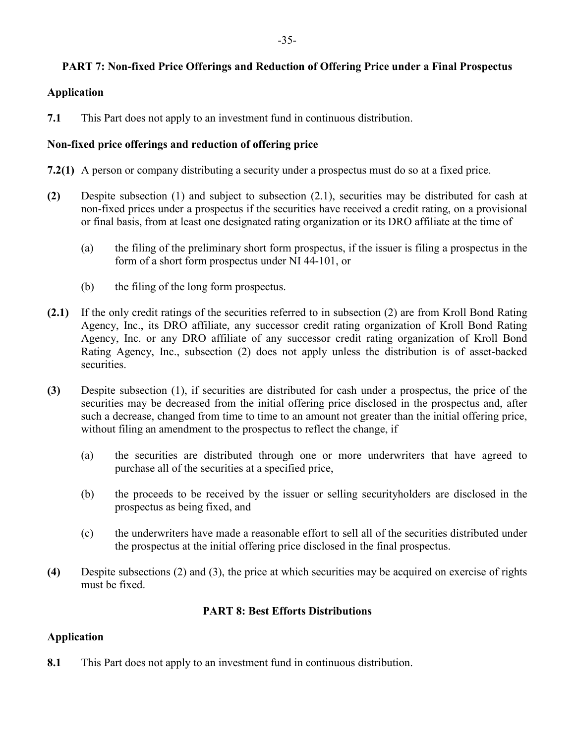# **PART 7: Non-fixed Price Offerings and Reduction of Offering Price under a Final Prospectus**

## **Application**

**7.1** This Part does not apply to an investment fund in continuous distribution.

# **Non-fixed price offerings and reduction of offering price**

- **7.2(1)** A person or company distributing a security under a prospectus must do so at a fixed price.
- **(2)** Despite subsection (1) and subject to subsection (2.1), securities may be distributed for cash at non-fixed prices under a prospectus if the securities have received a credit rating, on a provisional or final basis, from at least one designated rating organization or its DRO affiliate at the time of
	- (a) the filing of the preliminary short form prospectus, if the issuer is filing a prospectus in the form of a short form prospectus under NI 44-101, or
	- (b) the filing of the long form prospectus.
- **(2.1)** If the only credit ratings of the securities referred to in subsection (2) are from Kroll Bond Rating Agency, Inc., its DRO affiliate, any successor credit rating organization of Kroll Bond Rating Agency, Inc. or any DRO affiliate of any successor credit rating organization of Kroll Bond Rating Agency, Inc., subsection (2) does not apply unless the distribution is of asset-backed securities.
- **(3)** Despite subsection (1), if securities are distributed for cash under a prospectus, the price of the securities may be decreased from the initial offering price disclosed in the prospectus and, after such a decrease, changed from time to time to an amount not greater than the initial offering price, without filing an amendment to the prospectus to reflect the change, if
	- (a) the securities are distributed through one or more underwriters that have agreed to purchase all of the securities at a specified price,
	- (b) the proceeds to be received by the issuer or selling securityholders are disclosed in the prospectus as being fixed, and
	- (c) the underwriters have made a reasonable effort to sell all of the securities distributed under the prospectus at the initial offering price disclosed in the final prospectus.
- **(4)** Despite subsections (2) and (3), the price at which securities may be acquired on exercise of rights must be fixed.

## **PART 8: Best Efforts Distributions**

## **Application**

**8.1** This Part does not apply to an investment fund in continuous distribution.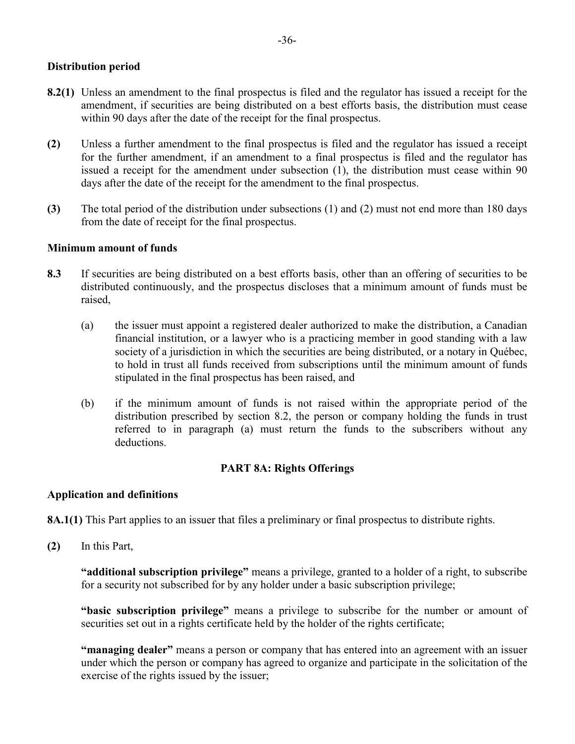## **Distribution period**

- **8.2(1)** Unless an amendment to the final prospectus is filed and the regulator has issued a receipt for the amendment, if securities are being distributed on a best efforts basis, the distribution must cease within 90 days after the date of the receipt for the final prospectus.
- **(2)** Unless a further amendment to the final prospectus is filed and the regulator has issued a receipt for the further amendment, if an amendment to a final prospectus is filed and the regulator has issued a receipt for the amendment under subsection (1), the distribution must cease within 90 days after the date of the receipt for the amendment to the final prospectus.
- **(3)** The total period of the distribution under subsections (1) and (2) must not end more than 180 days from the date of receipt for the final prospectus.

# **Minimum amount of funds**

- **8.3** If securities are being distributed on a best efforts basis, other than an offering of securities to be distributed continuously, and the prospectus discloses that a minimum amount of funds must be raised,
	- (a) the issuer must appoint a registered dealer authorized to make the distribution, a Canadian financial institution, or a lawyer who is a practicing member in good standing with a law society of a jurisdiction in which the securities are being distributed, or a notary in Québec, to hold in trust all funds received from subscriptions until the minimum amount of funds stipulated in the final prospectus has been raised, and
	- (b) if the minimum amount of funds is not raised within the appropriate period of the distribution prescribed by section 8.2, the person or company holding the funds in trust referred to in paragraph (a) must return the funds to the subscribers without any deductions.

# **PART 8A: Rights Offerings**

## **Application and definitions**

**8A.1(1)** This Part applies to an issuer that files a preliminary or final prospectus to distribute rights.

**(2)** In this Part,

**"additional subscription privilege"** means a privilege, granted to a holder of a right, to subscribe for a security not subscribed for by any holder under a basic subscription privilege;

**"basic subscription privilege"** means a privilege to subscribe for the number or amount of securities set out in a rights certificate held by the holder of the rights certificate;

**"managing dealer"** means a person or company that has entered into an agreement with an issuer under which the person or company has agreed to organize and participate in the solicitation of the exercise of the rights issued by the issuer;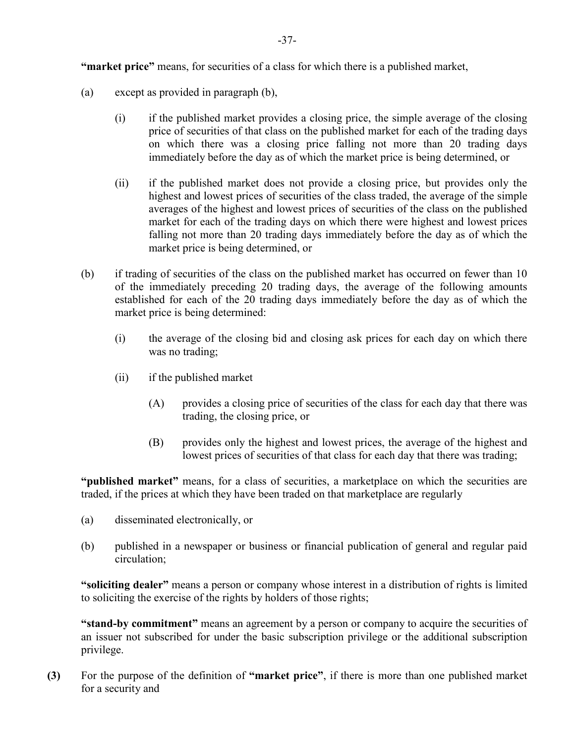**"market price"** means, for securities of a class for which there is a published market,

- (a) except as provided in paragraph (b),
	- (i) if the published market provides a closing price, the simple average of the closing price of securities of that class on the published market for each of the trading days on which there was a closing price falling not more than 20 trading days immediately before the day as of which the market price is being determined, or
	- (ii) if the published market does not provide a closing price, but provides only the highest and lowest prices of securities of the class traded, the average of the simple averages of the highest and lowest prices of securities of the class on the published market for each of the trading days on which there were highest and lowest prices falling not more than 20 trading days immediately before the day as of which the market price is being determined, or
- (b) if trading of securities of the class on the published market has occurred on fewer than 10 of the immediately preceding 20 trading days, the average of the following amounts established for each of the 20 trading days immediately before the day as of which the market price is being determined:
	- (i) the average of the closing bid and closing ask prices for each day on which there was no trading;
	- (ii) if the published market
		- (A) provides a closing price of securities of the class for each day that there was trading, the closing price, or
		- (B) provides only the highest and lowest prices, the average of the highest and lowest prices of securities of that class for each day that there was trading;

**"published market"** means, for a class of securities, a marketplace on which the securities are traded, if the prices at which they have been traded on that marketplace are regularly

- (a) disseminated electronically, or
- (b) published in a newspaper or business or financial publication of general and regular paid circulation;

**"soliciting dealer"** means a person or company whose interest in a distribution of rights is limited to soliciting the exercise of the rights by holders of those rights;

**"stand-by commitment"** means an agreement by a person or company to acquire the securities of an issuer not subscribed for under the basic subscription privilege or the additional subscription privilege.

**(3)** For the purpose of the definition of **"market price"**, if there is more than one published market for a security and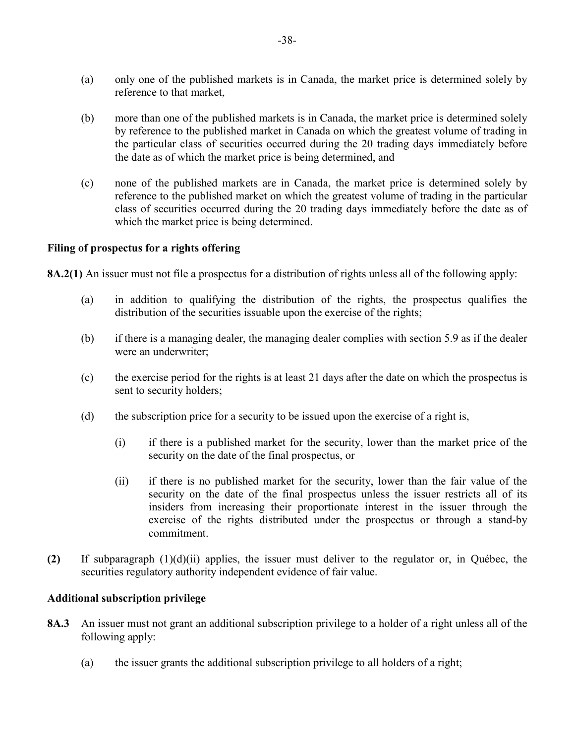- (a) only one of the published markets is in Canada, the market price is determined solely by reference to that market,
- (b) more than one of the published markets is in Canada, the market price is determined solely by reference to the published market in Canada on which the greatest volume of trading in the particular class of securities occurred during the 20 trading days immediately before the date as of which the market price is being determined, and
- (c) none of the published markets are in Canada, the market price is determined solely by reference to the published market on which the greatest volume of trading in the particular class of securities occurred during the 20 trading days immediately before the date as of which the market price is being determined.

## **Filing of prospectus for a rights offering**

**8A.2(1)** An issuer must not file a prospectus for a distribution of rights unless all of the following apply:

- (a) in addition to qualifying the distribution of the rights, the prospectus qualifies the distribution of the securities issuable upon the exercise of the rights;
- (b) if there is a managing dealer, the managing dealer complies with section 5.9 as if the dealer were an underwriter;
- (c) the exercise period for the rights is at least 21 days after the date on which the prospectus is sent to security holders;
- (d) the subscription price for a security to be issued upon the exercise of a right is,
	- (i) if there is a published market for the security, lower than the market price of the security on the date of the final prospectus, or
	- (ii) if there is no published market for the security, lower than the fair value of the security on the date of the final prospectus unless the issuer restricts all of its insiders from increasing their proportionate interest in the issuer through the exercise of the rights distributed under the prospectus or through a stand-by commitment.
- **(2)** If subparagraph (1)(d)(ii) applies, the issuer must deliver to the regulator or, in Québec, the securities regulatory authority independent evidence of fair value.

## **Additional subscription privilege**

- **8A.3** An issuer must not grant an additional subscription privilege to a holder of a right unless all of the following apply:
	- (a) the issuer grants the additional subscription privilege to all holders of a right;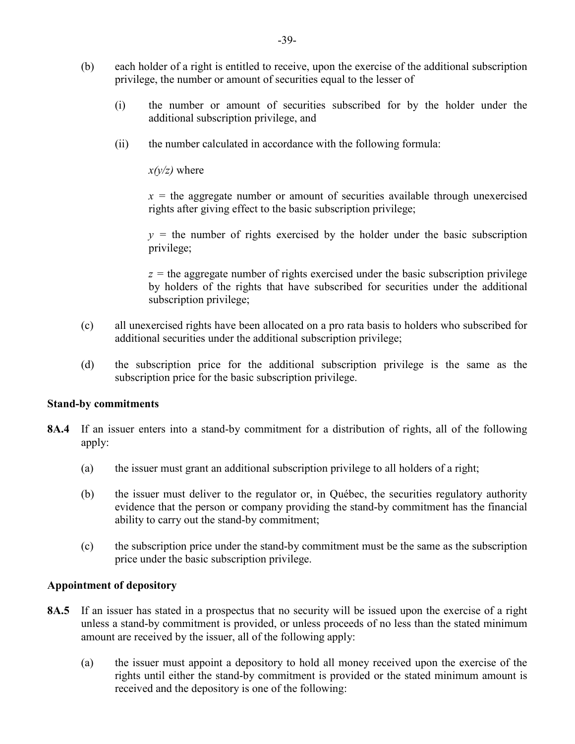- (b) each holder of a right is entitled to receive, upon the exercise of the additional subscription privilege, the number or amount of securities equal to the lesser of
	- (i) the number or amount of securities subscribed for by the holder under the additional subscription privilege, and
	- (ii) the number calculated in accordance with the following formula:

*x(y/z)* where

 $x =$  the aggregate number or amount of securities available through unexercised rights after giving effect to the basic subscription privilege;

 $y =$  the number of rights exercised by the holder under the basic subscription privilege;

 $z =$  the aggregate number of rights exercised under the basic subscription privilege by holders of the rights that have subscribed for securities under the additional subscription privilege;

- (c) all unexercised rights have been allocated on a pro rata basis to holders who subscribed for additional securities under the additional subscription privilege;
- (d) the subscription price for the additional subscription privilege is the same as the subscription price for the basic subscription privilege.

## **Stand-by commitments**

- **8A.4** If an issuer enters into a stand-by commitment for a distribution of rights, all of the following apply:
	- (a) the issuer must grant an additional subscription privilege to all holders of a right;
	- (b) the issuer must deliver to the regulator or, in Québec, the securities regulatory authority evidence that the person or company providing the stand-by commitment has the financial ability to carry out the stand-by commitment;
	- (c) the subscription price under the stand-by commitment must be the same as the subscription price under the basic subscription privilege.

## **Appointment of depository**

- **8A.5** If an issuer has stated in a prospectus that no security will be issued upon the exercise of a right unless a stand-by commitment is provided, or unless proceeds of no less than the stated minimum amount are received by the issuer, all of the following apply:
	- (a) the issuer must appoint a depository to hold all money received upon the exercise of the rights until either the stand-by commitment is provided or the stated minimum amount is received and the depository is one of the following: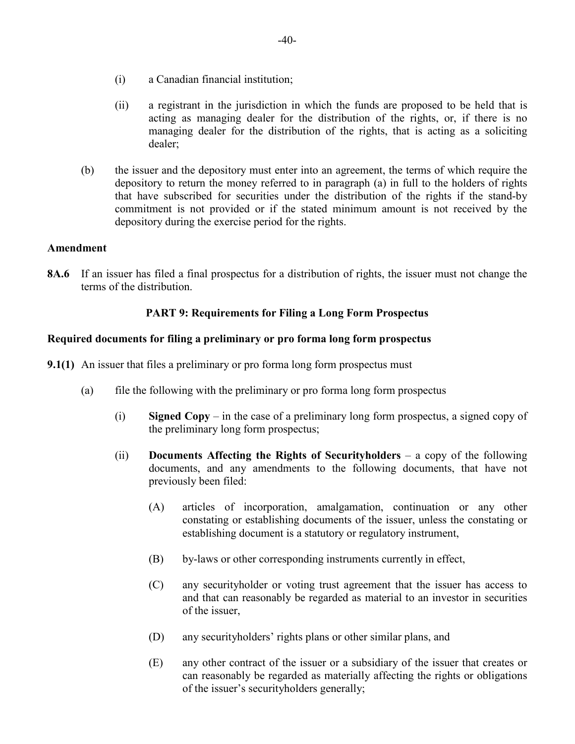- (i) a Canadian financial institution;
- (ii) a registrant in the jurisdiction in which the funds are proposed to be held that is acting as managing dealer for the distribution of the rights, or, if there is no managing dealer for the distribution of the rights, that is acting as a soliciting dealer;
- (b) the issuer and the depository must enter into an agreement, the terms of which require the depository to return the money referred to in paragraph (a) in full to the holders of rights that have subscribed for securities under the distribution of the rights if the stand-by commitment is not provided or if the stated minimum amount is not received by the depository during the exercise period for the rights.

#### **Amendment**

**8A.6** If an issuer has filed a final prospectus for a distribution of rights, the issuer must not change the terms of the distribution.

# **PART 9: Requirements for Filing a Long Form Prospectus**

## **Required documents for filing a preliminary or pro forma long form prospectus**

- **9.1(1)** An issuer that files a preliminary or pro forma long form prospectus must
	- (a) file the following with the preliminary or pro forma long form prospectus
		- (i) **Signed Copy** in the case of a preliminary long form prospectus, a signed copy of the preliminary long form prospectus;
		- (ii) **Documents Affecting the Rights of Securityholders** a copy of the following documents, and any amendments to the following documents, that have not previously been filed:
			- (A) articles of incorporation, amalgamation, continuation or any other constating or establishing documents of the issuer, unless the constating or establishing document is a statutory or regulatory instrument,
			- (B) by-laws or other corresponding instruments currently in effect,
			- (C) any securityholder or voting trust agreement that the issuer has access to and that can reasonably be regarded as material to an investor in securities of the issuer,
			- (D) any securityholders' rights plans or other similar plans, and
			- (E) any other contract of the issuer or a subsidiary of the issuer that creates or can reasonably be regarded as materially affecting the rights or obligations of the issuer's securityholders generally;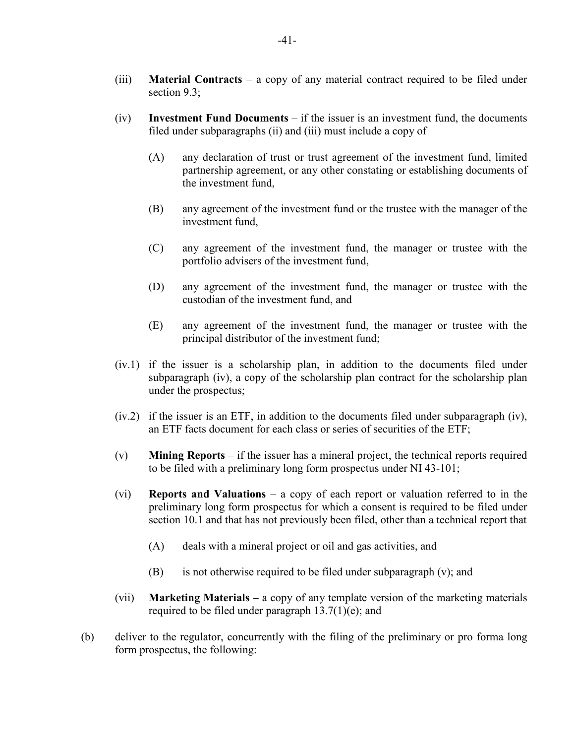- (iii) **Material Contracts**  a copy of any material contract required to be filed under section 9.3;
- (iv) **Investment Fund Documents**  if the issuer is an investment fund, the documents filed under subparagraphs (ii) and (iii) must include a copy of
	- (A) any declaration of trust or trust agreement of the investment fund, limited partnership agreement, or any other constating or establishing documents of the investment fund,
	- (B) any agreement of the investment fund or the trustee with the manager of the investment fund,
	- (C) any agreement of the investment fund, the manager or trustee with the portfolio advisers of the investment fund,
	- (D) any agreement of the investment fund, the manager or trustee with the custodian of the investment fund, and
	- (E) any agreement of the investment fund, the manager or trustee with the principal distributor of the investment fund;
- (iv.1) if the issuer is a scholarship plan, in addition to the documents filed under subparagraph (iv), a copy of the scholarship plan contract for the scholarship plan under the prospectus;
- (iv.2) if the issuer is an ETF, in addition to the documents filed under subparagraph (iv), an ETF facts document for each class or series of securities of the ETF;
- (v) **Mining Reports** if the issuer has a mineral project, the technical reports required to be filed with a preliminary long form prospectus under NI 43-101;
- (vi) **Reports and Valuations**  a copy of each report or valuation referred to in the preliminary long form prospectus for which a consent is required to be filed under section 10.1 and that has not previously been filed, other than a technical report that
	- (A) deals with a mineral project or oil and gas activities, and
	- (B) is not otherwise required to be filed under subparagraph (v); and
- (vii) **Marketing Materials –** a copy of any template version of the marketing materials required to be filed under paragraph 13.7(1)(e); and
- (b) deliver to the regulator, concurrently with the filing of the preliminary or pro forma long form prospectus, the following: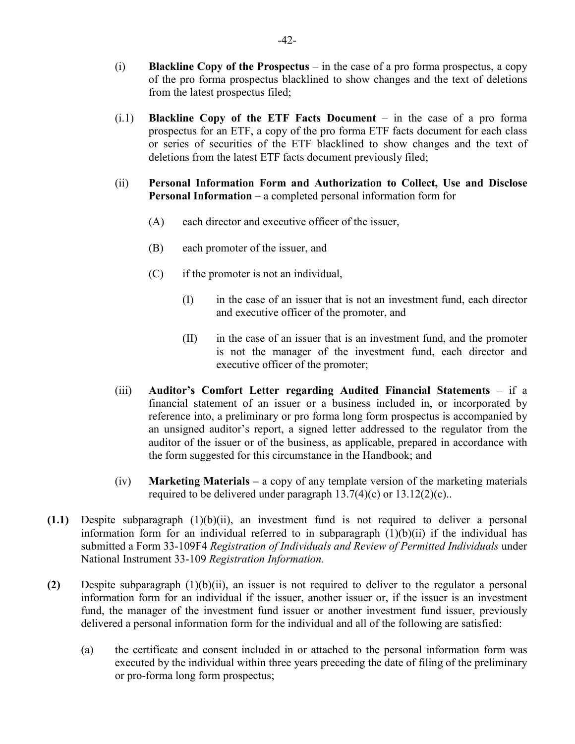- (i) **Blackline Copy of the Prospectus** in the case of a pro forma prospectus, a copy of the pro forma prospectus blacklined to show changes and the text of deletions from the latest prospectus filed;
- (i.1) **Blackline Copy of the ETF Facts Document** in the case of a pro forma prospectus for an ETF, a copy of the pro forma ETF facts document for each class or series of securities of the ETF blacklined to show changes and the text of deletions from the latest ETF facts document previously filed;
- (ii) **Personal Information Form and Authorization to Collect, Use and Disclose Personal Information** – a completed personal information form for
	- (A) each director and executive officer of the issuer,
	- (B) each promoter of the issuer, and
	- (C) if the promoter is not an individual,
		- (I) in the case of an issuer that is not an investment fund, each director and executive officer of the promoter, and
		- (II) in the case of an issuer that is an investment fund, and the promoter is not the manager of the investment fund, each director and executive officer of the promoter;
- (iii) **Auditor's Comfort Letter regarding Audited Financial Statements** if a financial statement of an issuer or a business included in, or incorporated by reference into, a preliminary or pro forma long form prospectus is accompanied by an unsigned auditor's report, a signed letter addressed to the regulator from the auditor of the issuer or of the business, as applicable, prepared in accordance with the form suggested for this circumstance in the Handbook; and
- (iv) **Marketing Materials –** a copy of any template version of the marketing materials required to be delivered under paragraph  $13.7(4)(c)$  or  $13.12(2)(c)$ ..
- **(1.1)** Despite subparagraph (1)(b)(ii), an investment fund is not required to deliver a personal information form for an individual referred to in subparagraph  $(1)(b)(ii)$  if the individual has submitted a Form 33-109F4 *Registration of Individuals and Review of Permitted Individuals* under National Instrument 33-109 *Registration Information.*
- **(2)** Despite subparagraph (1)(b)(ii), an issuer is not required to deliver to the regulator a personal information form for an individual if the issuer, another issuer or, if the issuer is an investment fund, the manager of the investment fund issuer or another investment fund issuer, previously delivered a personal information form for the individual and all of the following are satisfied:
	- (a) the certificate and consent included in or attached to the personal information form was executed by the individual within three years preceding the date of filing of the preliminary or pro-forma long form prospectus;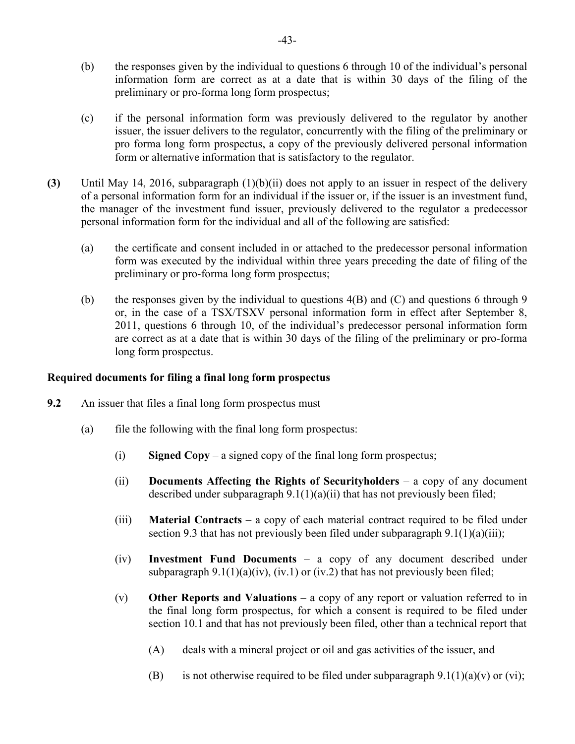- (b) the responses given by the individual to questions 6 through 10 of the individual's personal information form are correct as at a date that is within 30 days of the filing of the preliminary or pro-forma long form prospectus;
- (c) if the personal information form was previously delivered to the regulator by another issuer, the issuer delivers to the regulator, concurrently with the filing of the preliminary or pro forma long form prospectus, a copy of the previously delivered personal information form or alternative information that is satisfactory to the regulator.
- **(3)** Until May 14, 2016, subparagraph (1)(b)(ii) does not apply to an issuer in respect of the delivery of a personal information form for an individual if the issuer or, if the issuer is an investment fund, the manager of the investment fund issuer, previously delivered to the regulator a predecessor personal information form for the individual and all of the following are satisfied:
	- (a) the certificate and consent included in or attached to the predecessor personal information form was executed by the individual within three years preceding the date of filing of the preliminary or pro-forma long form prospectus;
	- (b) the responses given by the individual to questions  $4(B)$  and  $(C)$  and questions 6 through 9 or, in the case of a TSX/TSXV personal information form in effect after September 8, 2011, questions 6 through 10, of the individual's predecessor personal information form are correct as at a date that is within 30 days of the filing of the preliminary or pro-forma long form prospectus.

## **Required documents for filing a final long form prospectus**

- **9.2** An issuer that files a final long form prospectus must
	- (a) file the following with the final long form prospectus:
		- (i) **Signed Copy** a signed copy of the final long form prospectus;
		- (ii) **Documents Affecting the Rights of Securityholders** a copy of any document described under subparagraph 9.1(1)(a)(ii) that has not previously been filed;
		- (iii) **Material Contracts** a copy of each material contract required to be filed under section 9.3 that has not previously been filed under subparagraph  $9.1(1)(a)(iii)$ ;
		- (iv) **Investment Fund Documents** a copy of any document described under subparagraph  $9.1(1)(a)(iv)$ , (iv.1) or (iv.2) that has not previously been filed;
		- (v) **Other Reports and Valuations** a copy of any report or valuation referred to in the final long form prospectus, for which a consent is required to be filed under section 10.1 and that has not previously been filed, other than a technical report that
			- (A) deals with a mineral project or oil and gas activities of the issuer, and
			- (B) is not otherwise required to be filed under subparagraph  $9.1(1)(a)(v)$  or (vi);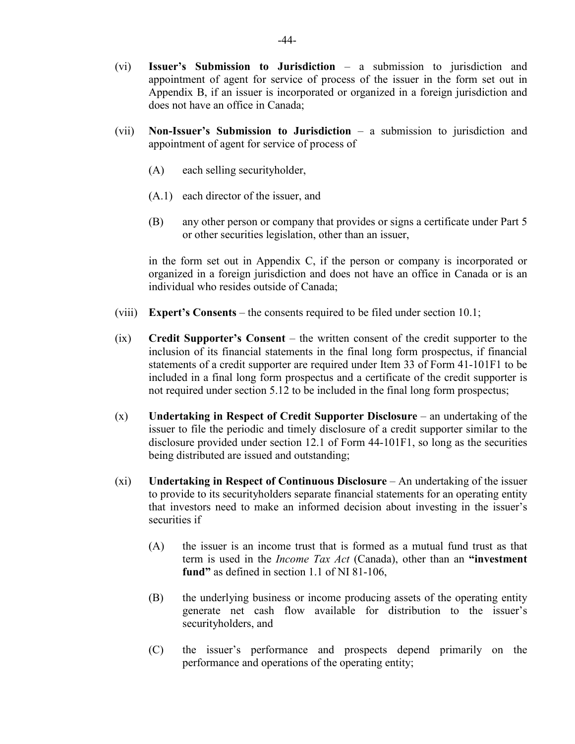- (vi) **Issuer's Submission to Jurisdiction**  a submission to jurisdiction and appointment of agent for service of process of the issuer in the form set out in Appendix B, if an issuer is incorporated or organized in a foreign jurisdiction and does not have an office in Canada;
- (vii) **Non-Issuer's Submission to Jurisdiction**  a submission to jurisdiction and appointment of agent for service of process of
	- (A) each selling securityholder,
	- (A.1) each director of the issuer, and
	- (B) any other person or company that provides or signs a certificate under Part 5 or other securities legislation, other than an issuer,

in the form set out in Appendix C, if the person or company is incorporated or organized in a foreign jurisdiction and does not have an office in Canada or is an individual who resides outside of Canada;

- (viii) **Expert's Consents** the consents required to be filed under section 10.1;
- (ix) **Credit Supporter's Consent** the written consent of the credit supporter to the inclusion of its financial statements in the final long form prospectus, if financial statements of a credit supporter are required under Item 33 of Form 41-101F1 to be included in a final long form prospectus and a certificate of the credit supporter is not required under section 5.12 to be included in the final long form prospectus;
- (x) **Undertaking in Respect of Credit Supporter Disclosure** an undertaking of the issuer to file the periodic and timely disclosure of a credit supporter similar to the disclosure provided under section 12.1 of Form 44-101F1, so long as the securities being distributed are issued and outstanding;
- (xi) **Undertaking in Respect of Continuous Disclosure** An undertaking of the issuer to provide to its securityholders separate financial statements for an operating entity that investors need to make an informed decision about investing in the issuer's securities if
	- (A) the issuer is an income trust that is formed as a mutual fund trust as that term is used in the *Income Tax Act* (Canada), other than an **"investment fund"** as defined in section 1.1 of NI 81-106,
	- (B) the underlying business or income producing assets of the operating entity generate net cash flow available for distribution to the issuer's securityholders, and
	- (C) the issuer's performance and prospects depend primarily on the performance and operations of the operating entity;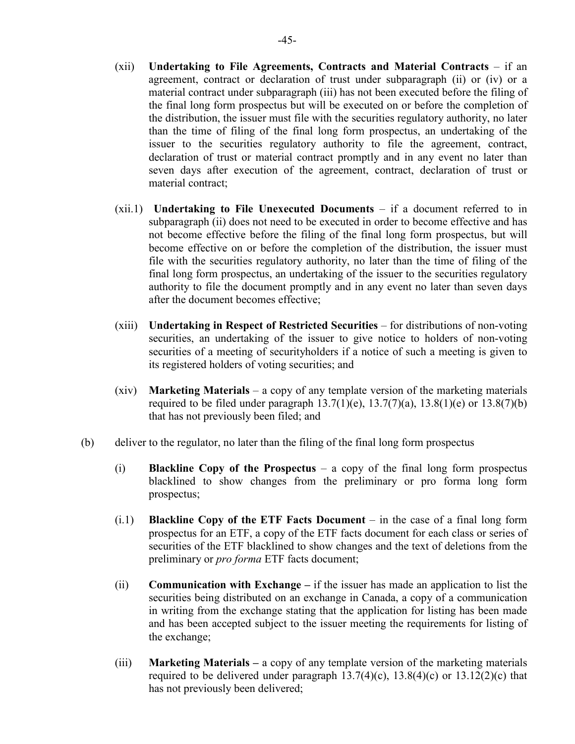- (xii) **Undertaking to File Agreements, Contracts and Material Contracts** if an agreement, contract or declaration of trust under subparagraph (ii) or (iv) or a material contract under subparagraph (iii) has not been executed before the filing of the final long form prospectus but will be executed on or before the completion of the distribution, the issuer must file with the securities regulatory authority, no later than the time of filing of the final long form prospectus, an undertaking of the issuer to the securities regulatory authority to file the agreement, contract, declaration of trust or material contract promptly and in any event no later than seven days after execution of the agreement, contract, declaration of trust or material contract;
- (xii.1) **Undertaking to File Unexecuted Documents**  if a document referred to in subparagraph (ii) does not need to be executed in order to become effective and has not become effective before the filing of the final long form prospectus, but will become effective on or before the completion of the distribution, the issuer must file with the securities regulatory authority, no later than the time of filing of the final long form prospectus, an undertaking of the issuer to the securities regulatory authority to file the document promptly and in any event no later than seven days after the document becomes effective;
- (xiii) **Undertaking in Respect of Restricted Securities** for distributions of non-voting securities, an undertaking of the issuer to give notice to holders of non-voting securities of a meeting of securityholders if a notice of such a meeting is given to its registered holders of voting securities; and
- (xiv) **Marketing Materials**  a copy of any template version of the marketing materials required to be filed under paragraph  $13.7(1)(e)$ ,  $13.7(7)(a)$ ,  $13.8(1)(e)$  or  $13.8(7)(b)$ that has not previously been filed; and
- (b) deliver to the regulator, no later than the filing of the final long form prospectus
	- (i) **Blackline Copy of the Prospectus**  a copy of the final long form prospectus blacklined to show changes from the preliminary or pro forma long form prospectus;
	- (i.1) **Blackline Copy of the ETF Facts Document**  in the case of a final long form prospectus for an ETF, a copy of the ETF facts document for each class or series of securities of the ETF blacklined to show changes and the text of deletions from the preliminary or *pro forma* ETF facts document;
	- (ii) **Communication with Exchange –** if the issuer has made an application to list the securities being distributed on an exchange in Canada, a copy of a communication in writing from the exchange stating that the application for listing has been made and has been accepted subject to the issuer meeting the requirements for listing of the exchange;
	- (iii) **Marketing Materials –** a copy of any template version of the marketing materials required to be delivered under paragraph  $13.7(4)(c)$ ,  $13.8(4)(c)$  or  $13.12(2)(c)$  that has not previously been delivered;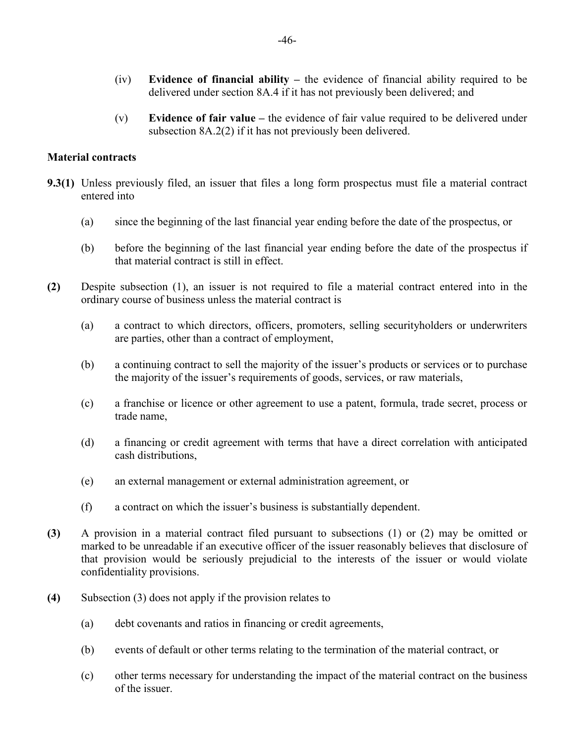- (iv) **Evidence of financial ability –** the evidence of financial ability required to be delivered under section 8A.4 if it has not previously been delivered; and
- (v) **Evidence of fair value –** the evidence of fair value required to be delivered under subsection 8A.2(2) if it has not previously been delivered.

## **Material contracts**

- **9.3(1)** Unless previously filed, an issuer that files a long form prospectus must file a material contract entered into
	- (a) since the beginning of the last financial year ending before the date of the prospectus, or
	- (b) before the beginning of the last financial year ending before the date of the prospectus if that material contract is still in effect.
- **(2)** Despite subsection (1), an issuer is not required to file a material contract entered into in the ordinary course of business unless the material contract is
	- (a) a contract to which directors, officers, promoters, selling securityholders or underwriters are parties, other than a contract of employment,
	- (b) a continuing contract to sell the majority of the issuer's products or services or to purchase the majority of the issuer's requirements of goods, services, or raw materials,
	- (c) a franchise or licence or other agreement to use a patent, formula, trade secret, process or trade name,
	- (d) a financing or credit agreement with terms that have a direct correlation with anticipated cash distributions,
	- (e) an external management or external administration agreement, or
	- (f) a contract on which the issuer's business is substantially dependent.
- **(3)** A provision in a material contract filed pursuant to subsections (1) or (2) may be omitted or marked to be unreadable if an executive officer of the issuer reasonably believes that disclosure of that provision would be seriously prejudicial to the interests of the issuer or would violate confidentiality provisions.
- **(4)** Subsection (3) does not apply if the provision relates to
	- (a) debt covenants and ratios in financing or credit agreements,
	- (b) events of default or other terms relating to the termination of the material contract, or
	- (c) other terms necessary for understanding the impact of the material contract on the business of the issuer.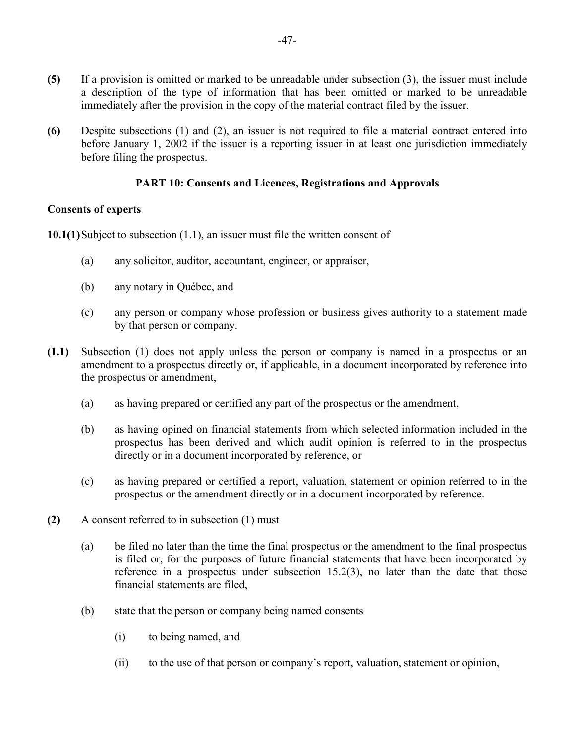- **(5)** If a provision is omitted or marked to be unreadable under subsection (3), the issuer must include a description of the type of information that has been omitted or marked to be unreadable immediately after the provision in the copy of the material contract filed by the issuer.
- **(6)** Despite subsections (1) and (2), an issuer is not required to file a material contract entered into before January 1, 2002 if the issuer is a reporting issuer in at least one jurisdiction immediately before filing the prospectus.

# **PART 10: Consents and Licences, Registrations and Approvals**

# **Consents of experts**

**10.1(1)**Subject to subsection (1.1), an issuer must file the written consent of

- (a) any solicitor, auditor, accountant, engineer, or appraiser,
- (b) any notary in Québec, and
- (c) any person or company whose profession or business gives authority to a statement made by that person or company.
- **(1.1)** Subsection (1) does not apply unless the person or company is named in a prospectus or an amendment to a prospectus directly or, if applicable, in a document incorporated by reference into the prospectus or amendment,
	- (a) as having prepared or certified any part of the prospectus or the amendment,
	- (b) as having opined on financial statements from which selected information included in the prospectus has been derived and which audit opinion is referred to in the prospectus directly or in a document incorporated by reference, or
	- (c) as having prepared or certified a report, valuation, statement or opinion referred to in the prospectus or the amendment directly or in a document incorporated by reference.
- **(2)** A consent referred to in subsection (1) must
	- (a) be filed no later than the time the final prospectus or the amendment to the final prospectus is filed or, for the purposes of future financial statements that have been incorporated by reference in a prospectus under subsection 15.2(3), no later than the date that those financial statements are filed,
	- (b) state that the person or company being named consents
		- (i) to being named, and
		- (ii) to the use of that person or company's report, valuation, statement or opinion,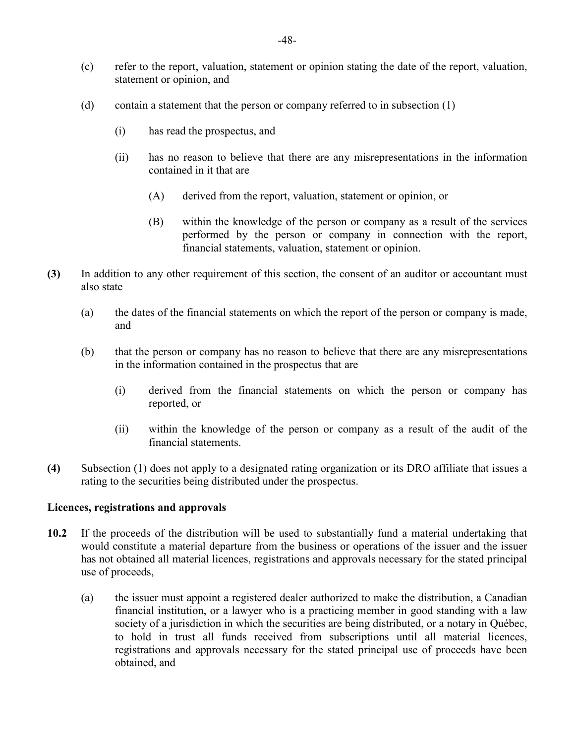- (c) refer to the report, valuation, statement or opinion stating the date of the report, valuation, statement or opinion, and
- (d) contain a statement that the person or company referred to in subsection (1)
	- (i) has read the prospectus, and
	- (ii) has no reason to believe that there are any misrepresentations in the information contained in it that are
		- (A) derived from the report, valuation, statement or opinion, or
		- (B) within the knowledge of the person or company as a result of the services performed by the person or company in connection with the report, financial statements, valuation, statement or opinion.
- **(3)** In addition to any other requirement of this section, the consent of an auditor or accountant must also state
	- (a) the dates of the financial statements on which the report of the person or company is made, and
	- (b) that the person or company has no reason to believe that there are any misrepresentations in the information contained in the prospectus that are
		- (i) derived from the financial statements on which the person or company has reported, or
		- (ii) within the knowledge of the person or company as a result of the audit of the financial statements.
- **(4)** Subsection (1) does not apply to a designated rating organization or its DRO affiliate that issues a rating to the securities being distributed under the prospectus.

## **Licences, registrations and approvals**

- **10.2** If the proceeds of the distribution will be used to substantially fund a material undertaking that would constitute a material departure from the business or operations of the issuer and the issuer has not obtained all material licences, registrations and approvals necessary for the stated principal use of proceeds,
	- (a) the issuer must appoint a registered dealer authorized to make the distribution, a Canadian financial institution, or a lawyer who is a practicing member in good standing with a law society of a jurisdiction in which the securities are being distributed, or a notary in Québec, to hold in trust all funds received from subscriptions until all material licences, registrations and approvals necessary for the stated principal use of proceeds have been obtained, and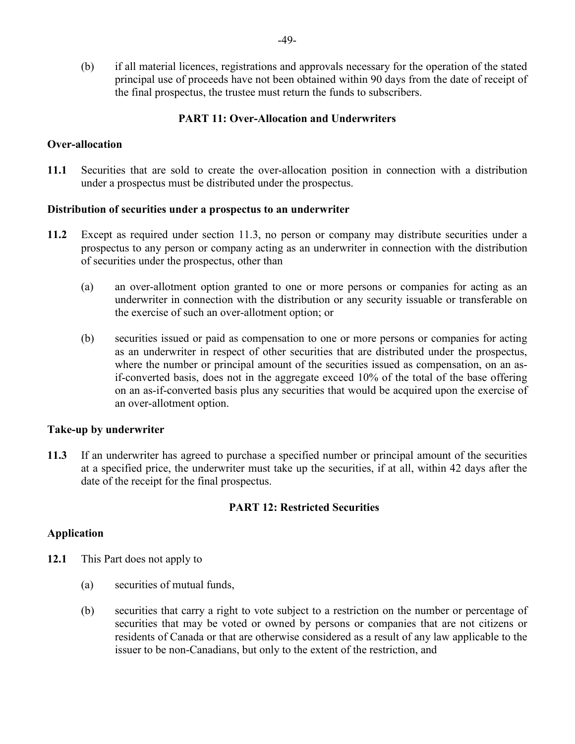(b) if all material licences, registrations and approvals necessary for the operation of the stated principal use of proceeds have not been obtained within 90 days from the date of receipt of the final prospectus, the trustee must return the funds to subscribers.

# **PART 11: Over-Allocation and Underwriters**

#### **Over-allocation**

**11.1** Securities that are sold to create the over-allocation position in connection with a distribution under a prospectus must be distributed under the prospectus.

#### **Distribution of securities under a prospectus to an underwriter**

- **11.2** Except as required under section 11.3, no person or company may distribute securities under a prospectus to any person or company acting as an underwriter in connection with the distribution of securities under the prospectus, other than
	- (a) an over-allotment option granted to one or more persons or companies for acting as an underwriter in connection with the distribution or any security issuable or transferable on the exercise of such an over-allotment option; or
	- (b) securities issued or paid as compensation to one or more persons or companies for acting as an underwriter in respect of other securities that are distributed under the prospectus, where the number or principal amount of the securities issued as compensation, on an asif-converted basis, does not in the aggregate exceed 10% of the total of the base offering on an as-if-converted basis plus any securities that would be acquired upon the exercise of an over-allotment option.

## **Take-up by underwriter**

**11.3** If an underwriter has agreed to purchase a specified number or principal amount of the securities at a specified price, the underwriter must take up the securities, if at all, within 42 days after the date of the receipt for the final prospectus.

## **PART 12: Restricted Securities**

#### **Application**

- **12.1** This Part does not apply to
	- (a) securities of mutual funds,
	- (b) securities that carry a right to vote subject to a restriction on the number or percentage of securities that may be voted or owned by persons or companies that are not citizens or residents of Canada or that are otherwise considered as a result of any law applicable to the issuer to be non-Canadians, but only to the extent of the restriction, and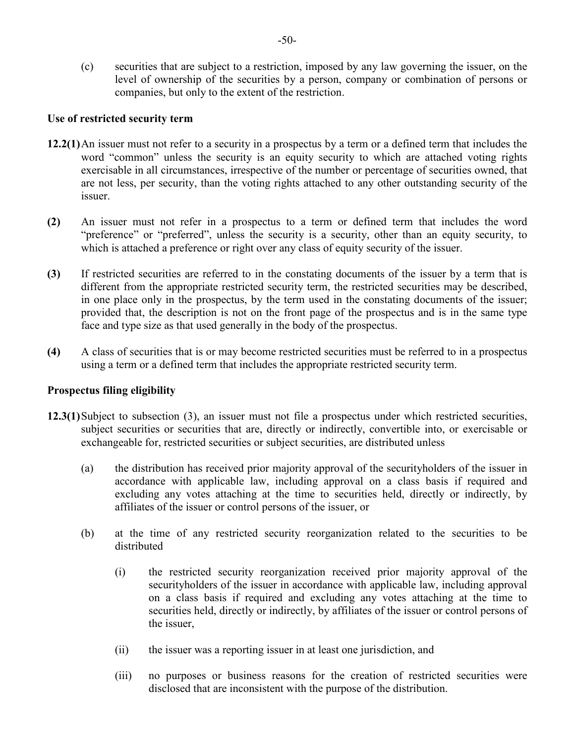(c) securities that are subject to a restriction, imposed by any law governing the issuer, on the level of ownership of the securities by a person, company or combination of persons or companies, but only to the extent of the restriction.

#### **Use of restricted security term**

- **12.2(1)**An issuer must not refer to a security in a prospectus by a term or a defined term that includes the word "common" unless the security is an equity security to which are attached voting rights exercisable in all circumstances, irrespective of the number or percentage of securities owned, that are not less, per security, than the voting rights attached to any other outstanding security of the issuer.
- **(2)** An issuer must not refer in a prospectus to a term or defined term that includes the word "preference" or "preferred", unless the security is a security, other than an equity security, to which is attached a preference or right over any class of equity security of the issuer.
- **(3)** If restricted securities are referred to in the constating documents of the issuer by a term that is different from the appropriate restricted security term, the restricted securities may be described, in one place only in the prospectus, by the term used in the constating documents of the issuer; provided that, the description is not on the front page of the prospectus and is in the same type face and type size as that used generally in the body of the prospectus.
- **(4)** A class of securities that is or may become restricted securities must be referred to in a prospectus using a term or a defined term that includes the appropriate restricted security term.

## **Prospectus filing eligibility**

- **12.3(1)**Subject to subsection (3), an issuer must not file a prospectus under which restricted securities, subject securities or securities that are, directly or indirectly, convertible into, or exercisable or exchangeable for, restricted securities or subject securities, are distributed unless
	- (a) the distribution has received prior majority approval of the securityholders of the issuer in accordance with applicable law, including approval on a class basis if required and excluding any votes attaching at the time to securities held, directly or indirectly, by affiliates of the issuer or control persons of the issuer, or
	- (b) at the time of any restricted security reorganization related to the securities to be distributed
		- (i) the restricted security reorganization received prior majority approval of the securityholders of the issuer in accordance with applicable law, including approval on a class basis if required and excluding any votes attaching at the time to securities held, directly or indirectly, by affiliates of the issuer or control persons of the issuer,
		- (ii) the issuer was a reporting issuer in at least one jurisdiction, and
		- (iii) no purposes or business reasons for the creation of restricted securities were disclosed that are inconsistent with the purpose of the distribution.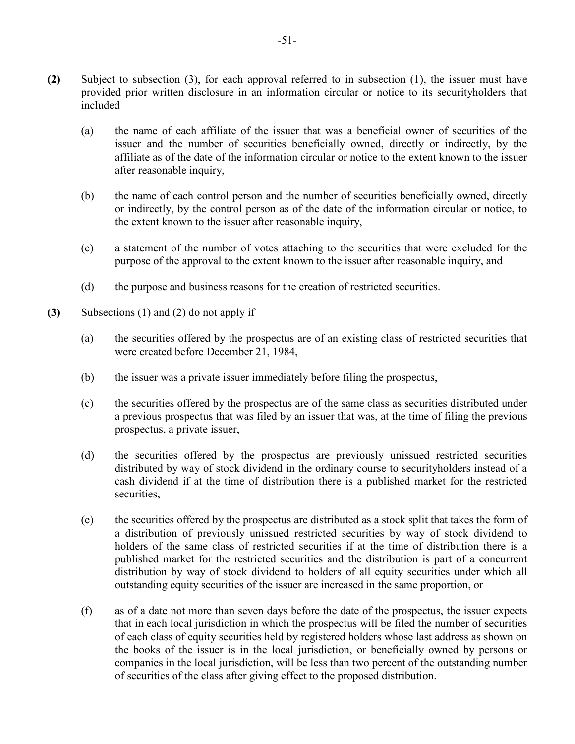- (a) the name of each affiliate of the issuer that was a beneficial owner of securities of the issuer and the number of securities beneficially owned, directly or indirectly, by the affiliate as of the date of the information circular or notice to the extent known to the issuer after reasonable inquiry,
- (b) the name of each control person and the number of securities beneficially owned, directly or indirectly, by the control person as of the date of the information circular or notice, to the extent known to the issuer after reasonable inquiry,
- (c) a statement of the number of votes attaching to the securities that were excluded for the purpose of the approval to the extent known to the issuer after reasonable inquiry, and
- (d) the purpose and business reasons for the creation of restricted securities.
- **(3)** Subsections (1) and (2) do not apply if
	- (a) the securities offered by the prospectus are of an existing class of restricted securities that were created before December 21, 1984,
	- (b) the issuer was a private issuer immediately before filing the prospectus,
	- (c) the securities offered by the prospectus are of the same class as securities distributed under a previous prospectus that was filed by an issuer that was, at the time of filing the previous prospectus, a private issuer,
	- (d) the securities offered by the prospectus are previously unissued restricted securities distributed by way of stock dividend in the ordinary course to securityholders instead of a cash dividend if at the time of distribution there is a published market for the restricted securities,
	- (e) the securities offered by the prospectus are distributed as a stock split that takes the form of a distribution of previously unissued restricted securities by way of stock dividend to holders of the same class of restricted securities if at the time of distribution there is a published market for the restricted securities and the distribution is part of a concurrent distribution by way of stock dividend to holders of all equity securities under which all outstanding equity securities of the issuer are increased in the same proportion, or
	- (f) as of a date not more than seven days before the date of the prospectus, the issuer expects that in each local jurisdiction in which the prospectus will be filed the number of securities of each class of equity securities held by registered holders whose last address as shown on the books of the issuer is in the local jurisdiction, or beneficially owned by persons or companies in the local jurisdiction, will be less than two percent of the outstanding number of securities of the class after giving effect to the proposed distribution.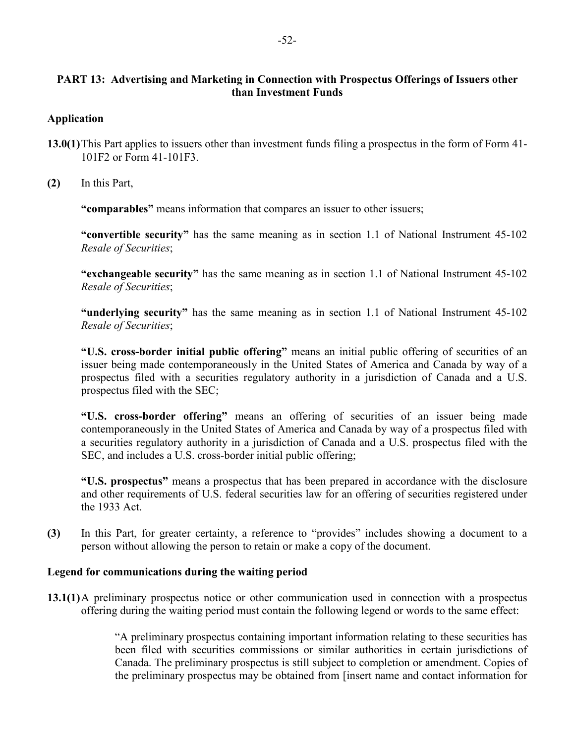# **PART 13: Advertising and Marketing in Connection with Prospectus Offerings of Issuers other than Investment Funds**

## **Application**

**13.0(1)**This Part applies to issuers other than investment funds filing a prospectus in the form of Form 41- 101F2 or Form 41-101F3.

**(2)** In this Part,

**"comparables"** means information that compares an issuer to other issuers;

**"convertible security"** has the same meaning as in section 1.1 of National Instrument 45-102 *Resale of Securities*;

**"exchangeable security"** has the same meaning as in section 1.1 of National Instrument 45-102 *Resale of Securities*;

**"underlying security"** has the same meaning as in section 1.1 of National Instrument 45-102 *Resale of Securities*;

**"U.S. cross-border initial public offering"** means an initial public offering of securities of an issuer being made contemporaneously in the United States of America and Canada by way of a prospectus filed with a securities regulatory authority in a jurisdiction of Canada and a U.S. prospectus filed with the SEC;

**"U.S. cross-border offering"** means an offering of securities of an issuer being made contemporaneously in the United States of America and Canada by way of a prospectus filed with a securities regulatory authority in a jurisdiction of Canada and a U.S. prospectus filed with the SEC, and includes a U.S. cross-border initial public offering;

**"U.S. prospectus"** means a prospectus that has been prepared in accordance with the disclosure and other requirements of U.S. federal securities law for an offering of securities registered under the 1933 Act.

**(3)** In this Part, for greater certainty, a reference to "provides" includes showing a document to a person without allowing the person to retain or make a copy of the document.

## **Legend for communications during the waiting period**

**13.1(1)**A preliminary prospectus notice or other communication used in connection with a prospectus offering during the waiting period must contain the following legend or words to the same effect:

> "A preliminary prospectus containing important information relating to these securities has been filed with securities commissions or similar authorities in certain jurisdictions of Canada. The preliminary prospectus is still subject to completion or amendment. Copies of the preliminary prospectus may be obtained from [insert name and contact information for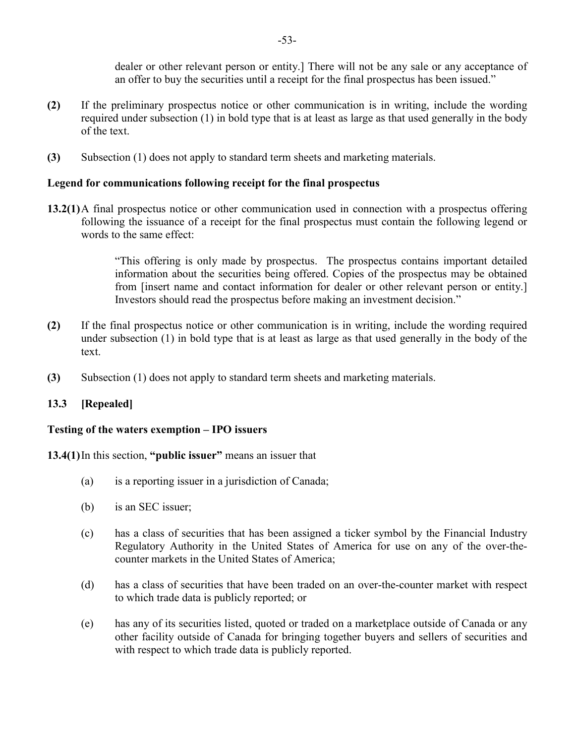dealer or other relevant person or entity.] There will not be any sale or any acceptance of an offer to buy the securities until a receipt for the final prospectus has been issued."

- **(2)** If the preliminary prospectus notice or other communication is in writing, include the wording required under subsection (1) in bold type that is at least as large as that used generally in the body of the text.
- **(3)** Subsection (1) does not apply to standard term sheets and marketing materials.

# **Legend for communications following receipt for the final prospectus**

**13.2(1)**A final prospectus notice or other communication used in connection with a prospectus offering following the issuance of a receipt for the final prospectus must contain the following legend or words to the same effect:

> "This offering is only made by prospectus. The prospectus contains important detailed information about the securities being offered. Copies of the prospectus may be obtained from [insert name and contact information for dealer or other relevant person or entity.] Investors should read the prospectus before making an investment decision."

- **(2)** If the final prospectus notice or other communication is in writing, include the wording required under subsection (1) in bold type that is at least as large as that used generally in the body of the text.
- **(3)** Subsection (1) does not apply to standard term sheets and marketing materials.

# **13.3 [Repealed]**

## **Testing of the waters exemption – IPO issuers**

**13.4(1)**In this section, **"public issuer"** means an issuer that

- (a) is a reporting issuer in a jurisdiction of Canada;
- (b) is an SEC issuer;
- (c) has a class of securities that has been assigned a ticker symbol by the Financial Industry Regulatory Authority in the United States of America for use on any of the over-thecounter markets in the United States of America;
- (d) has a class of securities that have been traded on an over-the-counter market with respect to which trade data is publicly reported; or
- (e) has any of its securities listed, quoted or traded on a marketplace outside of Canada or any other facility outside of Canada for bringing together buyers and sellers of securities and with respect to which trade data is publicly reported.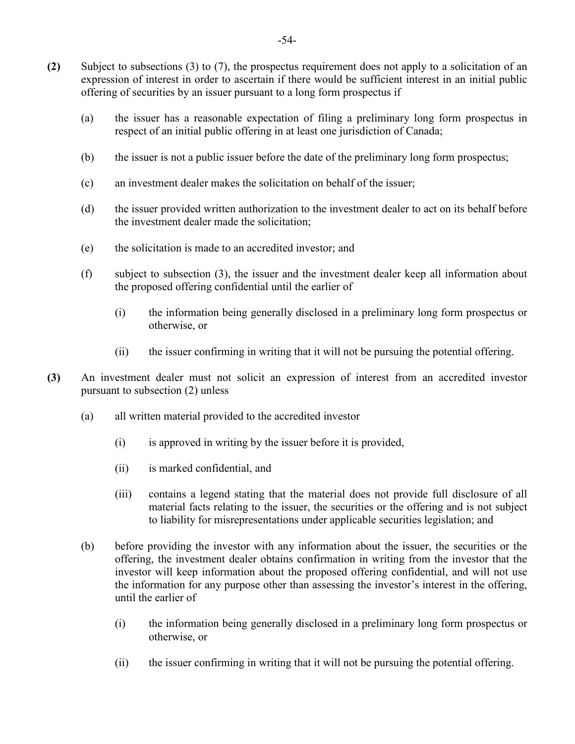- **(2)** Subject to subsections (3) to (7), the prospectus requirement does not apply to a solicitation of an expression of interest in order to ascertain if there would be sufficient interest in an initial public offering of securities by an issuer pursuant to a long form prospectus if
	- (a) the issuer has a reasonable expectation of filing a preliminary long form prospectus in respect of an initial public offering in at least one jurisdiction of Canada;
	- (b) the issuer is not a public issuer before the date of the preliminary long form prospectus;
	- (c) an investment dealer makes the solicitation on behalf of the issuer;
	- (d) the issuer provided written authorization to the investment dealer to act on its behalf before the investment dealer made the solicitation;
	- (e) the solicitation is made to an accredited investor; and
	- (f) subject to subsection (3), the issuer and the investment dealer keep all information about the proposed offering confidential until the earlier of
		- (i) the information being generally disclosed in a preliminary long form prospectus or otherwise, or
		- (ii) the issuer confirming in writing that it will not be pursuing the potential offering.
- **(3)** An investment dealer must not solicit an expression of interest from an accredited investor pursuant to subsection (2) unless
	- (a) all written material provided to the accredited investor
		- (i) is approved in writing by the issuer before it is provided,
		- (ii) is marked confidential, and
		- (iii) contains a legend stating that the material does not provide full disclosure of all material facts relating to the issuer, the securities or the offering and is not subject to liability for misrepresentations under applicable securities legislation; and
	- (b) before providing the investor with any information about the issuer, the securities or the offering, the investment dealer obtains confirmation in writing from the investor that the investor will keep information about the proposed offering confidential, and will not use the information for any purpose other than assessing the investor's interest in the offering, until the earlier of
		- (i) the information being generally disclosed in a preliminary long form prospectus or otherwise, or
		- (ii) the issuer confirming in writing that it will not be pursuing the potential offering.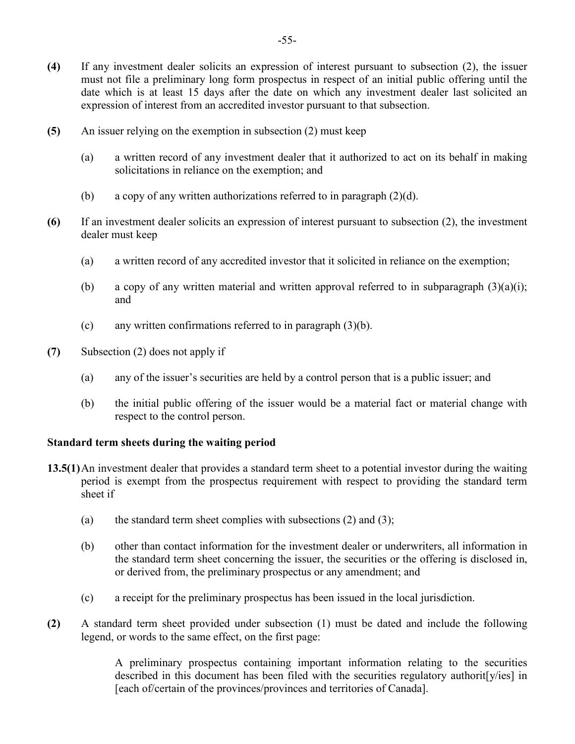- **(4)** If any investment dealer solicits an expression of interest pursuant to subsection (2), the issuer must not file a preliminary long form prospectus in respect of an initial public offering until the date which is at least 15 days after the date on which any investment dealer last solicited an expression of interest from an accredited investor pursuant to that subsection.
- **(5)** An issuer relying on the exemption in subsection (2) must keep
	- (a) a written record of any investment dealer that it authorized to act on its behalf in making solicitations in reliance on the exemption; and
	- (b) a copy of any written authorizations referred to in paragraph (2)(d).
- **(6)** If an investment dealer solicits an expression of interest pursuant to subsection (2), the investment dealer must keep
	- (a) a written record of any accredited investor that it solicited in reliance on the exemption;
	- (b) a copy of any written material and written approval referred to in subparagraph  $(3)(a)(i)$ ; and
	- (c) any written confirmations referred to in paragraph (3)(b).
- **(7)** Subsection (2) does not apply if
	- (a) any of the issuer's securities are held by a control person that is a public issuer; and
	- (b) the initial public offering of the issuer would be a material fact or material change with respect to the control person.

## **Standard term sheets during the waiting period**

- **13.5(1)**An investment dealer that provides a standard term sheet to a potential investor during the waiting period is exempt from the prospectus requirement with respect to providing the standard term sheet if
	- (a) the standard term sheet complies with subsections  $(2)$  and  $(3)$ ;
	- (b) other than contact information for the investment dealer or underwriters, all information in the standard term sheet concerning the issuer, the securities or the offering is disclosed in, or derived from, the preliminary prospectus or any amendment; and
	- (c) a receipt for the preliminary prospectus has been issued in the local jurisdiction.
- **(2)** A standard term sheet provided under subsection (1) must be dated and include the following legend, or words to the same effect, on the first page:

A preliminary prospectus containing important information relating to the securities described in this document has been filed with the securities regulatory authorit[y/ies] in [each of/certain of the provinces/provinces and territories of Canada].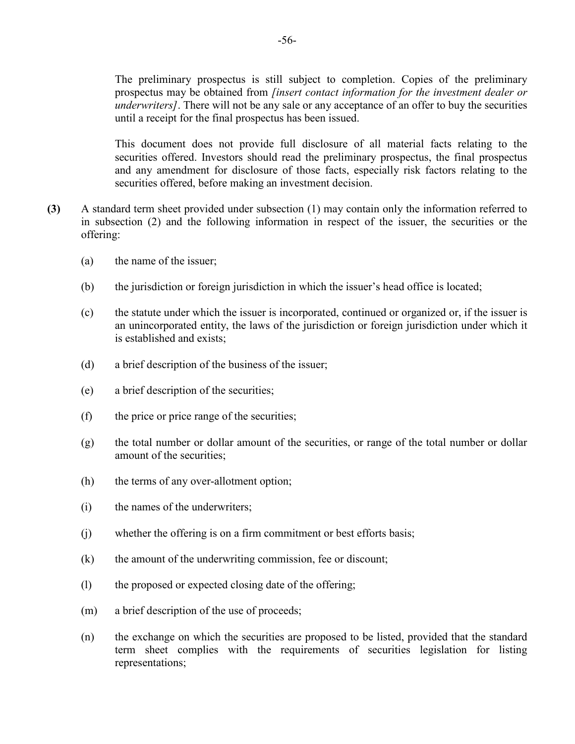The preliminary prospectus is still subject to completion. Copies of the preliminary prospectus may be obtained from *[insert contact information for the investment dealer or underwriters]*. There will not be any sale or any acceptance of an offer to buy the securities until a receipt for the final prospectus has been issued.

This document does not provide full disclosure of all material facts relating to the securities offered. Investors should read the preliminary prospectus, the final prospectus and any amendment for disclosure of those facts, especially risk factors relating to the securities offered, before making an investment decision.

- **(3)** A standard term sheet provided under subsection (1) may contain only the information referred to in subsection (2) and the following information in respect of the issuer, the securities or the offering:
	- (a) the name of the issuer;
	- (b) the jurisdiction or foreign jurisdiction in which the issuer's head office is located;
	- (c) the statute under which the issuer is incorporated, continued or organized or, if the issuer is an unincorporated entity, the laws of the jurisdiction or foreign jurisdiction under which it is established and exists;
	- (d) a brief description of the business of the issuer;
	- (e) a brief description of the securities;
	- (f) the price or price range of the securities;
	- (g) the total number or dollar amount of the securities, or range of the total number or dollar amount of the securities;
	- (h) the terms of any over-allotment option;
	- (i) the names of the underwriters;
	- (j) whether the offering is on a firm commitment or best efforts basis;
	- (k) the amount of the underwriting commission, fee or discount;
	- (l) the proposed or expected closing date of the offering;
	- (m) a brief description of the use of proceeds;
	- (n) the exchange on which the securities are proposed to be listed, provided that the standard term sheet complies with the requirements of securities legislation for listing representations;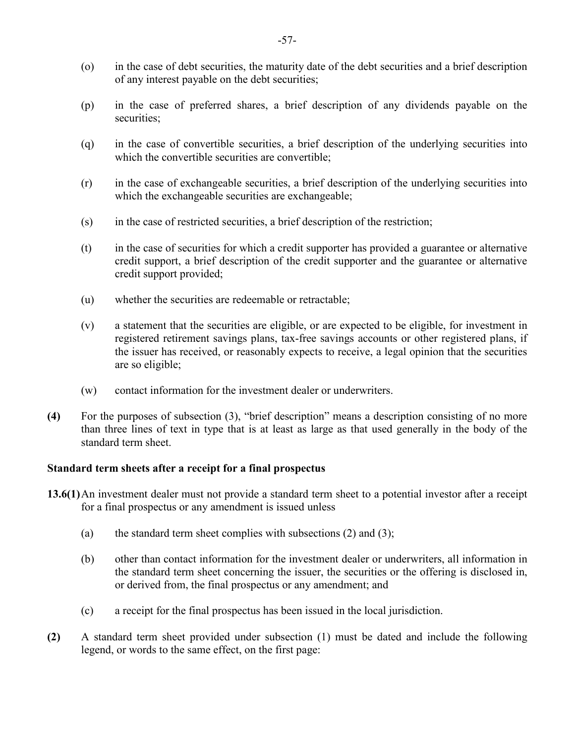- (o) in the case of debt securities, the maturity date of the debt securities and a brief description of any interest payable on the debt securities;
- (p) in the case of preferred shares, a brief description of any dividends payable on the securities;
- (q) in the case of convertible securities, a brief description of the underlying securities into which the convertible securities are convertible;
- (r) in the case of exchangeable securities, a brief description of the underlying securities into which the exchangeable securities are exchangeable;
- (s) in the case of restricted securities, a brief description of the restriction;
- (t) in the case of securities for which a credit supporter has provided a guarantee or alternative credit support, a brief description of the credit supporter and the guarantee or alternative credit support provided;
- (u) whether the securities are redeemable or retractable;
- (v) a statement that the securities are eligible, or are expected to be eligible, for investment in registered retirement savings plans, tax-free savings accounts or other registered plans, if the issuer has received, or reasonably expects to receive, a legal opinion that the securities are so eligible;
- (w) contact information for the investment dealer or underwriters.
- **(4)** For the purposes of subsection (3), "brief description" means a description consisting of no more than three lines of text in type that is at least as large as that used generally in the body of the standard term sheet.

## **Standard term sheets after a receipt for a final prospectus**

- **13.6(1)**An investment dealer must not provide a standard term sheet to a potential investor after a receipt for a final prospectus or any amendment is issued unless
	- (a) the standard term sheet complies with subsections (2) and (3);
	- (b) other than contact information for the investment dealer or underwriters, all information in the standard term sheet concerning the issuer, the securities or the offering is disclosed in, or derived from, the final prospectus or any amendment; and
	- (c) a receipt for the final prospectus has been issued in the local jurisdiction.
- **(2)** A standard term sheet provided under subsection (1) must be dated and include the following legend, or words to the same effect, on the first page: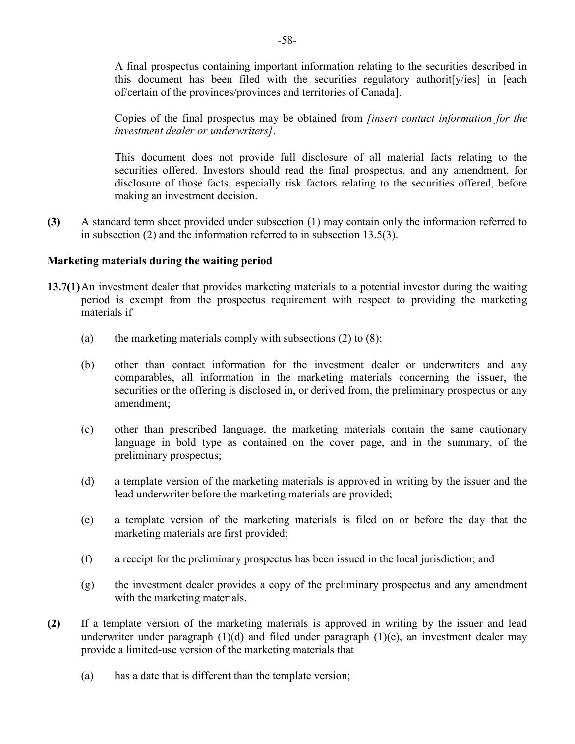A final prospectus containing important information relating to the securities described in this document has been filed with the securities regulatory authorit[y/ies] in [each of/certain of the provinces/provinces and territories of Canada].

Copies of the final prospectus may be obtained from *[insert contact information for the investment dealer or underwriters]*.

This document does not provide full disclosure of all material facts relating to the securities offered. Investors should read the final prospectus, and any amendment, for disclosure of those facts, especially risk factors relating to the securities offered, before making an investment decision.

**(3)** A standard term sheet provided under subsection (1) may contain only the information referred to in subsection (2) and the information referred to in subsection 13.5(3).

# **Marketing materials during the waiting period**

- **13.7(1)**An investment dealer that provides marketing materials to a potential investor during the waiting period is exempt from the prospectus requirement with respect to providing the marketing materials if
	- (a) the marketing materials comply with subsections  $(2)$  to  $(8)$ ;
	- (b) other than contact information for the investment dealer or underwriters and any comparables, all information in the marketing materials concerning the issuer, the securities or the offering is disclosed in, or derived from, the preliminary prospectus or any amendment;
	- (c) other than prescribed language, the marketing materials contain the same cautionary language in bold type as contained on the cover page, and in the summary, of the preliminary prospectus;
	- (d) a template version of the marketing materials is approved in writing by the issuer and the lead underwriter before the marketing materials are provided;
	- (e) a template version of the marketing materials is filed on or before the day that the marketing materials are first provided;
	- (f) a receipt for the preliminary prospectus has been issued in the local jurisdiction; and
	- (g) the investment dealer provides a copy of the preliminary prospectus and any amendment with the marketing materials.
- **(2)** If a template version of the marketing materials is approved in writing by the issuer and lead underwriter under paragraph (1)(d) and filed under paragraph (1)(e), an investment dealer may provide a limited-use version of the marketing materials that
	- (a) has a date that is different than the template version;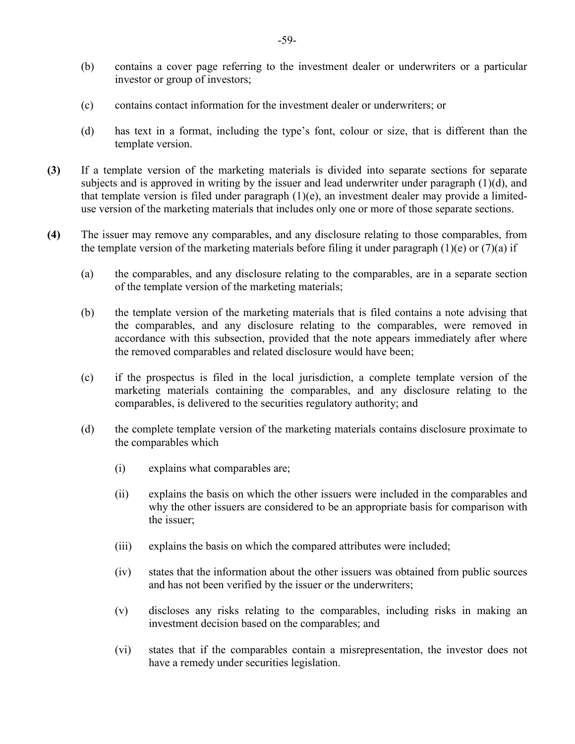- (b) contains a cover page referring to the investment dealer or underwriters or a particular investor or group of investors;
- (c) contains contact information for the investment dealer or underwriters; or
- (d) has text in a format, including the type's font, colour or size, that is different than the template version.
- **(3)** If a template version of the marketing materials is divided into separate sections for separate subjects and is approved in writing by the issuer and lead underwriter under paragraph (1)(d), and that template version is filed under paragraph (1)(e), an investment dealer may provide a limiteduse version of the marketing materials that includes only one or more of those separate sections.
- **(4)** The issuer may remove any comparables, and any disclosure relating to those comparables, from the template version of the marketing materials before filing it under paragraph  $(1)(e)$  or  $(7)(a)$  if
	- (a) the comparables, and any disclosure relating to the comparables, are in a separate section of the template version of the marketing materials;
	- (b) the template version of the marketing materials that is filed contains a note advising that the comparables, and any disclosure relating to the comparables, were removed in accordance with this subsection, provided that the note appears immediately after where the removed comparables and related disclosure would have been;
	- (c) if the prospectus is filed in the local jurisdiction, a complete template version of the marketing materials containing the comparables, and any disclosure relating to the comparables, is delivered to the securities regulatory authority; and
	- (d) the complete template version of the marketing materials contains disclosure proximate to the comparables which
		- (i) explains what comparables are;
		- (ii) explains the basis on which the other issuers were included in the comparables and why the other issuers are considered to be an appropriate basis for comparison with the issuer;
		- (iii) explains the basis on which the compared attributes were included;
		- (iv) states that the information about the other issuers was obtained from public sources and has not been verified by the issuer or the underwriters;
		- (v) discloses any risks relating to the comparables, including risks in making an investment decision based on the comparables; and
		- (vi) states that if the comparables contain a misrepresentation, the investor does not have a remedy under securities legislation.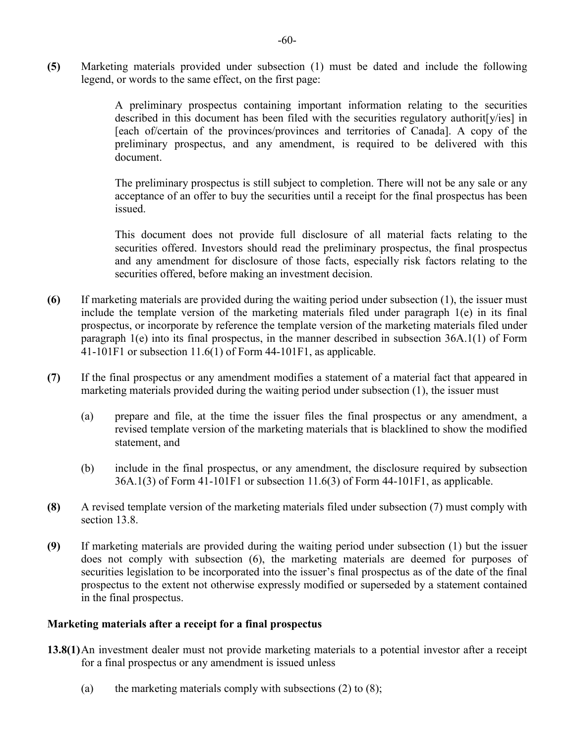**(5)** Marketing materials provided under subsection (1) must be dated and include the following legend, or words to the same effect, on the first page:

> A preliminary prospectus containing important information relating to the securities described in this document has been filed with the securities regulatory authorit[y/ies] in [each of/certain of the provinces/provinces and territories of Canada]. A copy of the preliminary prospectus, and any amendment, is required to be delivered with this document.

> The preliminary prospectus is still subject to completion. There will not be any sale or any acceptance of an offer to buy the securities until a receipt for the final prospectus has been issued.

> This document does not provide full disclosure of all material facts relating to the securities offered. Investors should read the preliminary prospectus, the final prospectus and any amendment for disclosure of those facts, especially risk factors relating to the securities offered, before making an investment decision.

- **(6)** If marketing materials are provided during the waiting period under subsection (1), the issuer must include the template version of the marketing materials filed under paragraph 1(e) in its final prospectus, or incorporate by reference the template version of the marketing materials filed under paragraph 1(e) into its final prospectus, in the manner described in subsection 36A.1(1) of Form 41-101F1 or subsection 11.6(1) of Form 44-101F1, as applicable.
- **(7)** If the final prospectus or any amendment modifies a statement of a material fact that appeared in marketing materials provided during the waiting period under subsection (1), the issuer must
	- (a) prepare and file, at the time the issuer files the final prospectus or any amendment, a revised template version of the marketing materials that is blacklined to show the modified statement, and
	- (b) include in the final prospectus, or any amendment, the disclosure required by subsection 36A.1(3) of Form 41-101F1 or subsection 11.6(3) of Form 44-101F1, as applicable.
- **(8)** A revised template version of the marketing materials filed under subsection (7) must comply with section 13.8.
- **(9)** If marketing materials are provided during the waiting period under subsection (1) but the issuer does not comply with subsection (6), the marketing materials are deemed for purposes of securities legislation to be incorporated into the issuer's final prospectus as of the date of the final prospectus to the extent not otherwise expressly modified or superseded by a statement contained in the final prospectus.

## **Marketing materials after a receipt for a final prospectus**

- **13.8(1)**An investment dealer must not provide marketing materials to a potential investor after a receipt for a final prospectus or any amendment is issued unless
	- (a) the marketing materials comply with subsections  $(2)$  to  $(8)$ ;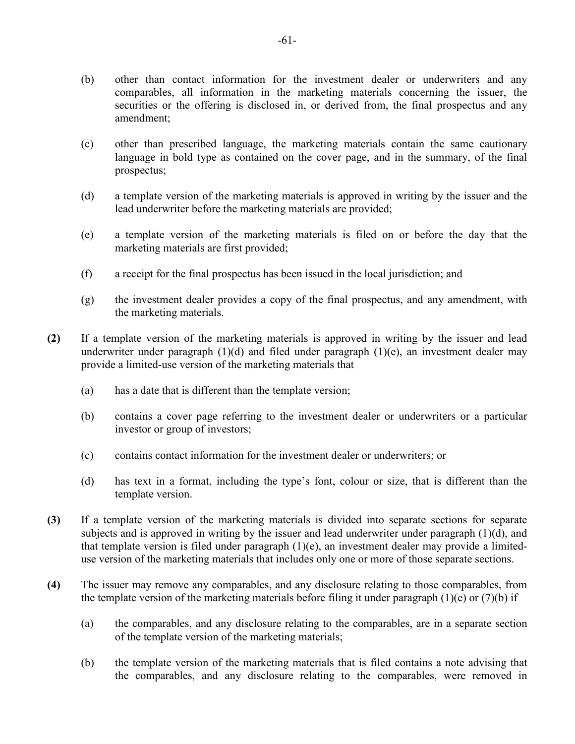- (c) other than prescribed language, the marketing materials contain the same cautionary language in bold type as contained on the cover page, and in the summary, of the final prospectus;
- (d) a template version of the marketing materials is approved in writing by the issuer and the lead underwriter before the marketing materials are provided;
- (e) a template version of the marketing materials is filed on or before the day that the marketing materials are first provided;
- (f) a receipt for the final prospectus has been issued in the local jurisdiction; and
- (g) the investment dealer provides a copy of the final prospectus, and any amendment, with the marketing materials.
- **(2)** If a template version of the marketing materials is approved in writing by the issuer and lead underwriter under paragraph (1)(d) and filed under paragraph (1)(e), an investment dealer may provide a limited-use version of the marketing materials that
	- (a) has a date that is different than the template version;
	- (b) contains a cover page referring to the investment dealer or underwriters or a particular investor or group of investors;
	- (c) contains contact information for the investment dealer or underwriters; or
	- (d) has text in a format, including the type's font, colour or size, that is different than the template version.
- **(3)** If a template version of the marketing materials is divided into separate sections for separate subjects and is approved in writing by the issuer and lead underwriter under paragraph (1)(d), and that template version is filed under paragraph (1)(e), an investment dealer may provide a limiteduse version of the marketing materials that includes only one or more of those separate sections.
- **(4)** The issuer may remove any comparables, and any disclosure relating to those comparables, from the template version of the marketing materials before filing it under paragraph  $(1)(e)$  or  $(7)(b)$  if
	- (a) the comparables, and any disclosure relating to the comparables, are in a separate section of the template version of the marketing materials;
	- (b) the template version of the marketing materials that is filed contains a note advising that the comparables, and any disclosure relating to the comparables, were removed in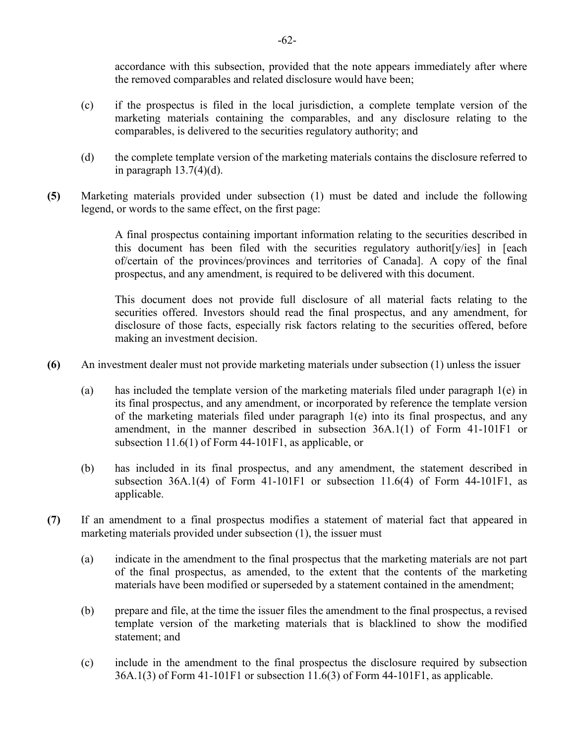accordance with this subsection, provided that the note appears immediately after where the removed comparables and related disclosure would have been;

- (c) if the prospectus is filed in the local jurisdiction, a complete template version of the marketing materials containing the comparables, and any disclosure relating to the comparables, is delivered to the securities regulatory authority; and
- (d) the complete template version of the marketing materials contains the disclosure referred to in paragraph  $13.7(4)(d)$ .
- **(5)** Marketing materials provided under subsection (1) must be dated and include the following legend, or words to the same effect, on the first page:

A final prospectus containing important information relating to the securities described in this document has been filed with the securities regulatory authorit[y/ies] in [each of/certain of the provinces/provinces and territories of Canada]. A copy of the final prospectus, and any amendment, is required to be delivered with this document.

This document does not provide full disclosure of all material facts relating to the securities offered. Investors should read the final prospectus, and any amendment, for disclosure of those facts, especially risk factors relating to the securities offered, before making an investment decision.

- **(6)** An investment dealer must not provide marketing materials under subsection (1) unless the issuer
	- (a) has included the template version of the marketing materials filed under paragraph 1(e) in its final prospectus, and any amendment, or incorporated by reference the template version of the marketing materials filed under paragraph 1(e) into its final prospectus, and any amendment, in the manner described in subsection 36A.1(1) of Form 41-101F1 or subsection 11.6(1) of Form 44-101F1, as applicable, or
	- (b) has included in its final prospectus, and any amendment, the statement described in subsection  $36A.1(4)$  of Form  $41-101F1$  or subsection  $11.6(4)$  of Form  $44-101F1$ , as applicable.
- **(7)** If an amendment to a final prospectus modifies a statement of material fact that appeared in marketing materials provided under subsection (1), the issuer must
	- (a) indicate in the amendment to the final prospectus that the marketing materials are not part of the final prospectus, as amended, to the extent that the contents of the marketing materials have been modified or superseded by a statement contained in the amendment;
	- (b) prepare and file, at the time the issuer files the amendment to the final prospectus, a revised template version of the marketing materials that is blacklined to show the modified statement; and
	- (c) include in the amendment to the final prospectus the disclosure required by subsection 36A.1(3) of Form 41-101F1 or subsection 11.6(3) of Form 44-101F1, as applicable.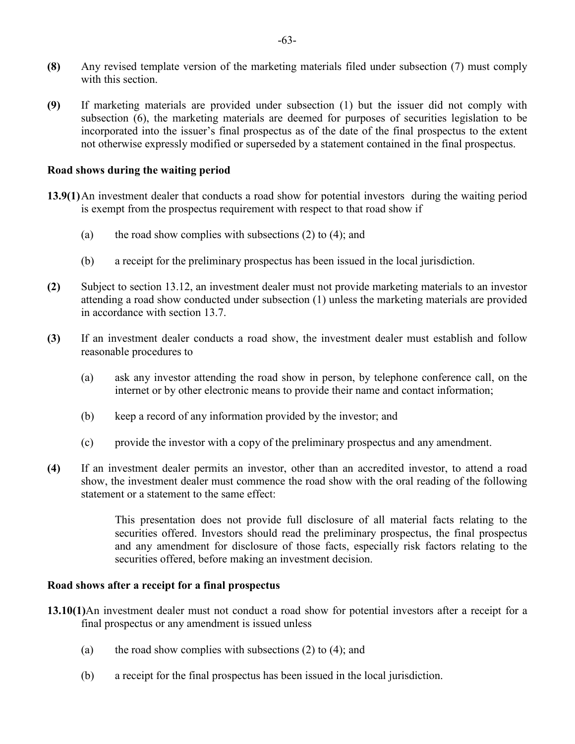- **(8)** Any revised template version of the marketing materials filed under subsection (7) must comply with this section.
- **(9)** If marketing materials are provided under subsection (1) but the issuer did not comply with subsection (6), the marketing materials are deemed for purposes of securities legislation to be incorporated into the issuer's final prospectus as of the date of the final prospectus to the extent not otherwise expressly modified or superseded by a statement contained in the final prospectus.

## **Road shows during the waiting period**

- **13.9(1)**An investment dealer that conducts a road show for potential investors during the waiting period is exempt from the prospectus requirement with respect to that road show if
	- (a) the road show complies with subsections  $(2)$  to  $(4)$ ; and
	- (b) a receipt for the preliminary prospectus has been issued in the local jurisdiction.
- **(2)** Subject to section 13.12, an investment dealer must not provide marketing materials to an investor attending a road show conducted under subsection (1) unless the marketing materials are provided in accordance with section 13.7.
- **(3)** If an investment dealer conducts a road show, the investment dealer must establish and follow reasonable procedures to
	- (a) ask any investor attending the road show in person, by telephone conference call, on the internet or by other electronic means to provide their name and contact information;
	- (b) keep a record of any information provided by the investor; and
	- (c) provide the investor with a copy of the preliminary prospectus and any amendment.
- **(4)** If an investment dealer permits an investor, other than an accredited investor, to attend a road show, the investment dealer must commence the road show with the oral reading of the following statement or a statement to the same effect:

This presentation does not provide full disclosure of all material facts relating to the securities offered. Investors should read the preliminary prospectus, the final prospectus and any amendment for disclosure of those facts, especially risk factors relating to the securities offered, before making an investment decision.

#### **Road shows after a receipt for a final prospectus**

- **13.10(1)**An investment dealer must not conduct a road show for potential investors after a receipt for a final prospectus or any amendment is issued unless
	- (a) the road show complies with subsections  $(2)$  to  $(4)$ ; and
	- (b) a receipt for the final prospectus has been issued in the local jurisdiction.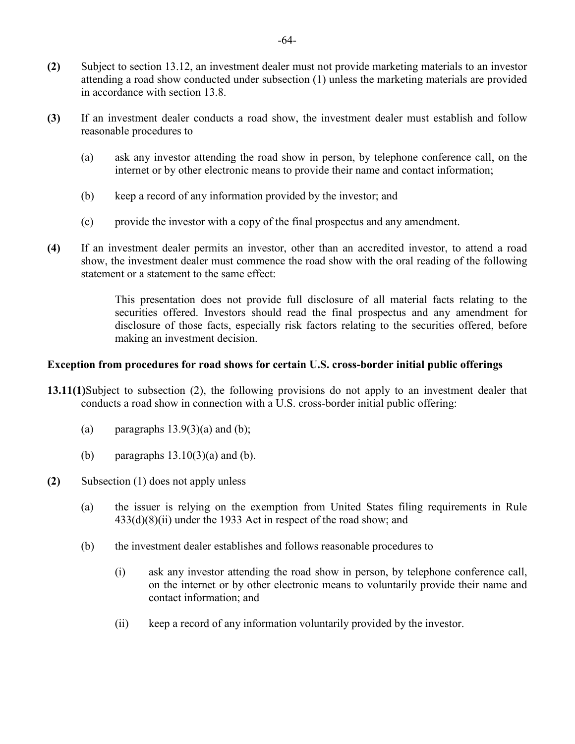- **(2)** Subject to section 13.12, an investment dealer must not provide marketing materials to an investor attending a road show conducted under subsection (1) unless the marketing materials are provided in accordance with section 13.8.
- **(3)** If an investment dealer conducts a road show, the investment dealer must establish and follow reasonable procedures to
	- (a) ask any investor attending the road show in person, by telephone conference call, on the internet or by other electronic means to provide their name and contact information;
	- (b) keep a record of any information provided by the investor; and
	- (c) provide the investor with a copy of the final prospectus and any amendment.
- **(4)** If an investment dealer permits an investor, other than an accredited investor, to attend a road show, the investment dealer must commence the road show with the oral reading of the following statement or a statement to the same effect:

This presentation does not provide full disclosure of all material facts relating to the securities offered. Investors should read the final prospectus and any amendment for disclosure of those facts, especially risk factors relating to the securities offered, before making an investment decision.

# **Exception from procedures for road shows for certain U.S. cross-border initial public offerings**

- **13.11(1)**Subject to subsection (2), the following provisions do not apply to an investment dealer that conducts a road show in connection with a U.S. cross-border initial public offering:
	- (a) paragraphs  $13.9(3)(a)$  and (b);
	- (b) paragraphs  $13.10(3)(a)$  and (b).
- **(2)** Subsection (1) does not apply unless
	- (a) the issuer is relying on the exemption from United States filing requirements in Rule 433(d)(8)(ii) under the 1933 Act in respect of the road show; and
	- (b) the investment dealer establishes and follows reasonable procedures to
		- (i) ask any investor attending the road show in person, by telephone conference call, on the internet or by other electronic means to voluntarily provide their name and contact information; and
		- (ii) keep a record of any information voluntarily provided by the investor.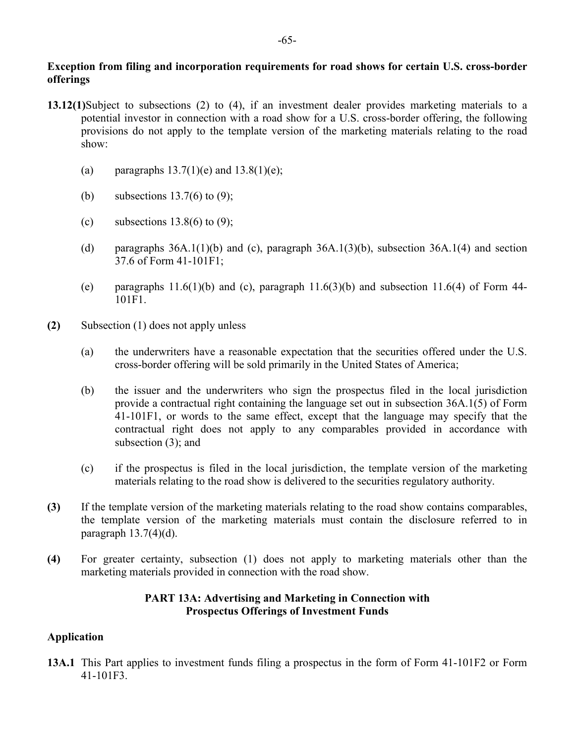# **Exception from filing and incorporation requirements for road shows for certain U.S. cross-border offerings**

- **13.12(1)**Subject to subsections (2) to (4), if an investment dealer provides marketing materials to a potential investor in connection with a road show for a U.S. cross-border offering, the following provisions do not apply to the template version of the marketing materials relating to the road show:
	- (a) paragraphs  $13.7(1)(e)$  and  $13.8(1)(e)$ ;
	- (b) subsections  $13.7(6)$  to  $(9)$ ;
	- (c) subsections  $13.8(6)$  to  $(9)$ ;
	- (d) paragraphs 36A.1(1)(b) and (c), paragraph 36A.1(3)(b), subsection 36A.1(4) and section 37.6 of Form 41-101F1;
	- (e) paragraphs  $11.6(1)(b)$  and (c), paragraph  $11.6(3)(b)$  and subsection  $11.6(4)$  of Form 44-101F1.
- **(2)** Subsection (1) does not apply unless
	- (a) the underwriters have a reasonable expectation that the securities offered under the U.S. cross-border offering will be sold primarily in the United States of America;
	- (b) the issuer and the underwriters who sign the prospectus filed in the local jurisdiction provide a contractual right containing the language set out in subsection 36A.1(5) of Form 41-101F1, or words to the same effect, except that the language may specify that the contractual right does not apply to any comparables provided in accordance with subsection (3); and
	- (c) if the prospectus is filed in the local jurisdiction, the template version of the marketing materials relating to the road show is delivered to the securities regulatory authority.
- **(3)** If the template version of the marketing materials relating to the road show contains comparables, the template version of the marketing materials must contain the disclosure referred to in paragraph  $13.7(4)(d)$ .
- **(4)** For greater certainty, subsection (1) does not apply to marketing materials other than the marketing materials provided in connection with the road show.

# **PART 13A: Advertising and Marketing in Connection with Prospectus Offerings of Investment Funds**

## **Application**

**13A.1** This Part applies to investment funds filing a prospectus in the form of Form 41-101F2 or Form 41-101F3.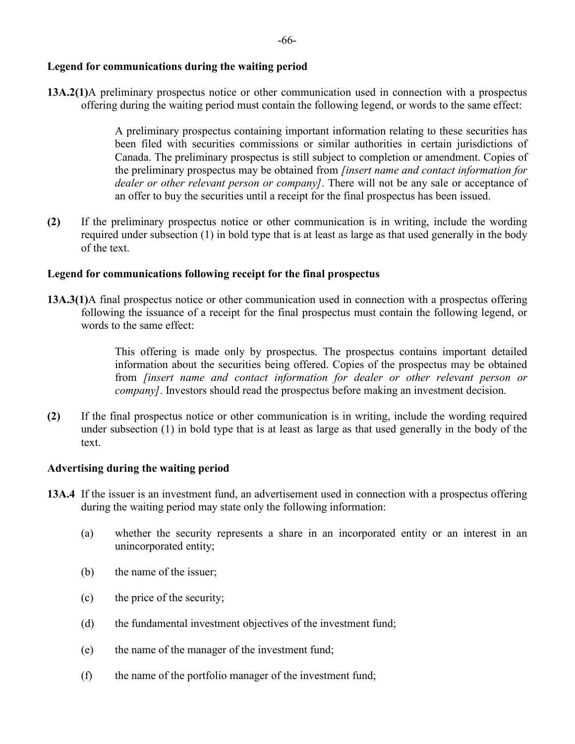# **Legend for communications during the waiting period**

**13A.2(1)**A preliminary prospectus notice or other communication used in connection with a prospectus offering during the waiting period must contain the following legend, or words to the same effect:

> A preliminary prospectus containing important information relating to these securities has been filed with securities commissions or similar authorities in certain jurisdictions of Canada. The preliminary prospectus is still subject to completion or amendment. Copies of the preliminary prospectus may be obtained from *[insert name and contact information for dealer or other relevant person or company]*. There will not be any sale or acceptance of an offer to buy the securities until a receipt for the final prospectus has been issued.

**(2)** If the preliminary prospectus notice or other communication is in writing, include the wording required under subsection (1) in bold type that is at least as large as that used generally in the body of the text.

# **Legend for communications following receipt for the final prospectus**

**13A.3(1)**A final prospectus notice or other communication used in connection with a prospectus offering following the issuance of a receipt for the final prospectus must contain the following legend, or words to the same effect:

> This offering is made only by prospectus. The prospectus contains important detailed information about the securities being offered. Copies of the prospectus may be obtained from *[insert name and contact information for dealer or other relevant person or company]*. Investors should read the prospectus before making an investment decision.

**(2)** If the final prospectus notice or other communication is in writing, include the wording required under subsection (1) in bold type that is at least as large as that used generally in the body of the text.

# **Advertising during the waiting period**

- **13A.4** If the issuer is an investment fund, an advertisement used in connection with a prospectus offering during the waiting period may state only the following information:
	- (a) whether the security represents a share in an incorporated entity or an interest in an unincorporated entity;
	- (b) the name of the issuer;
	- (c) the price of the security;
	- (d) the fundamental investment objectives of the investment fund;
	- (e) the name of the manager of the investment fund;
	- (f) the name of the portfolio manager of the investment fund;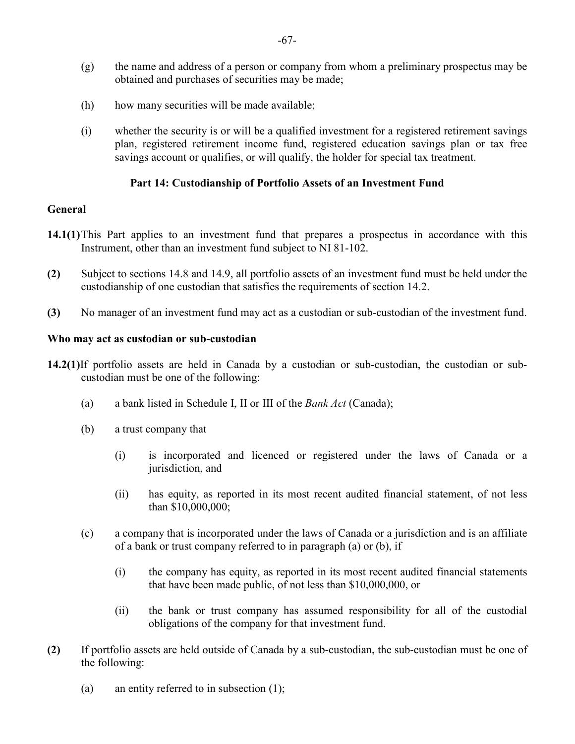- (g) the name and address of a person or company from whom a preliminary prospectus may be obtained and purchases of securities may be made;
- (h) how many securities will be made available;
- (i) whether the security is or will be a qualified investment for a registered retirement savings plan, registered retirement income fund, registered education savings plan or tax free savings account or qualifies, or will qualify, the holder for special tax treatment.

## **Part 14: Custodianship of Portfolio Assets of an Investment Fund**

## **General**

- **14.1(1)**This Part applies to an investment fund that prepares a prospectus in accordance with this Instrument, other than an investment fund subject to NI 81-102.
- **(2)** Subject to sections 14.8 and 14.9, all portfolio assets of an investment fund must be held under the custodianship of one custodian that satisfies the requirements of section 14.2.
- **(3)** No manager of an investment fund may act as a custodian or sub-custodian of the investment fund.

#### **Who may act as custodian or sub-custodian**

- **14.2(1)**If portfolio assets are held in Canada by a custodian or sub-custodian, the custodian or subcustodian must be one of the following:
	- (a) a bank listed in Schedule I, II or III of the *Bank Act* (Canada);
	- (b) a trust company that
		- (i) is incorporated and licenced or registered under the laws of Canada or a jurisdiction, and
		- (ii) has equity, as reported in its most recent audited financial statement, of not less than \$10,000,000;
	- (c) a company that is incorporated under the laws of Canada or a jurisdiction and is an affiliate of a bank or trust company referred to in paragraph (a) or (b), if
		- (i) the company has equity, as reported in its most recent audited financial statements that have been made public, of not less than \$10,000,000, or
		- (ii) the bank or trust company has assumed responsibility for all of the custodial obligations of the company for that investment fund.
- **(2)** If portfolio assets are held outside of Canada by a sub-custodian, the sub-custodian must be one of the following:
	- (a) an entity referred to in subsection (1);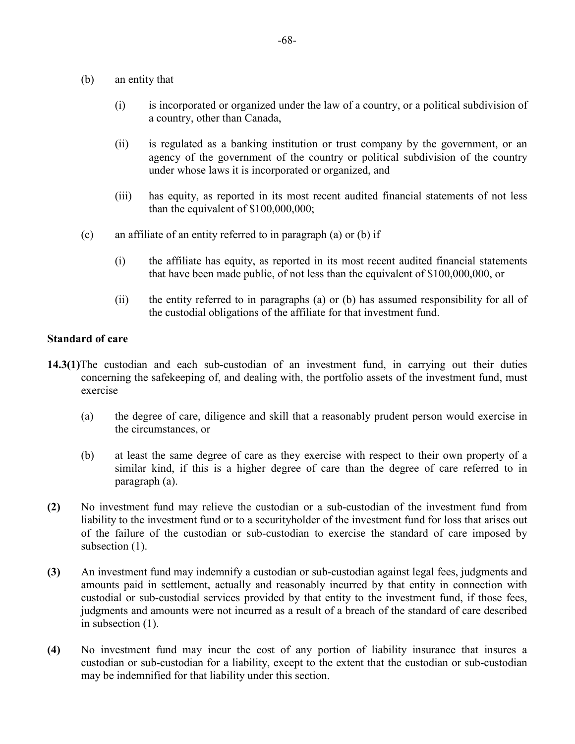- (b) an entity that
	- (i) is incorporated or organized under the law of a country, or a political subdivision of a country, other than Canada,
	- (ii) is regulated as a banking institution or trust company by the government, or an agency of the government of the country or political subdivision of the country under whose laws it is incorporated or organized, and
	- (iii) has equity, as reported in its most recent audited financial statements of not less than the equivalent of \$100,000,000;
- (c) an affiliate of an entity referred to in paragraph (a) or (b) if
	- (i) the affiliate has equity, as reported in its most recent audited financial statements that have been made public, of not less than the equivalent of \$100,000,000, or
	- (ii) the entity referred to in paragraphs (a) or (b) has assumed responsibility for all of the custodial obligations of the affiliate for that investment fund.

## **Standard of care**

- **14.3(1)**The custodian and each sub-custodian of an investment fund, in carrying out their duties concerning the safekeeping of, and dealing with, the portfolio assets of the investment fund, must exercise
	- (a) the degree of care, diligence and skill that a reasonably prudent person would exercise in the circumstances, or
	- (b) at least the same degree of care as they exercise with respect to their own property of a similar kind, if this is a higher degree of care than the degree of care referred to in paragraph (a).
- **(2)** No investment fund may relieve the custodian or a sub-custodian of the investment fund from liability to the investment fund or to a securityholder of the investment fund for loss that arises out of the failure of the custodian or sub-custodian to exercise the standard of care imposed by subsection (1).
- **(3)** An investment fund may indemnify a custodian or sub-custodian against legal fees, judgments and amounts paid in settlement, actually and reasonably incurred by that entity in connection with custodial or sub-custodial services provided by that entity to the investment fund, if those fees, judgments and amounts were not incurred as a result of a breach of the standard of care described in subsection (1).
- **(4)** No investment fund may incur the cost of any portion of liability insurance that insures a custodian or sub-custodian for a liability, except to the extent that the custodian or sub-custodian may be indemnified for that liability under this section.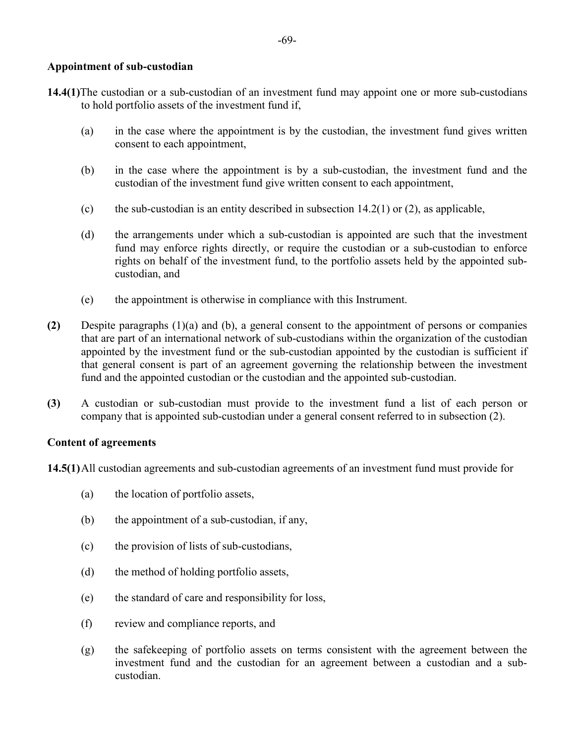#### **Appointment of sub-custodian**

- **14.4(1)**The custodian or a sub-custodian of an investment fund may appoint one or more sub-custodians to hold portfolio assets of the investment fund if,
	- (a) in the case where the appointment is by the custodian, the investment fund gives written consent to each appointment,
	- (b) in the case where the appointment is by a sub-custodian, the investment fund and the custodian of the investment fund give written consent to each appointment,
	- (c) the sub-custodian is an entity described in subsection  $14.2(1)$  or  $(2)$ , as applicable,
	- (d) the arrangements under which a sub-custodian is appointed are such that the investment fund may enforce rights directly, or require the custodian or a sub-custodian to enforce rights on behalf of the investment fund, to the portfolio assets held by the appointed subcustodian, and
	- (e) the appointment is otherwise in compliance with this Instrument.
- **(2)** Despite paragraphs (1)(a) and (b), a general consent to the appointment of persons or companies that are part of an international network of sub-custodians within the organization of the custodian appointed by the investment fund or the sub-custodian appointed by the custodian is sufficient if that general consent is part of an agreement governing the relationship between the investment fund and the appointed custodian or the custodian and the appointed sub-custodian.
- **(3)** A custodian or sub-custodian must provide to the investment fund a list of each person or company that is appointed sub-custodian under a general consent referred to in subsection (2).

#### **Content of agreements**

**14.5(1)**All custodian agreements and sub-custodian agreements of an investment fund must provide for

- (a) the location of portfolio assets,
- (b) the appointment of a sub-custodian, if any,
- (c) the provision of lists of sub-custodians,
- (d) the method of holding portfolio assets,
- (e) the standard of care and responsibility for loss,
- (f) review and compliance reports, and
- (g) the safekeeping of portfolio assets on terms consistent with the agreement between the investment fund and the custodian for an agreement between a custodian and a subcustodian.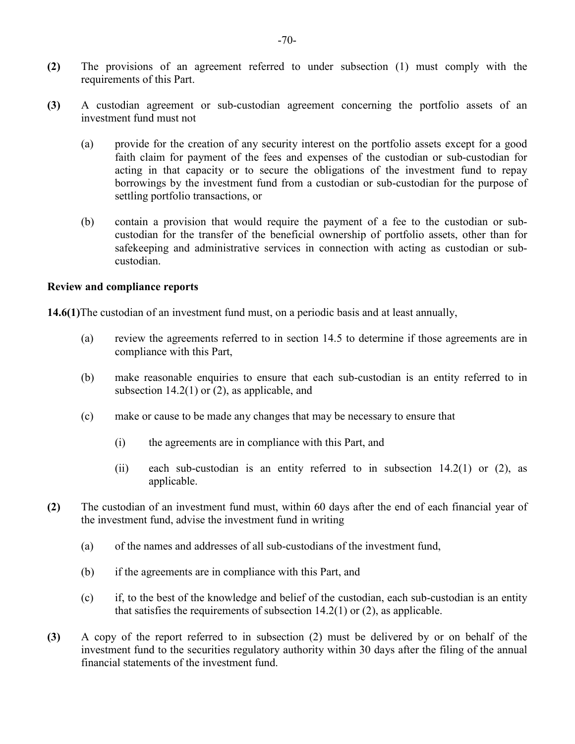- **(2)** The provisions of an agreement referred to under subsection (1) must comply with the requirements of this Part.
- **(3)** A custodian agreement or sub-custodian agreement concerning the portfolio assets of an investment fund must not
	- (a) provide for the creation of any security interest on the portfolio assets except for a good faith claim for payment of the fees and expenses of the custodian or sub-custodian for acting in that capacity or to secure the obligations of the investment fund to repay borrowings by the investment fund from a custodian or sub-custodian for the purpose of settling portfolio transactions, or
	- (b) contain a provision that would require the payment of a fee to the custodian or subcustodian for the transfer of the beneficial ownership of portfolio assets, other than for safekeeping and administrative services in connection with acting as custodian or subcustodian.

#### **Review and compliance reports**

**14.6(1)**The custodian of an investment fund must, on a periodic basis and at least annually,

- (a) review the agreements referred to in section 14.5 to determine if those agreements are in compliance with this Part,
- (b) make reasonable enquiries to ensure that each sub-custodian is an entity referred to in subsection 14.2(1) or (2), as applicable, and
- (c) make or cause to be made any changes that may be necessary to ensure that
	- (i) the agreements are in compliance with this Part, and
	- (ii) each sub-custodian is an entity referred to in subsection 14.2(1) or (2), as applicable.
- **(2)** The custodian of an investment fund must, within 60 days after the end of each financial year of the investment fund, advise the investment fund in writing
	- (a) of the names and addresses of all sub-custodians of the investment fund,
	- (b) if the agreements are in compliance with this Part, and
	- (c) if, to the best of the knowledge and belief of the custodian, each sub-custodian is an entity that satisfies the requirements of subsection  $14.2(1)$  or  $(2)$ , as applicable.
- **(3)** A copy of the report referred to in subsection (2) must be delivered by or on behalf of the investment fund to the securities regulatory authority within 30 days after the filing of the annual financial statements of the investment fund.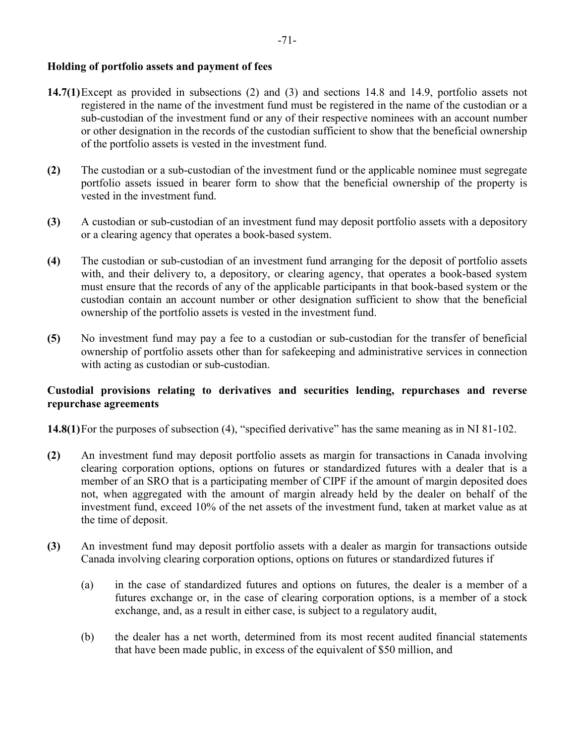## **Holding of portfolio assets and payment of fees**

- **14.7(1)**Except as provided in subsections (2) and (3) and sections 14.8 and 14.9, portfolio assets not registered in the name of the investment fund must be registered in the name of the custodian or a sub-custodian of the investment fund or any of their respective nominees with an account number or other designation in the records of the custodian sufficient to show that the beneficial ownership of the portfolio assets is vested in the investment fund.
- **(2)** The custodian or a sub-custodian of the investment fund or the applicable nominee must segregate portfolio assets issued in bearer form to show that the beneficial ownership of the property is vested in the investment fund.
- **(3)** A custodian or sub-custodian of an investment fund may deposit portfolio assets with a depository or a clearing agency that operates a book-based system.
- **(4)** The custodian or sub-custodian of an investment fund arranging for the deposit of portfolio assets with, and their delivery to, a depository, or clearing agency, that operates a book-based system must ensure that the records of any of the applicable participants in that book-based system or the custodian contain an account number or other designation sufficient to show that the beneficial ownership of the portfolio assets is vested in the investment fund.
- **(5)** No investment fund may pay a fee to a custodian or sub-custodian for the transfer of beneficial ownership of portfolio assets other than for safekeeping and administrative services in connection with acting as custodian or sub-custodian.

## **Custodial provisions relating to derivatives and securities lending, repurchases and reverse repurchase agreements**

**14.8(1)**For the purposes of subsection (4), "specified derivative" has the same meaning as in NI 81-102.

- **(2)** An investment fund may deposit portfolio assets as margin for transactions in Canada involving clearing corporation options, options on futures or standardized futures with a dealer that is a member of an SRO that is a participating member of CIPF if the amount of margin deposited does not, when aggregated with the amount of margin already held by the dealer on behalf of the investment fund, exceed 10% of the net assets of the investment fund, taken at market value as at the time of deposit.
- **(3)** An investment fund may deposit portfolio assets with a dealer as margin for transactions outside Canada involving clearing corporation options, options on futures or standardized futures if
	- (a) in the case of standardized futures and options on futures, the dealer is a member of a futures exchange or, in the case of clearing corporation options, is a member of a stock exchange, and, as a result in either case, is subject to a regulatory audit,
	- (b) the dealer has a net worth, determined from its most recent audited financial statements that have been made public, in excess of the equivalent of \$50 million, and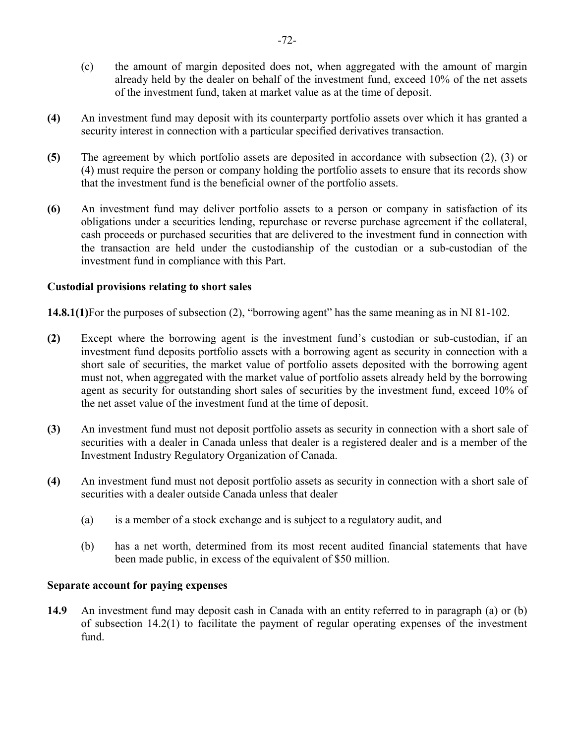- (c) the amount of margin deposited does not, when aggregated with the amount of margin already held by the dealer on behalf of the investment fund, exceed 10% of the net assets of the investment fund, taken at market value as at the time of deposit.
- **(4)** An investment fund may deposit with its counterparty portfolio assets over which it has granted a security interest in connection with a particular specified derivatives transaction.
- **(5)** The agreement by which portfolio assets are deposited in accordance with subsection (2), (3) or (4) must require the person or company holding the portfolio assets to ensure that its records show that the investment fund is the beneficial owner of the portfolio assets.
- **(6)** An investment fund may deliver portfolio assets to a person or company in satisfaction of its obligations under a securities lending, repurchase or reverse purchase agreement if the collateral, cash proceeds or purchased securities that are delivered to the investment fund in connection with the transaction are held under the custodianship of the custodian or a sub-custodian of the investment fund in compliance with this Part.

## **Custodial provisions relating to short sales**

**14.8.1(1)**For the purposes of subsection (2), "borrowing agent" has the same meaning as in NI 81-102.

- **(2)** Except where the borrowing agent is the investment fund's custodian or sub-custodian, if an investment fund deposits portfolio assets with a borrowing agent as security in connection with a short sale of securities, the market value of portfolio assets deposited with the borrowing agent must not, when aggregated with the market value of portfolio assets already held by the borrowing agent as security for outstanding short sales of securities by the investment fund, exceed 10% of the net asset value of the investment fund at the time of deposit.
- **(3)** An investment fund must not deposit portfolio assets as security in connection with a short sale of securities with a dealer in Canada unless that dealer is a registered dealer and is a member of the Investment Industry Regulatory Organization of Canada.
- **(4)** An investment fund must not deposit portfolio assets as security in connection with a short sale of securities with a dealer outside Canada unless that dealer
	- (a) is a member of a stock exchange and is subject to a regulatory audit, and
	- (b) has a net worth, determined from its most recent audited financial statements that have been made public, in excess of the equivalent of \$50 million.

#### **Separate account for paying expenses**

**14.9** An investment fund may deposit cash in Canada with an entity referred to in paragraph (a) or (b) of subsection 14.2(1) to facilitate the payment of regular operating expenses of the investment fund.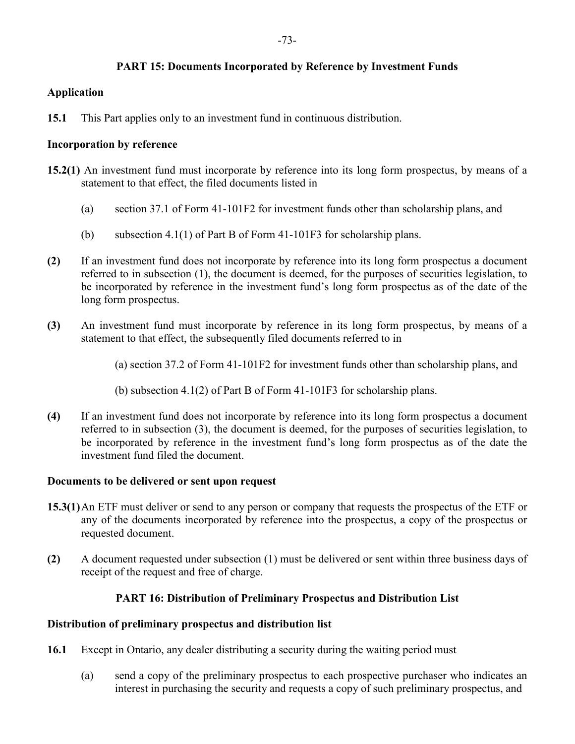## **PART 15: Documents Incorporated by Reference by Investment Funds**

#### **Application**

**15.1** This Part applies only to an investment fund in continuous distribution.

#### **Incorporation by reference**

- **15.2(1)** An investment fund must incorporate by reference into its long form prospectus, by means of a statement to that effect, the filed documents listed in
	- (a) section 37.1 of Form 41-101F2 for investment funds other than scholarship plans, and
	- (b) subsection 4.1(1) of Part B of Form 41-101F3 for scholarship plans.
- **(2)** If an investment fund does not incorporate by reference into its long form prospectus a document referred to in subsection (1), the document is deemed, for the purposes of securities legislation, to be incorporated by reference in the investment fund's long form prospectus as of the date of the long form prospectus.
- **(3)** An investment fund must incorporate by reference in its long form prospectus, by means of a statement to that effect, the subsequently filed documents referred to in

(a) section 37.2 of Form 41-101F2 for investment funds other than scholarship plans, and

- (b) subsection 4.1(2) of Part B of Form 41-101F3 for scholarship plans.
- **(4)** If an investment fund does not incorporate by reference into its long form prospectus a document referred to in subsection (3), the document is deemed, for the purposes of securities legislation, to be incorporated by reference in the investment fund's long form prospectus as of the date the investment fund filed the document.

#### **Documents to be delivered or sent upon request**

- **15.3(1)**An ETF must deliver or send to any person or company that requests the prospectus of the ETF or any of the documents incorporated by reference into the prospectus, a copy of the prospectus or requested document.
- **(2)** A document requested under subsection (1) must be delivered or sent within three business days of receipt of the request and free of charge.

#### **PART 16: Distribution of Preliminary Prospectus and Distribution List**

#### **Distribution of preliminary prospectus and distribution list**

- **16.1** Except in Ontario, any dealer distributing a security during the waiting period must
	- (a) send a copy of the preliminary prospectus to each prospective purchaser who indicates an interest in purchasing the security and requests a copy of such preliminary prospectus, and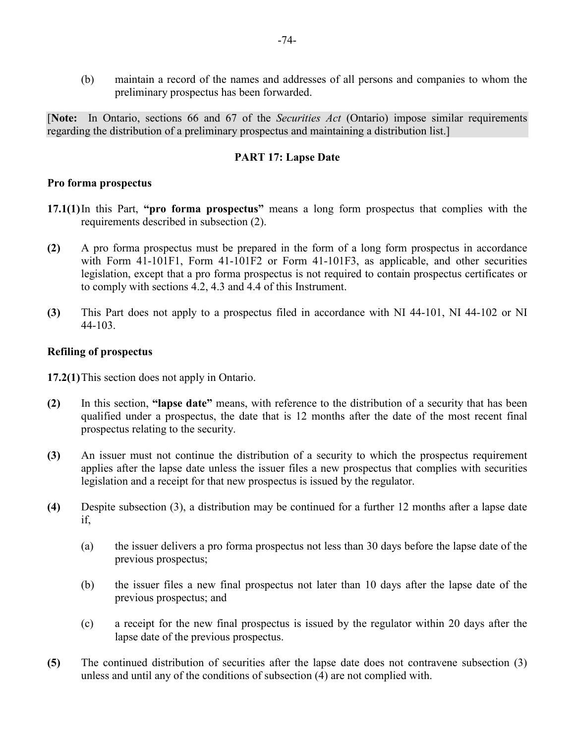(b) maintain a record of the names and addresses of all persons and companies to whom the preliminary prospectus has been forwarded.

[**Note:** In Ontario, sections 66 and 67 of the *Securities Act* (Ontario) impose similar requirements regarding the distribution of a preliminary prospectus and maintaining a distribution list.]

## **PART 17: Lapse Date**

#### **Pro forma prospectus**

- **17.1(1)**In this Part, **"pro forma prospectus"** means a long form prospectus that complies with the requirements described in subsection (2).
- **(2)** A pro forma prospectus must be prepared in the form of a long form prospectus in accordance with Form 41-101F1, Form 41-101F2 or Form 41-101F3, as applicable, and other securities legislation, except that a pro forma prospectus is not required to contain prospectus certificates or to comply with sections 4.2, 4.3 and 4.4 of this Instrument.
- **(3)** This Part does not apply to a prospectus filed in accordance with NI 44-101, NI 44-102 or NI 44-103.

#### **Refiling of prospectus**

**17.2(1)**This section does not apply in Ontario.

- **(2)** In this section, **"lapse date"** means, with reference to the distribution of a security that has been qualified under a prospectus, the date that is 12 months after the date of the most recent final prospectus relating to the security.
- **(3)** An issuer must not continue the distribution of a security to which the prospectus requirement applies after the lapse date unless the issuer files a new prospectus that complies with securities legislation and a receipt for that new prospectus is issued by the regulator.
- **(4)** Despite subsection (3), a distribution may be continued for a further 12 months after a lapse date if,
	- (a) the issuer delivers a pro forma prospectus not less than 30 days before the lapse date of the previous prospectus;
	- (b) the issuer files a new final prospectus not later than 10 days after the lapse date of the previous prospectus; and
	- (c) a receipt for the new final prospectus is issued by the regulator within 20 days after the lapse date of the previous prospectus.
- **(5)** The continued distribution of securities after the lapse date does not contravene subsection (3) unless and until any of the conditions of subsection (4) are not complied with.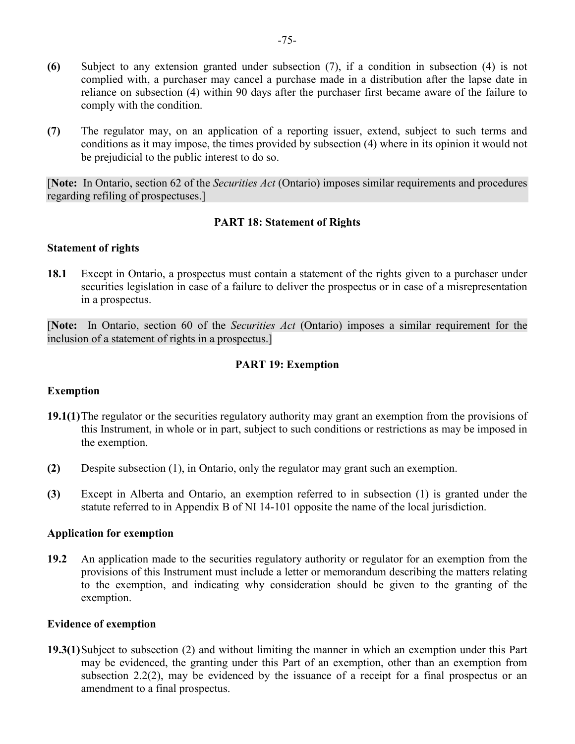- **(6)** Subject to any extension granted under subsection (7), if a condition in subsection (4) is not complied with, a purchaser may cancel a purchase made in a distribution after the lapse date in reliance on subsection (4) within 90 days after the purchaser first became aware of the failure to comply with the condition.
- **(7)** The regulator may, on an application of a reporting issuer, extend, subject to such terms and conditions as it may impose, the times provided by subsection (4) where in its opinion it would not be prejudicial to the public interest to do so.

[**Note:** In Ontario, section 62 of the *Securities Act* (Ontario) imposes similar requirements and procedures regarding refiling of prospectuses.]

#### **PART 18: Statement of Rights**

#### **Statement of rights**

**18.1** Except in Ontario, a prospectus must contain a statement of the rights given to a purchaser under securities legislation in case of a failure to deliver the prospectus or in case of a misrepresentation in a prospectus.

[**Note:** In Ontario, section 60 of the *Securities Act* (Ontario) imposes a similar requirement for the inclusion of a statement of rights in a prospectus.]

#### **PART 19: Exemption**

#### **Exemption**

- **19.1(1)**The regulator or the securities regulatory authority may grant an exemption from the provisions of this Instrument, in whole or in part, subject to such conditions or restrictions as may be imposed in the exemption.
- **(2)** Despite subsection (1), in Ontario, only the regulator may grant such an exemption.
- **(3)** Except in Alberta and Ontario, an exemption referred to in subsection (1) is granted under the statute referred to in Appendix B of NI 14-101 opposite the name of the local jurisdiction.

#### **Application for exemption**

**19.2** An application made to the securities regulatory authority or regulator for an exemption from the provisions of this Instrument must include a letter or memorandum describing the matters relating to the exemption, and indicating why consideration should be given to the granting of the exemption.

#### **Evidence of exemption**

**19.3(1)**Subject to subsection (2) and without limiting the manner in which an exemption under this Part may be evidenced, the granting under this Part of an exemption, other than an exemption from subsection 2.2(2), may be evidenced by the issuance of a receipt for a final prospectus or an amendment to a final prospectus.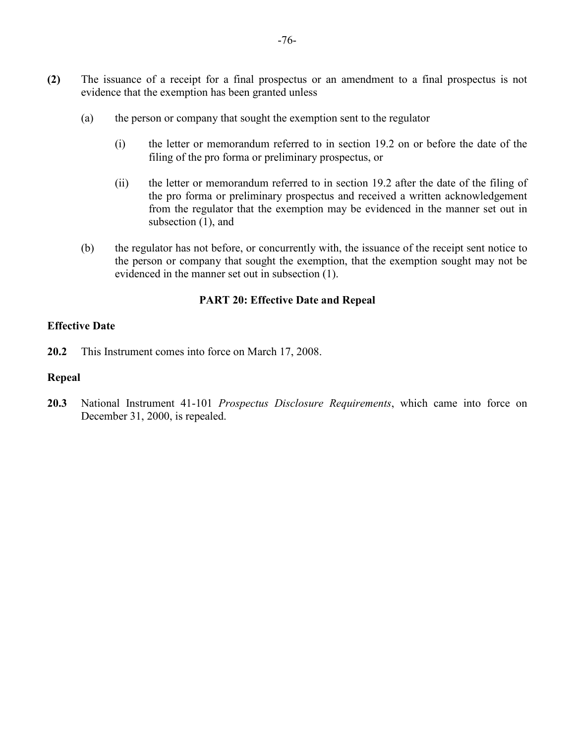- **(2)** The issuance of a receipt for a final prospectus or an amendment to a final prospectus is not evidence that the exemption has been granted unless
	- (a) the person or company that sought the exemption sent to the regulator
		- (i) the letter or memorandum referred to in section 19.2 on or before the date of the filing of the pro forma or preliminary prospectus, or
		- (ii) the letter or memorandum referred to in section 19.2 after the date of the filing of the pro forma or preliminary prospectus and received a written acknowledgement from the regulator that the exemption may be evidenced in the manner set out in subsection (1), and
	- (b) the regulator has not before, or concurrently with, the issuance of the receipt sent notice to the person or company that sought the exemption, that the exemption sought may not be evidenced in the manner set out in subsection (1).

#### **PART 20: Effective Date and Repeal**

#### **Effective Date**

**20.2** This Instrument comes into force on March 17, 2008.

#### **Repeal**

**20.3** National Instrument 41-101 *Prospectus Disclosure Requirements*, which came into force on December 31, 2000, is repealed.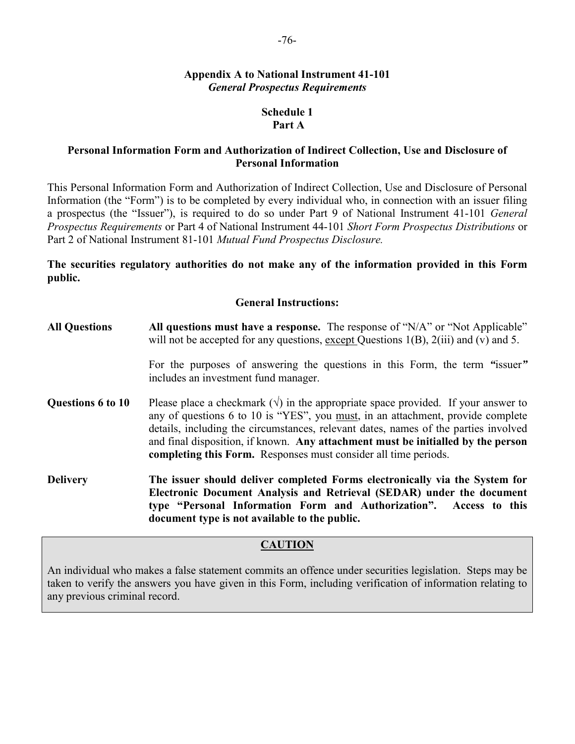#### **Appendix A to National Instrument 41-101** *General Prospectus Requirements*

#### **Schedule 1 Part A**

# **Personal Information Form and Authorization of Indirect Collection, Use and Disclosure of Personal Information**

This Personal Information Form and Authorization of Indirect Collection, Use and Disclosure of Personal Information (the "Form") is to be completed by every individual who, in connection with an issuer filing a prospectus (the "Issuer"), is required to do so under Part 9 of National Instrument 41-101 *General Prospectus Requirements* or Part 4 of National Instrument 44-101 *Short Form Prospectus Distributions* or Part 2 of National Instrument 81-101 *Mutual Fund Prospectus Disclosure.*

**The securities regulatory authorities do not make any of the information provided in this Form public.**

## **General Instructions:**

**All Questions All questions must have a response.** The response of "N/A" or "Not Applicable" will not be accepted for any questions, except Questions  $1(B)$ ,  $2(iii)$  and  $(v)$  and 5. For the purposes of answering the questions in this Form, the term *"*issuer*"* includes an investment fund manager. **Questions 6 to 10** Please place a checkmark  $(\sqrt{})$  in the appropriate space provided. If your answer to any of questions 6 to 10 is "YES", you must, in an attachment, provide complete details, including the circumstances, relevant dates, names of the parties involved and final disposition, if known. **Any attachment must be initialled by the person completing this Form.** Responses must consider all time periods. **Delivery The issuer should deliver completed Forms electronically via the System for Electronic Document Analysis and Retrieval (SEDAR) under the document type "Personal Information Form and Authorization". Access to this document type is not available to the public.** 

## **CAUTION**

An individual who makes a false statement commits an offence under securities legislation. Steps may be taken to verify the answers you have given in this Form, including verification of information relating to any previous criminal record.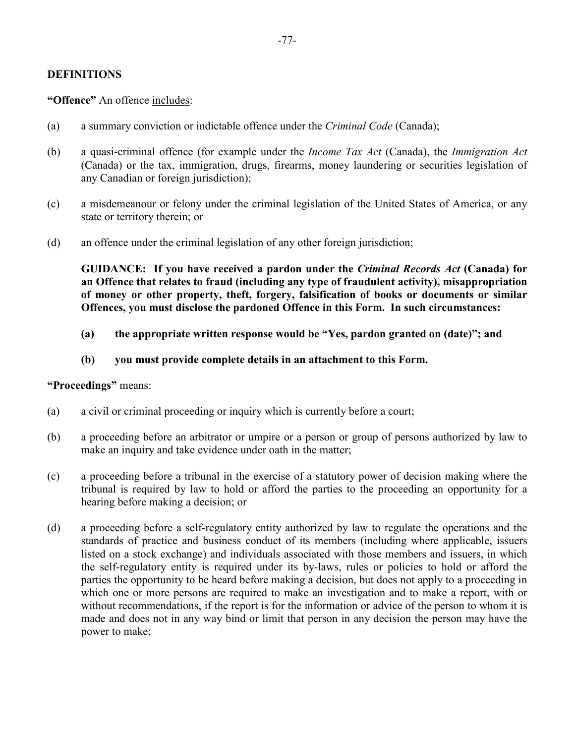## **DEFINITIONS**

## **"Offence"** An offence includes:

- (a) a summary conviction or indictable offence under the *Criminal Code* (Canada);
- (b) a quasi-criminal offence (for example under the *Income Tax Act* (Canada), the *Immigration Act*  (Canada) or the tax, immigration, drugs, firearms, money laundering or securities legislation of any Canadian or foreign jurisdiction);
- (c) a misdemeanour or felony under the criminal legislation of the United States of America, or any state or territory therein; or
- (d) an offence under the criminal legislation of any other foreign jurisdiction;

**GUIDANCE: If you have received a pardon under the** *Criminal Records Act* **(Canada) for an Offence that relates to fraud (including any type of fraudulent activity), misappropriation of money or other property, theft, forgery, falsification of books or documents or similar Offences, you must disclose the pardoned Offence in this Form. In such circumstances:**

- **(a) the appropriate written response would be "Yes, pardon granted on (date)"; and**
- **(b) you must provide complete details in an attachment to this Form.**

#### **"Proceedings"** means:

- (a) a civil or criminal proceeding or inquiry which is currently before a court;
- (b) a proceeding before an arbitrator or umpire or a person or group of persons authorized by law to make an inquiry and take evidence under oath in the matter;
- (c) a proceeding before a tribunal in the exercise of a statutory power of decision making where the tribunal is required by law to hold or afford the parties to the proceeding an opportunity for a hearing before making a decision; or
- (d) a proceeding before a self-regulatory entity authorized by law to regulate the operations and the standards of practice and business conduct of its members (including where applicable, issuers listed on a stock exchange) and individuals associated with those members and issuers, in which the self-regulatory entity is required under its by-laws, rules or policies to hold or afford the parties the opportunity to be heard before making a decision, but does not apply to a proceeding in which one or more persons are required to make an investigation and to make a report, with or without recommendations, if the report is for the information or advice of the person to whom it is made and does not in any way bind or limit that person in any decision the person may have the power to make;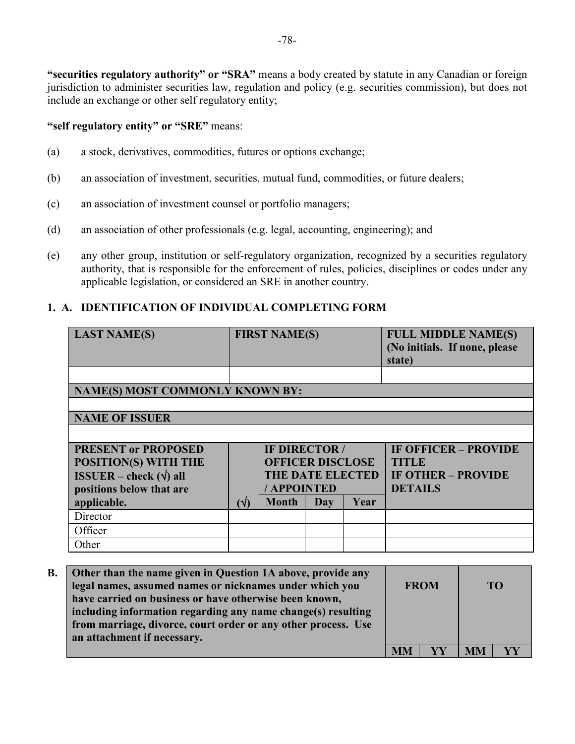**"securities regulatory authority" or "SRA"** means a body created by statute in any Canadian or foreign jurisdiction to administer securities law, regulation and policy (e.g. securities commission), but does not include an exchange or other self regulatory entity;

**"self regulatory entity" or "SRE"** means:

- (a) a stock, derivatives, commodities, futures or options exchange;
- (b) an association of investment, securities, mutual fund, commodities, or future dealers;
- (c) an association of investment counsel or portfolio managers;
- (d) an association of other professionals (e.g. legal, accounting, engineering); and
- (e) any other group, institution or self-regulatory organization, recognized by a securities regulatory authority, that is responsible for the enforcement of rules, policies, disciplines or codes under any applicable legislation, or considered an SRE in another country.

# **1. A. IDENTIFICATION OF INDIVIDUAL COMPLETING FORM**

| <b>LAST NAME(S)</b>                    |              | <b>FIRST NAME(S)</b>    |     |      | <b>FULL MIDDLE NAME(S)</b><br>(No initials. If none, please<br>state) |
|----------------------------------------|--------------|-------------------------|-----|------|-----------------------------------------------------------------------|
|                                        |              |                         |     |      |                                                                       |
| <b>NAME(S) MOST COMMONLY KNOWN BY:</b> |              |                         |     |      |                                                                       |
|                                        |              |                         |     |      |                                                                       |
| <b>NAME OF ISSUER</b>                  |              |                         |     |      |                                                                       |
|                                        |              |                         |     |      |                                                                       |
| <b>PRESENT or PROPOSED</b>             |              | <b>IF DIRECTOR/</b>     |     |      | <b>IF OFFICER - PROVIDE</b>                                           |
| <b>POSITION(S) WITH THE</b>            |              | <b>OFFICER DISCLOSE</b> |     |      | <b>TITLE</b>                                                          |
| ISSUER – check $(\forall)$ all         |              | <b>THE DATE ELECTED</b> |     |      | <b>IF OTHER - PROVIDE</b>                                             |
| positions below that are               |              | / APPOINTED             |     |      | <b>DETAILS</b>                                                        |
| applicable.                            | $(\sqrt{2})$ | <b>Month</b>            | Day | Year |                                                                       |
| Director                               |              |                         |     |      |                                                                       |
| Officer                                |              |                         |     |      |                                                                       |
| Other                                  |              |                         |     |      |                                                                       |

| <b>B.</b> | Other than the name given in Question 1A above, provide any   |           |             |           |    |
|-----------|---------------------------------------------------------------|-----------|-------------|-----------|----|
|           | legal names, assumed names or nicknames under which you       |           | <b>FROM</b> |           | TO |
|           | have carried on business or have otherwise been known,        |           |             |           |    |
|           | including information regarding any name change(s) resulting  |           |             |           |    |
|           | from marriage, divorce, court order or any other process. Use |           |             |           |    |
|           | an attachment if necessary.                                   |           |             |           |    |
|           |                                                               | <b>MM</b> | VV          | <b>MM</b> |    |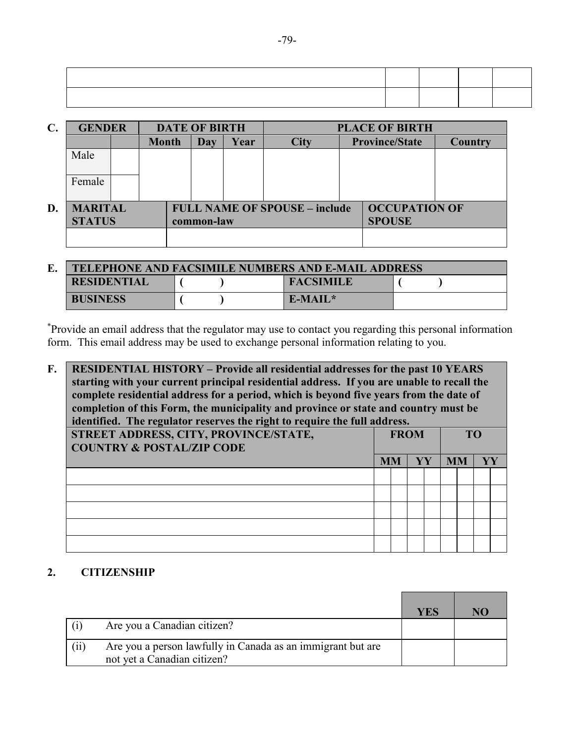| C. | <b>GENDER</b>                   |              | <b>DATE OF BIRTH</b> |      | <b>PLACE OF BIRTH</b>                |  |                                       |         |  |
|----|---------------------------------|--------------|----------------------|------|--------------------------------------|--|---------------------------------------|---------|--|
|    |                                 | <b>Month</b> | Day                  | Year | <b>City</b>                          |  | <b>Province/State</b>                 | Country |  |
|    | Male                            |              |                      |      |                                      |  |                                       |         |  |
|    | Female                          |              |                      |      |                                      |  |                                       |         |  |
| D. | <b>MARITAL</b><br><b>STATUS</b> |              | common-law           |      | <b>FULL NAME OF SPOUSE - include</b> |  | <b>OCCUPATION OF</b><br><b>SPOUSE</b> |         |  |
|    |                                 |              |                      |      |                                      |  |                                       |         |  |

|                    |  | <b>TELEPHONE AND FACSIMILE NUMBERS AND E-MAIL ADDRESS</b> |  |
|--------------------|--|-----------------------------------------------------------|--|
| <b>RESIDENTIAL</b> |  | <b>FACSIMILE</b>                                          |  |
| <b>BUSINESS</b>    |  | $E-MAIL*$                                                 |  |

\* Provide an email address that the regulator may use to contact you regarding this personal information form. This email address may be used to exchange personal information relating to you.

**F. RESIDENTIAL HISTORY – Provide all residential addresses for the past 10 YEARS starting with your current principal residential address. If you are unable to recall the complete residential address for a period, which is beyond five years from the date of completion of this Form, the municipality and province or state and country must be identified. The regulator reserves the right to require the full address.** 

| STREET ADDRESS, CITY, PROVINCE/STATE,<br><b>COUNTRY &amp; POSTAL/ZIP CODE</b> | <b>FROM</b> |           | TO <sub>1</sub> |  |  |           |  |    |
|-------------------------------------------------------------------------------|-------------|-----------|-----------------|--|--|-----------|--|----|
|                                                                               |             | <b>MM</b> | YY              |  |  | <b>MM</b> |  | VV |
|                                                                               |             |           |                 |  |  |           |  |    |
|                                                                               |             |           |                 |  |  |           |  |    |
|                                                                               |             |           |                 |  |  |           |  |    |
|                                                                               |             |           |                 |  |  |           |  |    |
|                                                                               |             |           |                 |  |  |           |  |    |

## **2. CITIZENSHIP**

|     |                                                                                            | <b>YES</b> | NO |
|-----|--------------------------------------------------------------------------------------------|------------|----|
|     | Are you a Canadian citizen?                                                                |            |    |
| (i) | Are you a person lawfully in Canada as an immigrant but are<br>not yet a Canadian citizen? |            |    |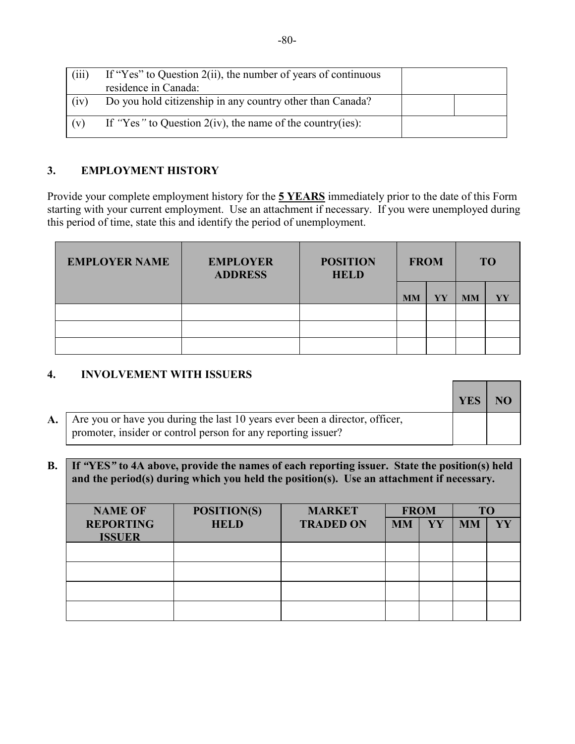| (iii) | If "Yes" to Question $2(ii)$ , the number of years of continuous<br>residence in Canada: |  |
|-------|------------------------------------------------------------------------------------------|--|
| (iv)  | Do you hold citizenship in any country other than Canada?                                |  |
| (v)   | If "Yes" to Question $2(iv)$ , the name of the country(ies):                             |  |

# **3. EMPLOYMENT HISTORY**

Provide your complete employment history for the **5 YEARS** immediately prior to the date of this Form starting with your current employment. Use an attachment if necessary. If you were unemployed during this period of time, state this and identify the period of unemployment.

| <b>EMPLOYER NAME</b> | <b>EMPLOYER</b><br><b>ADDRESS</b> | <b>POSITION</b><br><b>HELD</b> | <b>FROM</b> |    | TO        |    |
|----------------------|-----------------------------------|--------------------------------|-------------|----|-----------|----|
|                      |                                   |                                | <b>MM</b>   | YY | <b>MM</b> | YY |
|                      |                                   |                                |             |    |           |    |
|                      |                                   |                                |             |    |           |    |
|                      |                                   |                                |             |    |           |    |

## **4. INVOLVEMENT WITH ISSUERS**

|                                                                                                                                                 | <b>YES</b> | NO <sub>1</sub> |
|-------------------------------------------------------------------------------------------------------------------------------------------------|------------|-----------------|
| A. Are you or have you during the last 10 years ever been a director, officer,<br>promoter, insider or control person for any reporting issuer? |            |                 |

**B. If** *"***YES***"* **to 4A above, provide the names of each reporting issuer. State the position(s) held and the period(s) during which you held the position(s). Use an attachment if necessary.**

| <b>NAME OF</b>                    | POSITION(S) | <b>MARKET</b>    | <b>FROM</b><br>YY<br><b>MM</b> |  | T <sub>O</sub> |           |
|-----------------------------------|-------------|------------------|--------------------------------|--|----------------|-----------|
| <b>REPORTING</b><br><b>ISSUER</b> | <b>HELD</b> | <b>TRADED ON</b> |                                |  | <b>MM</b>      | <b>YY</b> |
|                                   |             |                  |                                |  |                |           |
|                                   |             |                  |                                |  |                |           |
|                                   |             |                  |                                |  |                |           |
|                                   |             |                  |                                |  |                |           |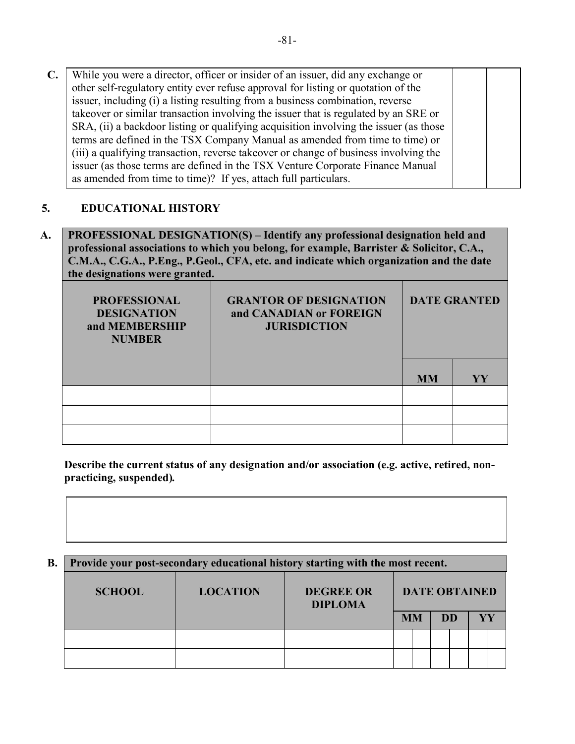**C.** While you were a director, officer or insider of an issuer, did any exchange or other self-regulatory entity ever refuse approval for listing or quotation of the issuer, including (i) a listing resulting from a business combination, reverse takeover or similar transaction involving the issuer that is regulated by an SRE or SRA, (ii) a backdoor listing or qualifying acquisition involving the issuer (as those terms are defined in the TSX Company Manual as amended from time to time) or (iii) a qualifying transaction, reverse takeover or change of business involving the issuer (as those terms are defined in the TSX Venture Corporate Finance Manual as amended from time to time)? If yes, attach full particulars.

# **5. EDUCATIONAL HISTORY**

**A. PROFESSIONAL DESIGNATION(S) – Identify any professional designation held and professional associations to which you belong, for example, Barrister & Solicitor, C.A., C.M.A., C.G.A., P.Eng., P.Geol., CFA, etc. and indicate which organization and the date the designations were granted.** 

| <b>PROFESSIONAL</b><br><b>DESIGNATION</b><br>and MEMBERSHIP<br><b>NUMBER</b> | <b>GRANTOR OF DESIGNATION</b><br>and CANADIAN or FOREIGN<br><b>JURISDICTION</b> | <b>DATE GRANTED</b> |    |
|------------------------------------------------------------------------------|---------------------------------------------------------------------------------|---------------------|----|
|                                                                              |                                                                                 | <b>MM</b>           | VV |
|                                                                              |                                                                                 |                     |    |
|                                                                              |                                                                                 |                     |    |
|                                                                              |                                                                                 |                     |    |

**Describe the current status of any designation and/or association (e.g. active, retired, nonpracticing, suspended)***.*

**B. Provide your post-secondary educational history starting with the most recent. SCHOOL LOCATION DEGREE OR DIPLOMA DATE OBTAINED**  $MM$  **DD YY**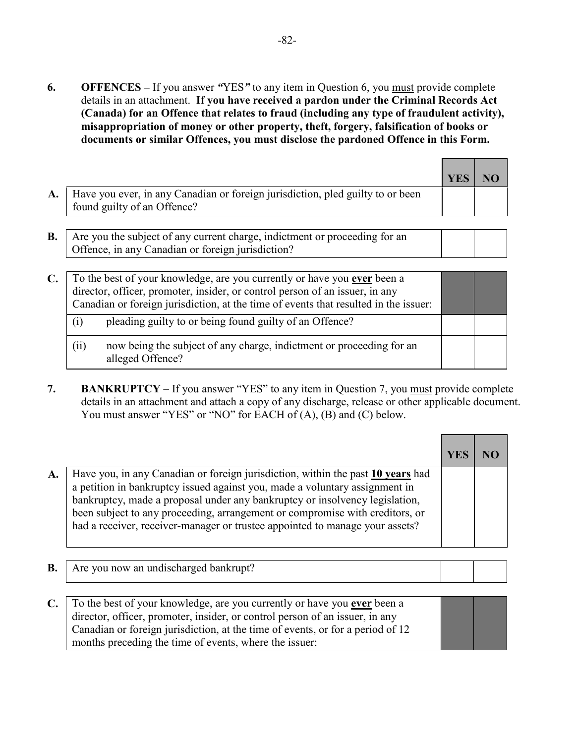**6. OFFENCES –** If you answer *"*YES*"* to any item in Question 6, you must provide complete details in an attachment. **If you have received a pardon under the Criminal Records Act (Canada) for an Offence that relates to fraud (including any type of fraudulent activity), misappropriation of money or other property, theft, forgery, falsification of books or documents or similar Offences, you must disclose the pardoned Offence in this Form.** 

|                                                                                                                    | <b>YES</b> |  |
|--------------------------------------------------------------------------------------------------------------------|------------|--|
| A.   Have you ever, in any Canadian or foreign jurisdiction, pled guilty to or been<br>found guilty of an Offence? |            |  |

**B.** Are you the subject of any current charge, indictment or proceeding for an Offence, in any Canadian or foreign jurisdiction?

|     | To the best of your knowledge, are you currently or have you ever been a<br>director, officer, promoter, insider, or control person of an issuer, in any<br>Canadian or foreign jurisdiction, at the time of events that resulted in the issuer: |  |
|-----|--------------------------------------------------------------------------------------------------------------------------------------------------------------------------------------------------------------------------------------------------|--|
| (i) | pleading guilty to or being found guilty of an Offence?                                                                                                                                                                                          |  |
| (i) | now being the subject of any charge, indictment or proceeding for an<br>alleged Offence?                                                                                                                                                         |  |

**7. BANKRUPTCY** – If you answer "YES" to any item in Question 7, you must provide complete details in an attachment and attach a copy of any discharge, release or other applicable document. You must answer "YES" or "NO" for EACH of (A), (B) and (C) below.

|              |                                                                                                                                                                                                                                                                                                                                                                                                               | YE. |  |
|--------------|---------------------------------------------------------------------------------------------------------------------------------------------------------------------------------------------------------------------------------------------------------------------------------------------------------------------------------------------------------------------------------------------------------------|-----|--|
| $\mathbf{A}$ | Have you, in any Canadian or foreign jurisdiction, within the past 10 years had<br>a petition in bankruptcy issued against you, made a voluntary assignment in<br>bankruptcy, made a proposal under any bankruptcy or insolvency legislation,<br>been subject to any proceeding, arrangement or compromise with creditors, or<br>had a receiver, receiver-manager or trustee appointed to manage your assets? |     |  |

| $\mathbf R$ |                                       |  |
|-------------|---------------------------------------|--|
|             | Are you now an undischarged bankrupt? |  |

| C. To the best of your knowledge, are you currently or have you ever been a    |  |
|--------------------------------------------------------------------------------|--|
| director, officer, promoter, insider, or control person of an issuer, in any   |  |
| Canadian or foreign jurisdiction, at the time of events, or for a period of 12 |  |
| months preceding the time of events, where the issuer:                         |  |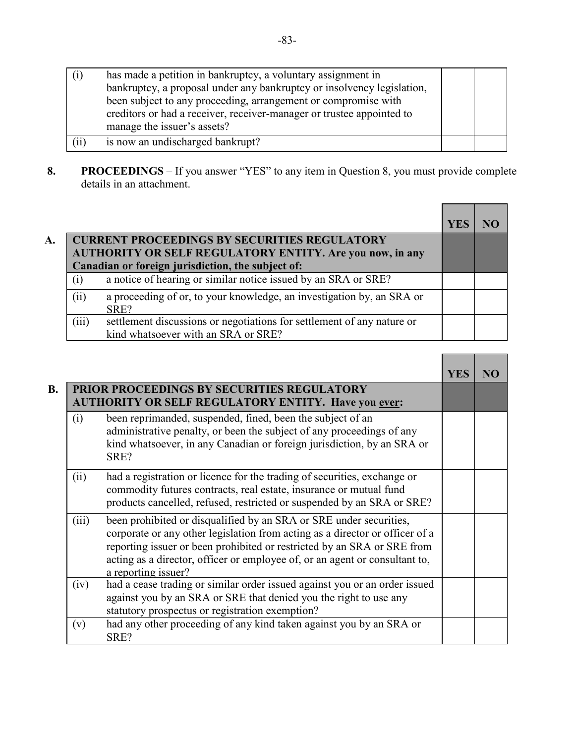|      | has made a petition in bankruptcy, a voluntary assignment in<br>bankruptcy, a proposal under any bankruptcy or insolvency legislation,<br>been subject to any proceeding, arrangement or compromise with<br>creditors or had a receiver, receiver-manager or trustee appointed to<br>manage the issuer's assets? |  |
|------|------------------------------------------------------------------------------------------------------------------------------------------------------------------------------------------------------------------------------------------------------------------------------------------------------------------|--|
|      |                                                                                                                                                                                                                                                                                                                  |  |
| (ii) | is now an undischarged bankrupt?                                                                                                                                                                                                                                                                                 |  |

**8. PROCEEDINGS** – If you answer "YES" to any item in Question 8, you must provide complete details in an attachment.

|    |                   |                                                                        | YE. |  |
|----|-------------------|------------------------------------------------------------------------|-----|--|
| A. |                   | <b>CURRENT PROCEEDINGS BY SECURITIES REGULATORY</b>                    |     |  |
|    |                   | <b>AUTHORITY OR SELF REGULATORY ENTITY. Are you now, in any</b>        |     |  |
|    |                   | Canadian or foreign jurisdiction, the subject of:                      |     |  |
|    | $\left( i\right)$ | a notice of hearing or similar notice issued by an SRA or SRE?         |     |  |
|    | (ii)              | a proceeding of or, to your knowledge, an investigation by, an SRA or  |     |  |
|    |                   | SRE?                                                                   |     |  |
|    | (iii)             | settlement discussions or negotiations for settlement of any nature or |     |  |
|    |                   | kind whatsoever with an SRA or SRE?                                    |     |  |

|       |                                                                                                                                                                                                                                                                                                                                     | YES | NO |
|-------|-------------------------------------------------------------------------------------------------------------------------------------------------------------------------------------------------------------------------------------------------------------------------------------------------------------------------------------|-----|----|
| В.    | <b>PRIOR PROCEEDINGS BY SECURITIES REGULATORY</b><br><b>AUTHORITY OR SELF REGULATORY ENTITY. Have you ever:</b>                                                                                                                                                                                                                     |     |    |
| (i)   | been reprimanded, suspended, fined, been the subject of an<br>administrative penalty, or been the subject of any proceedings of any<br>kind whatsoever, in any Canadian or foreign jurisdiction, by an SRA or<br>SRE?                                                                                                               |     |    |
| (ii)  | had a registration or licence for the trading of securities, exchange or<br>commodity futures contracts, real estate, insurance or mutual fund<br>products cancelled, refused, restricted or suspended by an SRA or SRE?                                                                                                            |     |    |
| (iii) | been prohibited or disqualified by an SRA or SRE under securities,<br>corporate or any other legislation from acting as a director or officer of a<br>reporting issuer or been prohibited or restricted by an SRA or SRE from<br>acting as a director, officer or employee of, or an agent or consultant to,<br>a reporting issuer? |     |    |
| (iv)  | had a cease trading or similar order issued against you or an order issued<br>against you by an SRA or SRE that denied you the right to use any<br>statutory prospectus or registration exemption?                                                                                                                                  |     |    |
| (v)   | had any other proceeding of any kind taken against you by an SRA or<br>SRE?                                                                                                                                                                                                                                                         |     |    |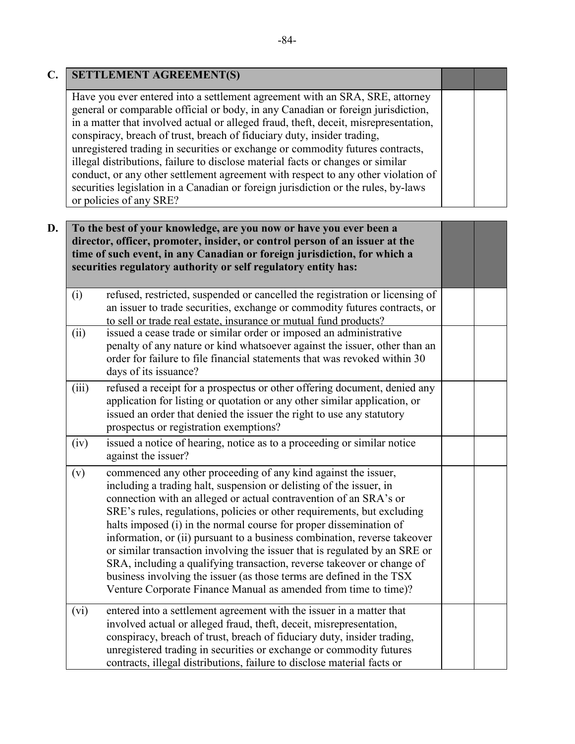| C. | <b>SETTLEMENT AGREEMENT(S)</b>                                                                                                                                                                                                                                                                                                                                                                                                                                                                                                                                                                |  |
|----|-----------------------------------------------------------------------------------------------------------------------------------------------------------------------------------------------------------------------------------------------------------------------------------------------------------------------------------------------------------------------------------------------------------------------------------------------------------------------------------------------------------------------------------------------------------------------------------------------|--|
|    | Have you ever entered into a settlement agreement with an SRA, SRE, attorney<br>general or comparable official or body, in any Canadian or foreign jurisdiction,<br>in a matter that involved actual or alleged fraud, theft, deceit, misrepresentation,<br>conspiracy, breach of trust, breach of fiduciary duty, insider trading,<br>unregistered trading in securities or exchange or commodity futures contracts,<br>illegal distributions, failure to disclose material facts or changes or similar<br>conduct, or any other settlement agreement with respect to any other violation of |  |
|    | securities legislation in a Canadian or foreign jurisdiction or the rules, by-laws<br>or policies of any SRE?                                                                                                                                                                                                                                                                                                                                                                                                                                                                                 |  |

**D. To the best of your knowledge, are you now or have you ever been a director, officer, promoter, insider, or control person of an issuer at the time of such event, in any Canadian or foreign jurisdiction, for which a securities regulatory authority or self regulatory entity has:** (i) refused, restricted, suspended or cancelled the registration or licensing of an issuer to trade securities, exchange or commodity futures contracts, or to sell or trade real estate, insurance or mutual fund products? (ii) issued a cease trade or similar order or imposed an administrative penalty of any nature or kind whatsoever against the issuer, other than an order for failure to file financial statements that was revoked within 30 days of its issuance? (iii) refused a receipt for a prospectus or other offering document, denied any application for listing or quotation or any other similar application, or issued an order that denied the issuer the right to use any statutory prospectus or registration exemptions? (iv) issued a notice of hearing, notice as to a proceeding or similar notice against the issuer? (v) commenced any other proceeding of any kind against the issuer, including a trading halt, suspension or delisting of the issuer, in connection with an alleged or actual contravention of an SRA's or SRE's rules, regulations, policies or other requirements, but excluding halts imposed (i) in the normal course for proper dissemination of information, or (ii) pursuant to a business combination, reverse takeover or similar transaction involving the issuer that is regulated by an SRE or SRA, including a qualifying transaction, reverse takeover or change of business involving the issuer (as those terms are defined in the TSX Venture Corporate Finance Manual as amended from time to time)? (vi) entered into a settlement agreement with the issuer in a matter that involved actual or alleged fraud, theft, deceit, misrepresentation, conspiracy, breach of trust, breach of fiduciary duty, insider trading, unregistered trading in securities or exchange or commodity futures

contracts, illegal distributions, failure to disclose material facts or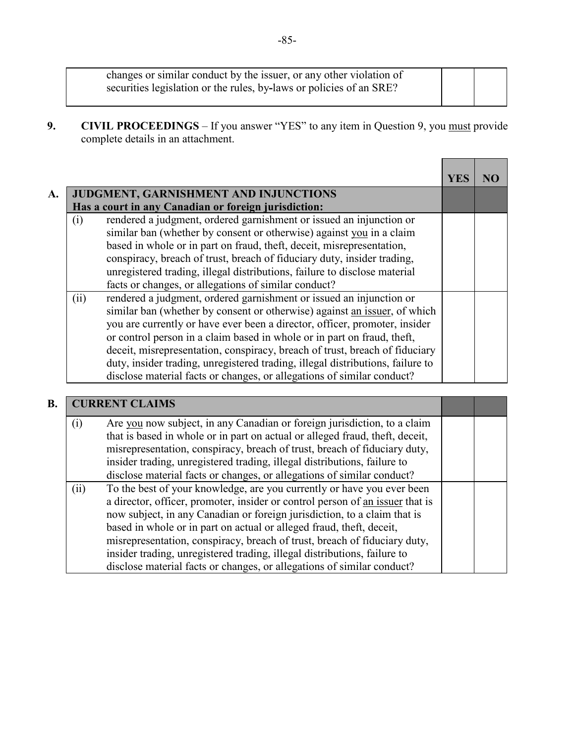| changes or similar conduct by the issuer, or any other violation of<br>securities legislation or the rules, by-laws or policies of an SRE? |  |
|--------------------------------------------------------------------------------------------------------------------------------------------|--|
|--------------------------------------------------------------------------------------------------------------------------------------------|--|

**9.** CIVIL PROCEEDINGS – If you answer "YES" to any item in Question 9, you must provide complete details in an attachment.

|    |                                                                                                                                                                                                                                                                                                                   | YES |  |
|----|-------------------------------------------------------------------------------------------------------------------------------------------------------------------------------------------------------------------------------------------------------------------------------------------------------------------|-----|--|
| A. | JUDGMENT, GARNISHMENT AND INJUNCTIONS                                                                                                                                                                                                                                                                             |     |  |
|    | Has a court in any Canadian or foreign jurisdiction:                                                                                                                                                                                                                                                              |     |  |
|    | rendered a judgment, ordered garnishment or issued an injunction or<br>(i)<br>similar ban (whether by consent or otherwise) against you in a claim                                                                                                                                                                |     |  |
|    | based in whole or in part on fraud, theft, deceit, misrepresentation,<br>conspiracy, breach of trust, breach of fiduciary duty, insider trading,                                                                                                                                                                  |     |  |
|    | unregistered trading, illegal distributions, failure to disclose material<br>facts or changes, or allegations of similar conduct?                                                                                                                                                                                 |     |  |
|    | rendered a judgment, ordered garnishment or issued an injunction or<br>(ii)<br>similar ban (whether by consent or otherwise) against an issuer, of which<br>you are currently or have ever been a director, officer, promoter, insider<br>or control person in a claim based in whole or in part on fraud, theft, |     |  |
|    | deceit, misrepresentation, conspiracy, breach of trust, breach of fiduciary<br>duty, insider trading, unregistered trading, illegal distributions, failure to<br>disclose material facts or changes, or allegations of similar conduct?                                                                           |     |  |

# **B. CURRENT CLAIMS**

|      | Are you now subject, in any Canadian or foreign jurisdiction, to a claim      |  |
|------|-------------------------------------------------------------------------------|--|
|      | that is based in whole or in part on actual or alleged fraud, theft, deceit,  |  |
|      | misrepresentation, conspiracy, breach of trust, breach of fiduciary duty,     |  |
|      | insider trading, unregistered trading, illegal distributions, failure to      |  |
|      | disclose material facts or changes, or allegations of similar conduct?        |  |
| (11) | To the best of your knowledge, are you currently or have you ever been        |  |
|      | a director, officer, promoter, insider or control person of an issuer that is |  |
|      | now subject, in any Canadian or foreign jurisdiction, to a claim that is      |  |
|      | based in whole or in part on actual or alleged fraud, theft, deceit,          |  |
|      | misrepresentation, conspiracy, breach of trust, breach of fiduciary duty,     |  |
|      | insider trading, unregistered trading, illegal distributions, failure to      |  |
|      | disclose material facts or changes, or allegations of similar conduct?        |  |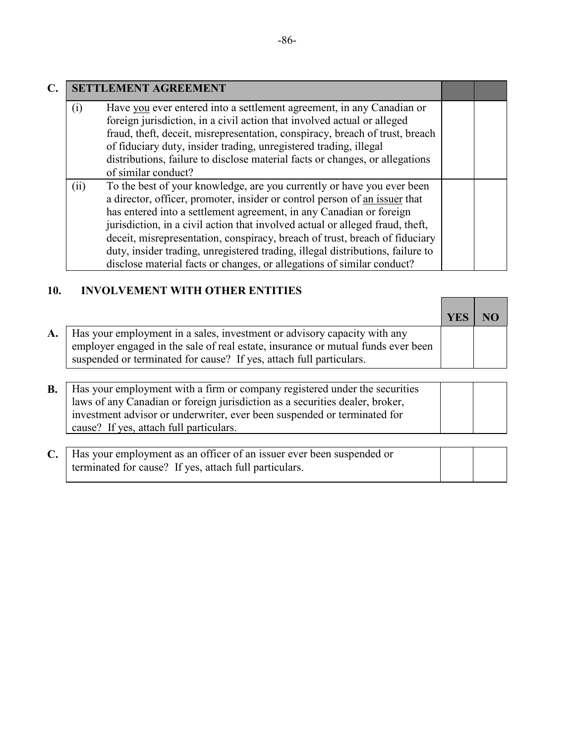|  |                                                                                                                                                               | <b>SETTLEMENT AGREEMENT</b>                                                   |  |
|--|---------------------------------------------------------------------------------------------------------------------------------------------------------------|-------------------------------------------------------------------------------|--|
|  | (i)                                                                                                                                                           | Have you ever entered into a settlement agreement, in any Canadian or         |  |
|  |                                                                                                                                                               | foreign jurisdiction, in a civil action that involved actual or alleged       |  |
|  |                                                                                                                                                               | fraud, theft, deceit, misrepresentation, conspiracy, breach of trust, breach  |  |
|  |                                                                                                                                                               | of fiduciary duty, insider trading, unregistered trading, illegal             |  |
|  | distributions, failure to disclose material facts or changes, or allegations                                                                                  |                                                                               |  |
|  |                                                                                                                                                               | of similar conduct?                                                           |  |
|  | (ii)                                                                                                                                                          | To the best of your knowledge, are you currently or have you ever been        |  |
|  |                                                                                                                                                               | a director, officer, promoter, insider or control person of an issuer that    |  |
|  |                                                                                                                                                               | has entered into a settlement agreement, in any Canadian or foreign           |  |
|  |                                                                                                                                                               | jurisdiction, in a civil action that involved actual or alleged fraud, theft, |  |
|  | deceit, misrepresentation, conspiracy, breach of trust, breach of fiduciary<br>duty, insider trading, unregistered trading, illegal distributions, failure to |                                                                               |  |
|  |                                                                                                                                                               |                                                                               |  |
|  |                                                                                                                                                               | disclose material facts or changes, or allegations of similar conduct?        |  |

# **10. INVOLVEMENT WITH OTHER ENTITIES**

| . |                                                                                  |            |    |
|---|----------------------------------------------------------------------------------|------------|----|
|   |                                                                                  | <b>YES</b> | NΩ |
|   | A.   Has your employment in a sales, investment or advisory capacity with any    |            |    |
|   | employer engaged in the sale of real estate, insurance or mutual funds ever been |            |    |
|   | suspended or terminated for cause? If yes, attach full particulars.              |            |    |

| <b>B.</b>   Has your employment with a firm or company registered under the securities |  |
|----------------------------------------------------------------------------------------|--|
| laws of any Canadian or foreign jurisdiction as a securities dealer, broker,           |  |
| investment advisor or underwriter, ever been suspended or terminated for               |  |
| cause? If yes, attach full particulars.                                                |  |

| <b>C.</b>   Has your employment as an officer of an issuer ever been suspended or |  |
|-----------------------------------------------------------------------------------|--|
| terminated for cause? If yes, attach full particulars.                            |  |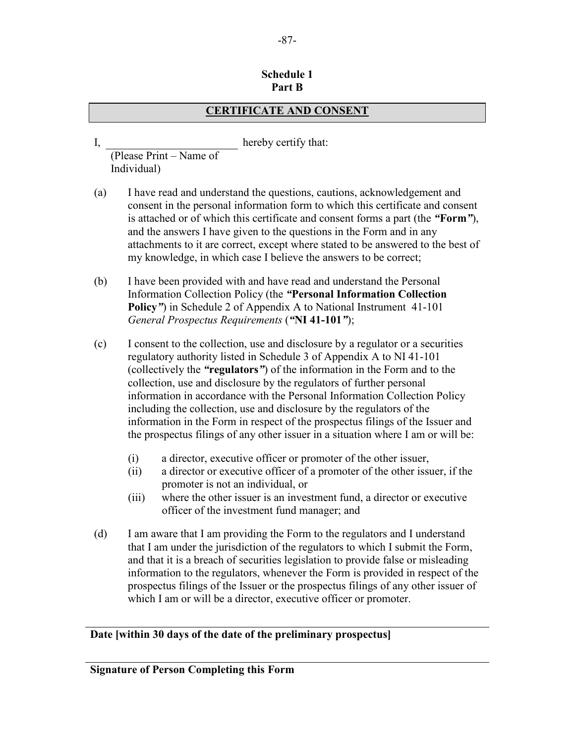## **Schedule 1 Part B**

# **CERTIFICATE AND CONSENT**

I, hereby certify that: (Please Print – Name of Individual)

- (a) I have read and understand the questions, cautions, acknowledgement and consent in the personal information form to which this certificate and consent is attached or of which this certificate and consent forms a part (the *"***Form***"*), and the answers I have given to the questions in the Form and in any attachments to it are correct, except where stated to be answered to the best of my knowledge, in which case I believe the answers to be correct;
- (b) I have been provided with and have read and understand the Personal Information Collection Policy (the *"***Personal Information Collection Policy***"*) in Schedule 2 of Appendix A to National Instrument 41-101 *General Prospectus Requirements* (*"***NI 41-101***"*);
- (c) I consent to the collection, use and disclosure by a regulator or a securities regulatory authority listed in Schedule 3 of Appendix A to NI 41-101 (collectively the *"***regulators***"*) of the information in the Form and to the collection, use and disclosure by the regulators of further personal information in accordance with the Personal Information Collection Policy including the collection, use and disclosure by the regulators of the information in the Form in respect of the prospectus filings of the Issuer and the prospectus filings of any other issuer in a situation where I am or will be:
	- (i) a director, executive officer or promoter of the other issuer,
	- (ii) a director or executive officer of a promoter of the other issuer, if the promoter is not an individual, or
	- (iii) where the other issuer is an investment fund, a director or executive officer of the investment fund manager; and
- (d) I am aware that I am providing the Form to the regulators and I understand that I am under the jurisdiction of the regulators to which I submit the Form, and that it is a breach of securities legislation to provide false or misleading information to the regulators, whenever the Form is provided in respect of the prospectus filings of the Issuer or the prospectus filings of any other issuer of which I am or will be a director, executive officer or promoter.

# **Date [within 30 days of the date of the preliminary prospectus]**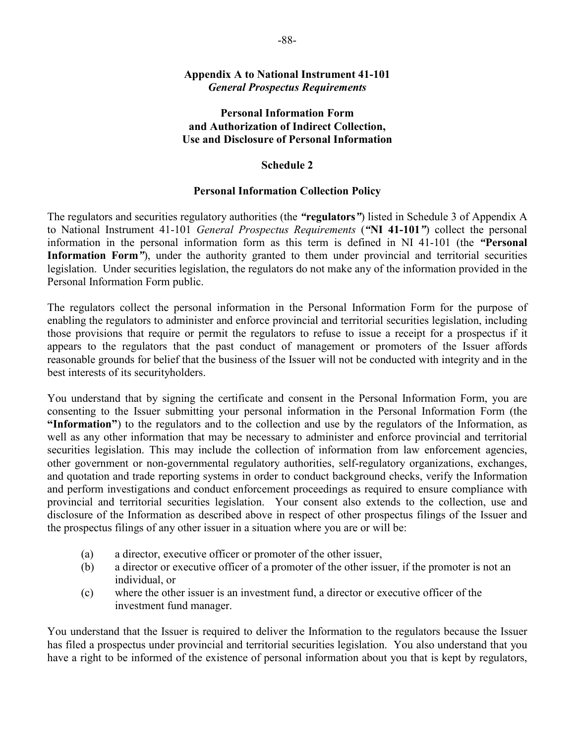## **Appendix A to National Instrument 41-101** *General Prospectus Requirements*

#### **Personal Information Form and Authorization of Indirect Collection, Use and Disclosure of Personal Information**

#### **Schedule 2**

#### **Personal Information Collection Policy**

The regulators and securities regulatory authorities (the *"***regulators***"*) listed in Schedule 3 of Appendix A to National Instrument 41-101 *General Prospectus Requirements* (*"***NI 41-101***"*) collect the personal information in the personal information form as this term is defined in NI 41-101 (the *"***Personal Information Form***"*), under the authority granted to them under provincial and territorial securities legislation. Under securities legislation, the regulators do not make any of the information provided in the Personal Information Form public.

The regulators collect the personal information in the Personal Information Form for the purpose of enabling the regulators to administer and enforce provincial and territorial securities legislation, including those provisions that require or permit the regulators to refuse to issue a receipt for a prospectus if it appears to the regulators that the past conduct of management or promoters of the Issuer affords reasonable grounds for belief that the business of the Issuer will not be conducted with integrity and in the best interests of its securityholders.

You understand that by signing the certificate and consent in the Personal Information Form, you are consenting to the Issuer submitting your personal information in the Personal Information Form (the **"Information"**) to the regulators and to the collection and use by the regulators of the Information, as well as any other information that may be necessary to administer and enforce provincial and territorial securities legislation. This may include the collection of information from law enforcement agencies, other government or non-governmental regulatory authorities, self-regulatory organizations, exchanges, and quotation and trade reporting systems in order to conduct background checks, verify the Information and perform investigations and conduct enforcement proceedings as required to ensure compliance with provincial and territorial securities legislation. Your consent also extends to the collection, use and disclosure of the Information as described above in respect of other prospectus filings of the Issuer and the prospectus filings of any other issuer in a situation where you are or will be:

- (a) a director, executive officer or promoter of the other issuer,
- (b) a director or executive officer of a promoter of the other issuer, if the promoter is not an individual, or
- (c) where the other issuer is an investment fund, a director or executive officer of the investment fund manager.

You understand that the Issuer is required to deliver the Information to the regulators because the Issuer has filed a prospectus under provincial and territorial securities legislation. You also understand that you have a right to be informed of the existence of personal information about you that is kept by regulators,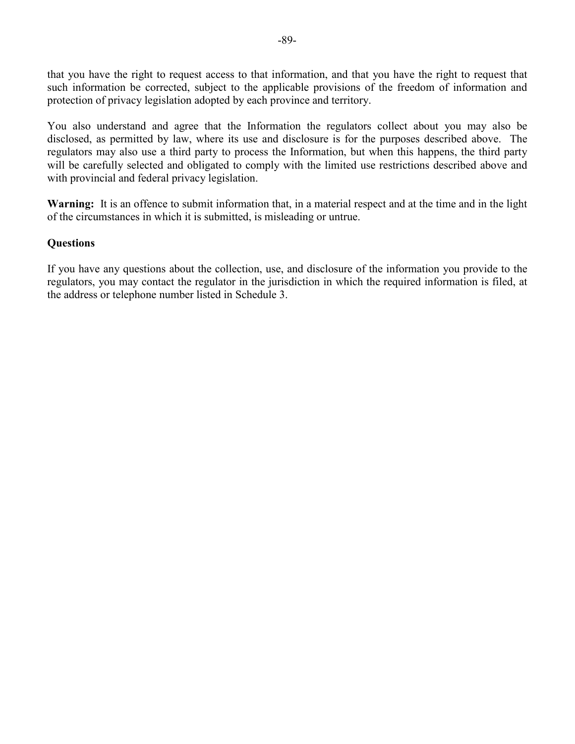that you have the right to request access to that information, and that you have the right to request that such information be corrected, subject to the applicable provisions of the freedom of information and protection of privacy legislation adopted by each province and territory.

You also understand and agree that the Information the regulators collect about you may also be disclosed, as permitted by law, where its use and disclosure is for the purposes described above. The regulators may also use a third party to process the Information, but when this happens, the third party will be carefully selected and obligated to comply with the limited use restrictions described above and with provincial and federal privacy legislation.

**Warning:** It is an offence to submit information that, in a material respect and at the time and in the light of the circumstances in which it is submitted, is misleading or untrue.

## **Questions**

If you have any questions about the collection, use, and disclosure of the information you provide to the regulators, you may contact the regulator in the jurisdiction in which the required information is filed, at the address or telephone number listed in Schedule 3.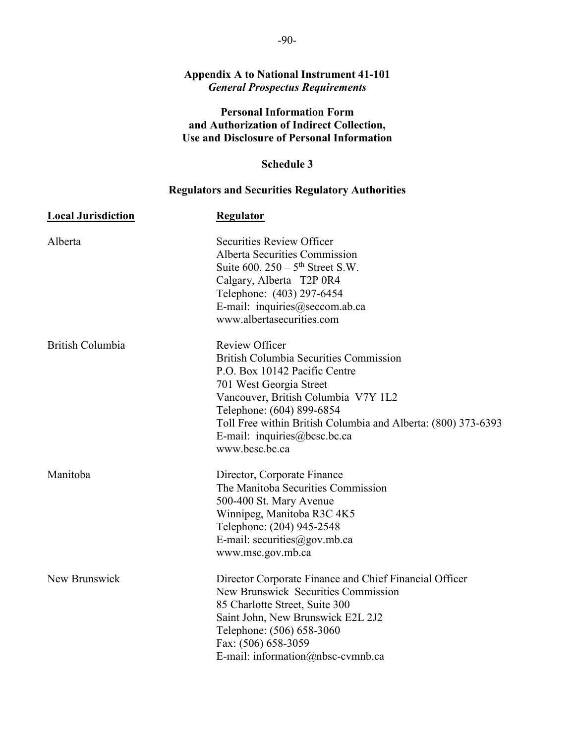# **Appendix A to National Instrument 41-101** *General Prospectus Requirements*

## **Personal Information Form and Authorization of Indirect Collection, Use and Disclosure of Personal Information**

## **Schedule 3**

# **Regulators and Securities Regulatory Authorities**

| <b>Local Jurisdiction</b> | Regulator                                                                                                                                                                                                                                                                                                          |
|---------------------------|--------------------------------------------------------------------------------------------------------------------------------------------------------------------------------------------------------------------------------------------------------------------------------------------------------------------|
| Alberta                   | Securities Review Officer<br><b>Alberta Securities Commission</b><br>Suite $600$ , $250 - 5$ <sup>th</sup> Street S.W.<br>Calgary, Alberta T2P 0R4<br>Telephone: (403) 297-6454<br>E-mail: inquiries@seccom.ab.ca<br>www.albertasecurities.com                                                                     |
| British Columbia          | Review Officer<br><b>British Columbia Securities Commission</b><br>P.O. Box 10142 Pacific Centre<br>701 West Georgia Street<br>Vancouver, British Columbia V7Y 1L2<br>Telephone: (604) 899-6854<br>Toll Free within British Columbia and Alberta: (800) 373-6393<br>E-mail: inquiries@bcsc.bc.ca<br>www.bcsc.bc.ca |
| Manitoba                  | Director, Corporate Finance<br>The Manitoba Securities Commission<br>500-400 St. Mary Avenue<br>Winnipeg, Manitoba R3C 4K5<br>Telephone: (204) 945-2548<br>E-mail: securities@gov.mb.ca<br>www.msc.gov.mb.ca                                                                                                       |
| New Brunswick             | Director Corporate Finance and Chief Financial Officer<br>New Brunswick Securities Commission<br>85 Charlotte Street, Suite 300<br>Saint John, New Brunswick E2L 2J2<br>Telephone: (506) 658-3060<br>Fax: (506) 658-3059<br>E-mail: information@nbsc-cvmnb.ca                                                      |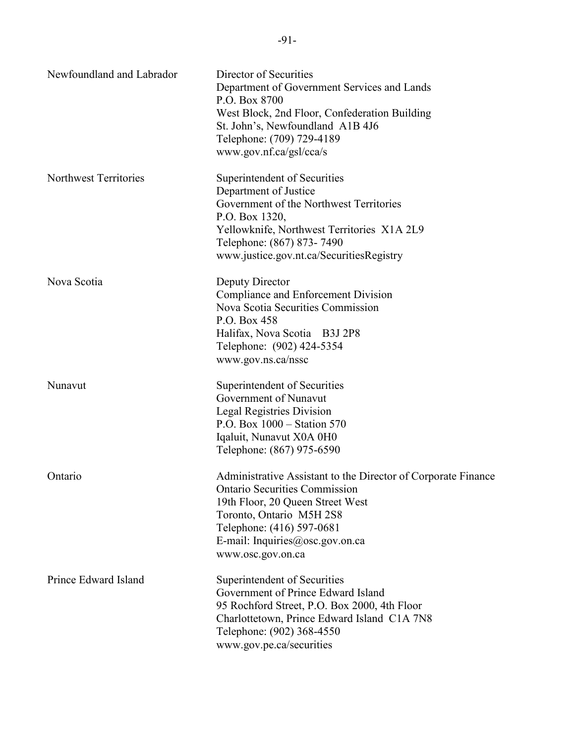| Newfoundland and Labrador | Director of Securities<br>Department of Government Services and Lands<br>P.O. Box 8700<br>West Block, 2nd Floor, Confederation Building<br>St. John's, Newfoundland A1B 4J6<br>Telephone: (709) 729-4189<br>www.gov.nf.ca/gsl/cca/s                        |
|---------------------------|------------------------------------------------------------------------------------------------------------------------------------------------------------------------------------------------------------------------------------------------------------|
| Northwest Territories     | Superintendent of Securities<br>Department of Justice<br>Government of the Northwest Territories<br>P.O. Box 1320,<br>Yellowknife, Northwest Territories X1A 2L9<br>Telephone: (867) 873-7490<br>www.justice.gov.nt.ca/SecuritiesRegistry                  |
| Nova Scotia               | Deputy Director<br>Compliance and Enforcement Division<br>Nova Scotia Securities Commission<br>P.O. Box 458<br>Halifax, Nova Scotia B3J 2P8<br>Telephone: (902) 424-5354<br>www.gov.ns.ca/nssc                                                             |
| Nunavut                   | Superintendent of Securities<br>Government of Nunavut<br><b>Legal Registries Division</b><br>P.O. Box $1000 -$ Station 570<br>Iqaluit, Nunavut X0A 0H0<br>Telephone: (867) 975-6590                                                                        |
| Ontario                   | Administrative Assistant to the Director of Corporate Finance<br><b>Ontario Securities Commission</b><br>19th Floor, 20 Queen Street West<br>Toronto, Ontario M5H 2S8<br>Telephone: (416) 597-0681<br>E-mail: Inquiries@osc.gov.on.ca<br>www.osc.gov.on.ca |
| Prince Edward Island      | Superintendent of Securities<br>Government of Prince Edward Island<br>95 Rochford Street, P.O. Box 2000, 4th Floor<br>Charlottetown, Prince Edward Island C1A 7N8<br>Telephone: (902) 368-4550<br>www.gov.pe.ca/securities                                 |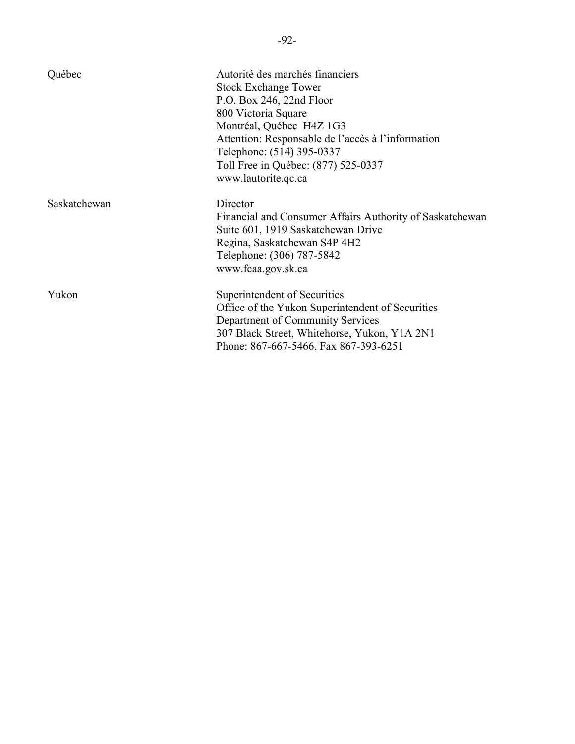| Québec       | Autorité des marchés financiers<br><b>Stock Exchange Tower</b><br>P.O. Box 246, 22nd Floor<br>800 Victoria Square<br>Montréal, Québec H4Z 1G3<br>Attention: Responsable de l'accès à l'information<br>Telephone: (514) 395-0337<br>Toll Free in Québec: (877) 525-0337<br>www.lautorite.qc.ca |
|--------------|-----------------------------------------------------------------------------------------------------------------------------------------------------------------------------------------------------------------------------------------------------------------------------------------------|
| Saskatchewan | Director<br>Financial and Consumer Affairs Authority of Saskatchewan<br>Suite 601, 1919 Saskatchewan Drive<br>Regina, Saskatchewan S4P 4H2<br>Telephone: (306) 787-5842<br>www.fcaa.gov.sk.ca                                                                                                 |
| Yukon        | Superintendent of Securities<br>Office of the Yukon Superintendent of Securities<br>Department of Community Services<br>307 Black Street, Whitehorse, Yukon, Y1A 2N1<br>Phone: 867-667-5466, Fax 867-393-6251                                                                                 |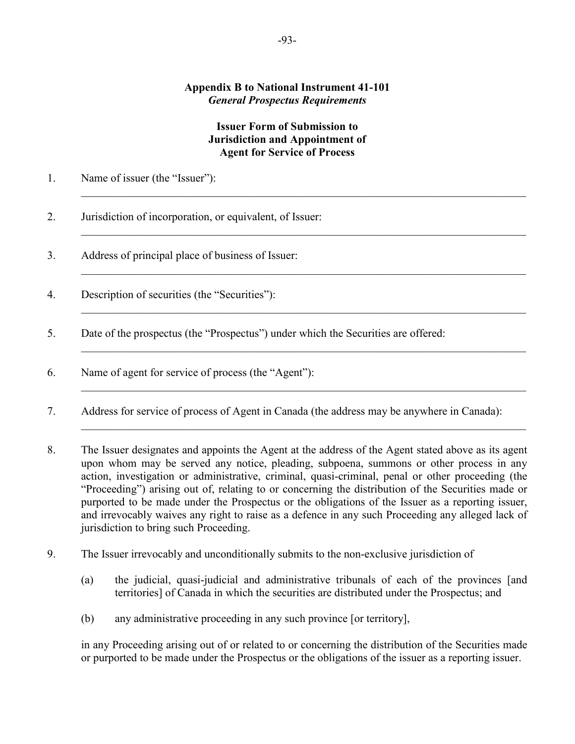## **Appendix B to National Instrument 41-101** *General Prospectus Requirements*

### **Issuer Form of Submission to Jurisdiction and Appointment of Agent for Service of Process**

\_\_\_\_\_\_\_\_\_\_\_\_\_\_\_\_\_\_\_\_\_\_\_\_\_\_\_\_\_\_\_\_\_\_\_\_\_\_\_\_\_\_\_\_\_\_\_\_\_\_\_\_\_\_\_\_\_\_\_\_\_\_\_\_\_\_\_\_\_\_\_\_\_\_\_\_\_\_\_

\_\_\_\_\_\_\_\_\_\_\_\_\_\_\_\_\_\_\_\_\_\_\_\_\_\_\_\_\_\_\_\_\_\_\_\_\_\_\_\_\_\_\_\_\_\_\_\_\_\_\_\_\_\_\_\_\_\_\_\_\_\_\_\_\_\_\_\_\_\_\_\_\_\_\_\_\_\_\_

\_\_\_\_\_\_\_\_\_\_\_\_\_\_\_\_\_\_\_\_\_\_\_\_\_\_\_\_\_\_\_\_\_\_\_\_\_\_\_\_\_\_\_\_\_\_\_\_\_\_\_\_\_\_\_\_\_\_\_\_\_\_\_\_\_\_\_\_\_\_\_\_\_\_\_\_\_\_\_

\_\_\_\_\_\_\_\_\_\_\_\_\_\_\_\_\_\_\_\_\_\_\_\_\_\_\_\_\_\_\_\_\_\_\_\_\_\_\_\_\_\_\_\_\_\_\_\_\_\_\_\_\_\_\_\_\_\_\_\_\_\_\_\_\_\_\_\_\_\_\_\_\_\_\_\_\_\_\_

\_\_\_\_\_\_\_\_\_\_\_\_\_\_\_\_\_\_\_\_\_\_\_\_\_\_\_\_\_\_\_\_\_\_\_\_\_\_\_\_\_\_\_\_\_\_\_\_\_\_\_\_\_\_\_\_\_\_\_\_\_\_\_\_\_\_\_\_\_\_\_\_\_\_\_\_\_\_\_

- 1. Name of issuer (the "Issuer"):
- 2. Jurisdiction of incorporation, or equivalent, of Issuer:
- 3. Address of principal place of business of Issuer:
- 4. Description of securities (the "Securities"):
- 5. Date of the prospectus (the "Prospectus") under which the Securities are offered:
- 6. Name of agent for service of process (the "Agent"):
- 7. Address for service of process of Agent in Canada (the address may be anywhere in Canada):
- 8. The Issuer designates and appoints the Agent at the address of the Agent stated above as its agent upon whom may be served any notice, pleading, subpoena, summons or other process in any action, investigation or administrative, criminal, quasi-criminal, penal or other proceeding (the "Proceeding") arising out of, relating to or concerning the distribution of the Securities made or purported to be made under the Prospectus or the obligations of the Issuer as a reporting issuer, and irrevocably waives any right to raise as a defence in any such Proceeding any alleged lack of jurisdiction to bring such Proceeding.
- 9. The Issuer irrevocably and unconditionally submits to the non-exclusive jurisdiction of
	- (a) the judicial, quasi-judicial and administrative tribunals of each of the provinces [and territories] of Canada in which the securities are distributed under the Prospectus; and
	- (b) any administrative proceeding in any such province [or territory],

in any Proceeding arising out of or related to or concerning the distribution of the Securities made or purported to be made under the Prospectus or the obligations of the issuer as a reporting issuer.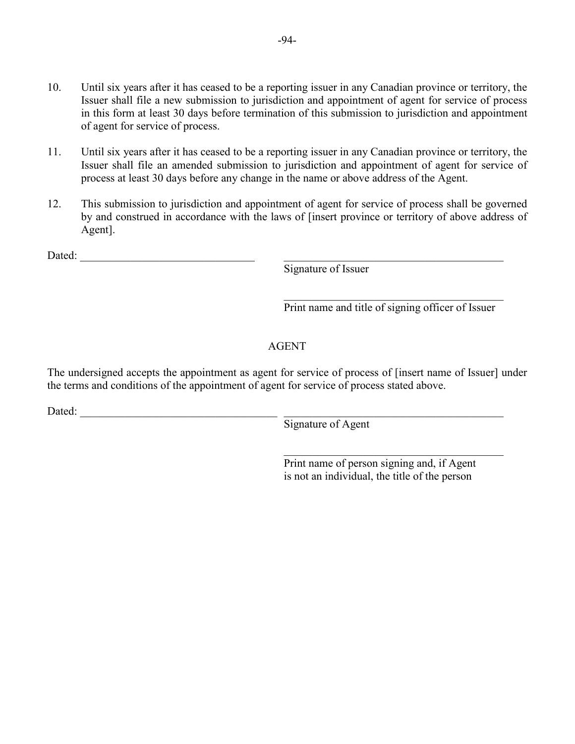- 10. Until six years after it has ceased to be a reporting issuer in any Canadian province or territory, the Issuer shall file a new submission to jurisdiction and appointment of agent for service of process in this form at least 30 days before termination of this submission to jurisdiction and appointment of agent for service of process.
- 11. Until six years after it has ceased to be a reporting issuer in any Canadian province or territory, the Issuer shall file an amended submission to jurisdiction and appointment of agent for service of process at least 30 days before any change in the name or above address of the Agent.
- 12. This submission to jurisdiction and appointment of agent for service of process shall be governed by and construed in accordance with the laws of [insert province or territory of above address of Agent].

Dated:

Signature of Issuer

\_\_\_\_\_\_\_\_\_\_\_\_\_\_\_\_\_\_\_\_\_\_\_\_\_\_\_\_\_\_\_\_\_\_\_\_\_\_\_ Print name and title of signing officer of Issuer

# AGENT

The undersigned accepts the appointment as agent for service of process of [insert name of Issuer] under the terms and conditions of the appointment of agent for service of process stated above.

Dated:

Signature of Agent

\_\_\_\_\_\_\_\_\_\_\_\_\_\_\_\_\_\_\_\_\_\_\_\_\_\_\_\_\_\_\_\_\_\_\_\_\_\_\_ Print name of person signing and, if Agent is not an individual, the title of the person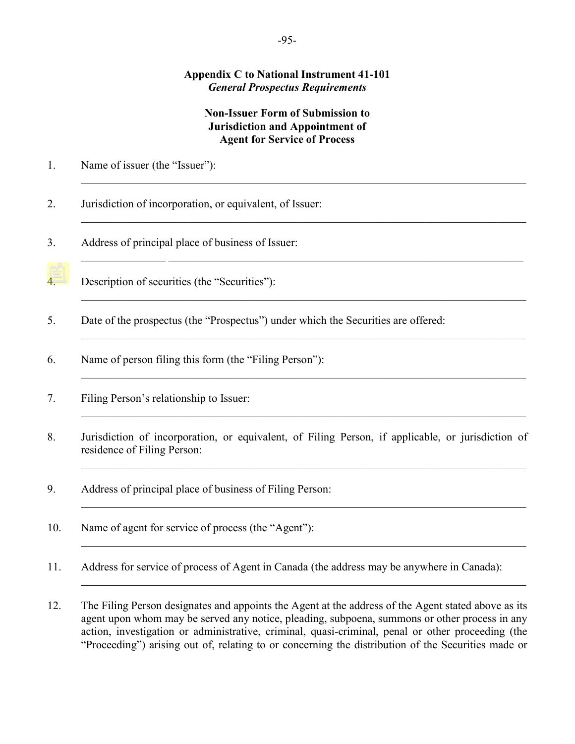#### **Appendix C to National Instrument 41-101** *General Prospectus Requirements*

#### **Non-Issuer Form of Submission to Jurisdiction and Appointment of Agent for Service of Process**

\_\_\_\_\_\_\_\_\_\_\_\_\_\_\_\_\_\_\_\_\_\_\_\_\_\_\_\_\_\_\_\_\_\_\_\_\_\_\_\_\_\_\_\_\_\_\_\_\_\_\_\_\_\_\_\_\_\_\_\_\_\_\_\_\_\_\_\_\_\_\_\_\_\_\_\_\_\_\_

\_\_\_\_\_\_\_\_\_\_\_\_\_\_\_ \_\_\_\_\_\_\_\_\_\_\_\_\_\_\_\_\_\_\_\_\_\_\_\_\_\_\_\_\_\_\_\_\_\_\_\_\_\_\_\_\_\_\_\_\_\_\_\_\_\_\_\_\_\_\_\_\_\_\_\_\_\_\_

\_\_\_\_\_\_\_\_\_\_\_\_\_\_\_\_\_\_\_\_\_\_\_\_\_\_\_\_\_\_\_\_\_\_\_\_\_\_\_\_\_\_\_\_\_\_\_\_\_\_\_\_\_\_\_\_\_\_\_\_\_\_\_\_\_\_\_\_\_\_\_\_\_\_\_\_\_\_\_

- 1. Name of issuer (the "Issuer"):
- 2. Jurisdiction of incorporation, or equivalent, of Issuer:
- 3. Address of principal place of business of Issuer:
- 4. Description of securities (the "Securities"):
- 5. Date of the prospectus (the "Prospectus") under which the Securities are offered:
- 6. Name of person filing this form (the "Filing Person"):
- 7. Filing Person's relationship to Issuer:
- 8. Jurisdiction of incorporation, or equivalent, of Filing Person, if applicable, or jurisdiction of residence of Filing Person:

\_\_\_\_\_\_\_\_\_\_\_\_\_\_\_\_\_\_\_\_\_\_\_\_\_\_\_\_\_\_\_\_\_\_\_\_\_\_\_\_\_\_\_\_\_\_\_\_\_\_\_\_\_\_\_\_\_\_\_\_\_\_\_\_\_\_\_\_\_\_\_\_\_\_\_\_\_\_\_

\_\_\_\_\_\_\_\_\_\_\_\_\_\_\_\_\_\_\_\_\_\_\_\_\_\_\_\_\_\_\_\_\_\_\_\_\_\_\_\_\_\_\_\_\_\_\_\_\_\_\_\_\_\_\_\_\_\_\_\_\_\_\_\_\_\_\_\_\_\_\_\_\_\_\_\_\_\_\_

\_\_\_\_\_\_\_\_\_\_\_\_\_\_\_\_\_\_\_\_\_\_\_\_\_\_\_\_\_\_\_\_\_\_\_\_\_\_\_\_\_\_\_\_\_\_\_\_\_\_\_\_\_\_\_\_\_\_\_\_\_\_\_\_\_\_\_\_\_\_\_\_\_\_\_\_\_\_\_

- 9. Address of principal place of business of Filing Person:
- 10. Name of agent for service of process (the "Agent"):
- 11. Address for service of process of Agent in Canada (the address may be anywhere in Canada):
- 12. The Filing Person designates and appoints the Agent at the address of the Agent stated above as its agent upon whom may be served any notice, pleading, subpoena, summons or other process in any action, investigation or administrative, criminal, quasi-criminal, penal or other proceeding (the "Proceeding") arising out of, relating to or concerning the distribution of the Securities made or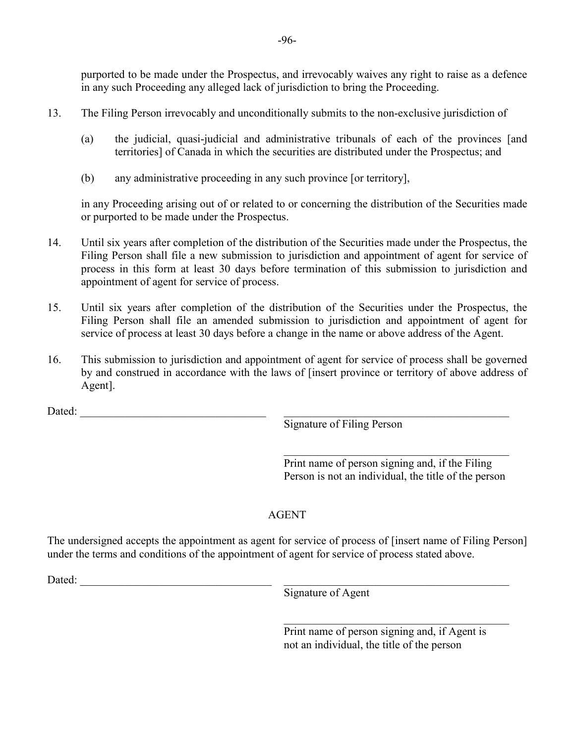purported to be made under the Prospectus, and irrevocably waives any right to raise as a defence in any such Proceeding any alleged lack of jurisdiction to bring the Proceeding.

- 13. The Filing Person irrevocably and unconditionally submits to the non-exclusive jurisdiction of
	- (a) the judicial, quasi-judicial and administrative tribunals of each of the provinces [and territories] of Canada in which the securities are distributed under the Prospectus; and
	- (b) any administrative proceeding in any such province [or territory],

in any Proceeding arising out of or related to or concerning the distribution of the Securities made or purported to be made under the Prospectus.

- 14. Until six years after completion of the distribution of the Securities made under the Prospectus, the Filing Person shall file a new submission to jurisdiction and appointment of agent for service of process in this form at least 30 days before termination of this submission to jurisdiction and appointment of agent for service of process.
- 15. Until six years after completion of the distribution of the Securities under the Prospectus, the Filing Person shall file an amended submission to jurisdiction and appointment of agent for service of process at least 30 days before a change in the name or above address of the Agent.
- 16. This submission to jurisdiction and appointment of agent for service of process shall be governed by and construed in accordance with the laws of [insert province or territory of above address of Agent].

Dated:

Signature of Filing Person

\_\_\_\_\_\_\_\_\_\_\_\_\_\_\_\_\_\_\_\_\_\_\_\_\_\_\_\_\_\_\_\_\_\_\_\_\_\_\_\_ Print name of person signing and, if the Filing Person is not an individual, the title of the person

# AGENT

The undersigned accepts the appointment as agent for service of process of [insert name of Filing Person] under the terms and conditions of the appointment of agent for service of process stated above.

Dated:

Signature of Agent

Print name of person signing and, if Agent is not an individual, the title of the person

\_\_\_\_\_\_\_\_\_\_\_\_\_\_\_\_\_\_\_\_\_\_\_\_\_\_\_\_\_\_\_\_\_\_\_\_\_\_\_\_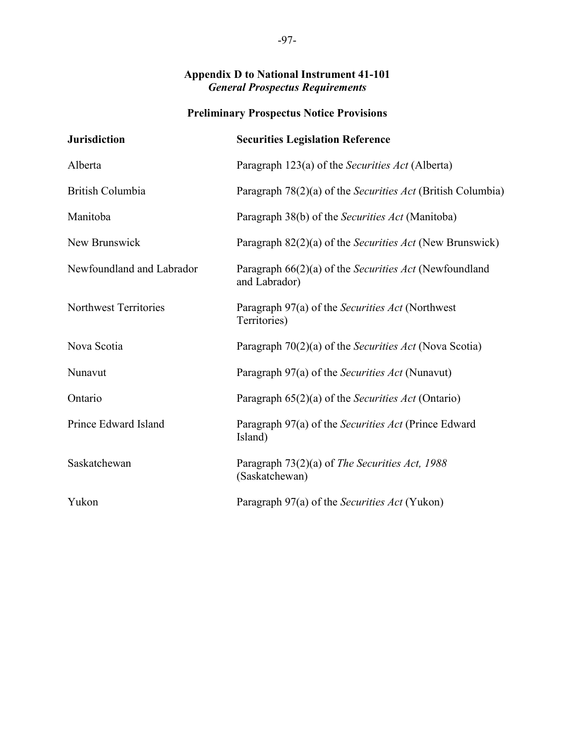# **Appendix D to National Instrument 41-101** *General Prospectus Requirements*

# **Preliminary Prospectus Notice Provisions**

| <b>Jurisdiction</b>          | <b>Securities Legislation Reference</b>                                 |
|------------------------------|-------------------------------------------------------------------------|
| Alberta                      | Paragraph 123(a) of the Securities Act (Alberta)                        |
| British Columbia             | Paragraph 78(2)(a) of the Securities Act (British Columbia)             |
| Manitoba                     | Paragraph 38(b) of the Securities Act (Manitoba)                        |
| New Brunswick                | Paragraph 82(2)(a) of the Securities Act (New Brunswick)                |
| Newfoundland and Labrador    | Paragraph 66(2)(a) of the Securities Act (Newfoundland<br>and Labrador) |
| <b>Northwest Territories</b> | Paragraph 97(a) of the Securities Act (Northwest<br>Territories)        |
| Nova Scotia                  | Paragraph 70(2)(a) of the Securities Act (Nova Scotia)                  |
| Nunavut                      | Paragraph 97(a) of the Securities Act (Nunavut)                         |
| Ontario                      | Paragraph 65(2)(a) of the Securities Act (Ontario)                      |
| Prince Edward Island         | Paragraph 97(a) of the Securities Act (Prince Edward<br>Island)         |
| Saskatchewan                 | Paragraph 73(2)(a) of The Securities Act, 1988<br>(Saskatchewan)        |
| Yukon                        | Paragraph 97(a) of the Securities Act (Yukon)                           |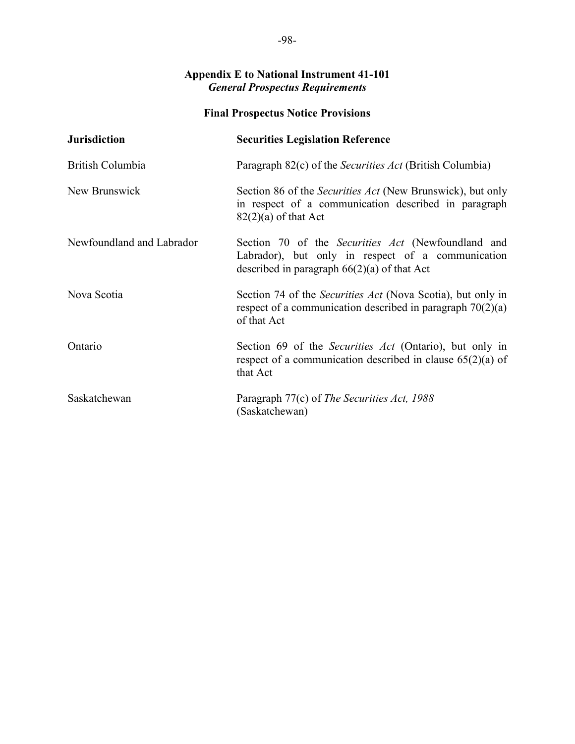# **Appendix E to National Instrument 41-101** *General Prospectus Requirements*

# **Final Prospectus Notice Provisions**

| <b>Jurisdiction</b>       | <b>Securities Legislation Reference</b>                                                                                                                  |
|---------------------------|----------------------------------------------------------------------------------------------------------------------------------------------------------|
| British Columbia          | Paragraph 82(c) of the <i>Securities Act</i> (British Columbia)                                                                                          |
| New Brunswick             | Section 86 of the <i>Securities Act</i> (New Brunswick), but only<br>in respect of a communication described in paragraph<br>$82(2)(a)$ of that Act      |
| Newfoundland and Labrador | Section 70 of the Securities Act (Newfoundland and<br>Labrador), but only in respect of a communication<br>described in paragraph $66(2)(a)$ of that Act |
| Nova Scotia               | Section 74 of the <i>Securities Act</i> (Nova Scotia), but only in<br>respect of a communication described in paragraph $70(2)(a)$<br>of that Act        |
| Ontario                   | Section 69 of the <i>Securities Act</i> (Ontario), but only in<br>respect of a communication described in clause $65(2)(a)$ of<br>that Act               |
| Saskatchewan              | Paragraph 77(c) of <i>The Securities Act</i> , 1988<br>(Saskatchewan)                                                                                    |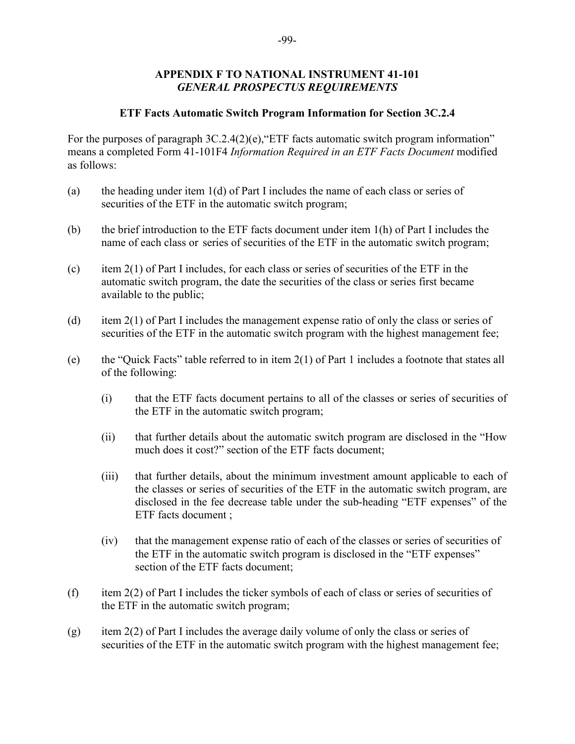## **APPENDIX F TO NATIONAL INSTRUMENT 41-101** *GENERAL PROSPECTUS REQUIREMENTS*

#### **ETF Facts Automatic Switch Program Information for Section 3C.2.4**

For the purposes of paragraph 3C.2.4(2)(e), "ETF facts automatic switch program information" means a completed Form 41-101F4 *Information Required in an ETF Facts Document* modified as follows:

- (a) the heading under item 1(d) of Part I includes the name of each class or series of securities of the ETF in the automatic switch program;
- (b) the brief introduction to the ETF facts document under item  $1(h)$  of Part I includes the name of each class or series of securities of the ETF in the automatic switch program;
- (c) item 2(1) of Part I includes, for each class or series of securities of the ETF in the automatic switch program, the date the securities of the class or series first became available to the public;
- (d) item 2(1) of Part I includes the management expense ratio of only the class or series of securities of the ETF in the automatic switch program with the highest management fee;
- (e) the "Quick Facts" table referred to in item 2(1) of Part 1 includes a footnote that states all of the following:
	- (i) that the ETF facts document pertains to all of the classes or series of securities of the ETF in the automatic switch program;
	- (ii) that further details about the automatic switch program are disclosed in the "How much does it cost?" section of the ETF facts document;
	- (iii) that further details, about the minimum investment amount applicable to each of the classes or series of securities of the ETF in the automatic switch program, are disclosed in the fee decrease table under the sub-heading "ETF expenses" of the ETF facts document ;
	- (iv) that the management expense ratio of each of the classes or series of securities of the ETF in the automatic switch program is disclosed in the "ETF expenses" section of the ETF facts document;
- (f) item 2(2) of Part I includes the ticker symbols of each of class or series of securities of the ETF in the automatic switch program;
- (g) item 2(2) of Part I includes the average daily volume of only the class or series of securities of the ETF in the automatic switch program with the highest management fee;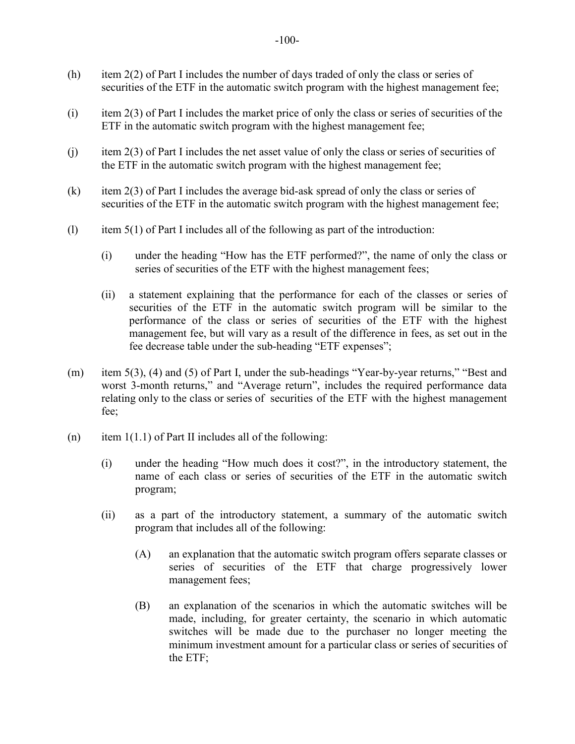- (h) item 2(2) of Part I includes the number of days traded of only the class or series of securities of the ETF in the automatic switch program with the highest management fee;
- $(i)$  item 2(3) of Part I includes the market price of only the class or series of securities of the ETF in the automatic switch program with the highest management fee;
- $(i)$  item 2(3) of Part I includes the net asset value of only the class or series of securities of the ETF in the automatic switch program with the highest management fee;
- $(k)$  item 2(3) of Part I includes the average bid-ask spread of only the class or series of securities of the ETF in the automatic switch program with the highest management fee;
- (1) item  $5(1)$  of Part I includes all of the following as part of the introduction:
	- (i) under the heading "How has the ETF performed?", the name of only the class or series of securities of the ETF with the highest management fees;
	- (ii) a statement explaining that the performance for each of the classes or series of securities of the ETF in the automatic switch program will be similar to the performance of the class or series of securities of the ETF with the highest management fee, but will vary as a result of the difference in fees, as set out in the fee decrease table under the sub-heading "ETF expenses";
- (m) item 5(3), (4) and (5) of Part I, under the sub-headings "Year-by-year returns," "Best and worst 3-month returns," and "Average return", includes the required performance data relating only to the class or series of securities of the ETF with the highest management fee;
- (n) item  $1(1.1)$  of Part II includes all of the following:
	- (i) under the heading "How much does it cost?", in the introductory statement, the name of each class or series of securities of the ETF in the automatic switch program;
	- (ii) as a part of the introductory statement, a summary of the automatic switch program that includes all of the following:
		- (A) an explanation that the automatic switch program offers separate classes or series of securities of the ETF that charge progressively lower management fees;
		- (B) an explanation of the scenarios in which the automatic switches will be made, including, for greater certainty, the scenario in which automatic switches will be made due to the purchaser no longer meeting the minimum investment amount for a particular class or series of securities of the ETF;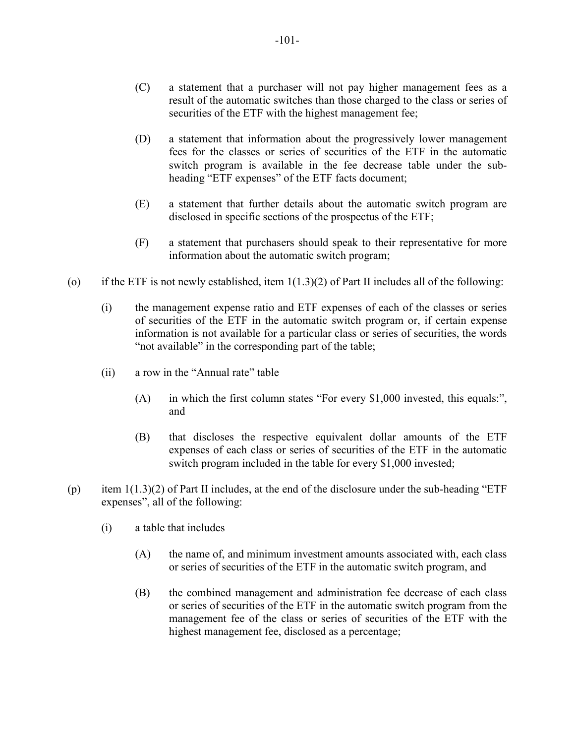- (C) a statement that a purchaser will not pay higher management fees as a result of the automatic switches than those charged to the class or series of securities of the ETF with the highest management fee;
- (D) a statement that information about the progressively lower management fees for the classes or series of securities of the ETF in the automatic switch program is available in the fee decrease table under the subheading "ETF expenses" of the ETF facts document;
- (E) a statement that further details about the automatic switch program are disclosed in specific sections of the prospectus of the ETF;
- (F) a statement that purchasers should speak to their representative for more information about the automatic switch program;
- (o) if the ETF is not newly established, item  $1(1.3)(2)$  of Part II includes all of the following:
	- (i) the management expense ratio and ETF expenses of each of the classes or series of securities of the ETF in the automatic switch program or, if certain expense information is not available for a particular class or series of securities, the words "not available" in the corresponding part of the table;
	- (ii) a row in the "Annual rate" table
		- (A) in which the first column states "For every \$1,000 invested, this equals:", and
		- (B) that discloses the respective equivalent dollar amounts of the ETF expenses of each class or series of securities of the ETF in the automatic switch program included in the table for every \$1,000 invested;
- $(p)$  item  $1(1.3)(2)$  of Part II includes, at the end of the disclosure under the sub-heading "ETF" expenses", all of the following:
	- (i) a table that includes
		- (A) the name of, and minimum investment amounts associated with, each class or series of securities of the ETF in the automatic switch program, and
		- (B) the combined management and administration fee decrease of each class or series of securities of the ETF in the automatic switch program from the management fee of the class or series of securities of the ETF with the highest management fee, disclosed as a percentage;